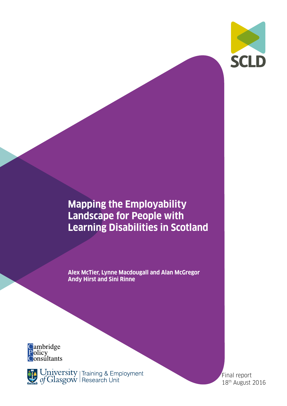

## **Mapping the Employability Landscape for People with Learning Disabilities in Scotland**

**Alex McTier, Lynne Macdougall and Alan McGregor Andy Hirst and Sini Rinne** 



University | Training & Employment

Final report 18th August 2016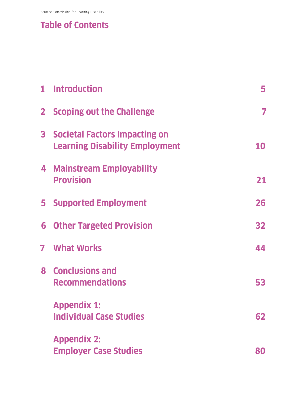## **Table of Contents**

|              | 1 Introduction                                                                | 5  |
|--------------|-------------------------------------------------------------------------------|----|
| $\mathbf{2}$ | <b>Scoping out the Challenge</b>                                              | 7  |
| 3            | <b>Societal Factors Impacting on</b><br><b>Learning Disability Employment</b> | 10 |
|              | 4 Mainstream Employability<br><b>Provision</b>                                | 21 |
| 5.           | <b>Supported Employment</b>                                                   | 26 |
| 6            | <b>Other Targeted Provision</b>                                               | 32 |
| 7            | <b>What Works</b>                                                             | 44 |
|              | 8 Conclusions and<br><b>Recommendations</b>                                   | 53 |
|              | <b>Appendix 1:</b><br><b>Individual Case Studies</b>                          | 62 |
|              | <b>Appendix 2:</b><br><b>Employer Case Studies</b>                            | 80 |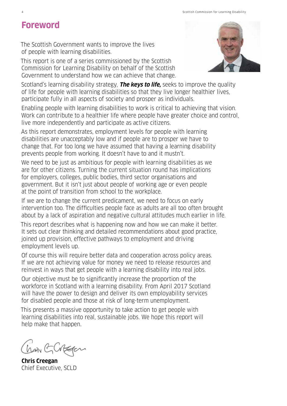# **Foreword**

The Scottish Government wants to improve the lives of people with learning disabilities.

This report is one of a series commissioned by the Scottish Commission for Learning Disability on behalf of the Scottish Government to understand how we can achieve that change.

Scotland's learning disability strategy, **The keys to life,** seeks to improve the quality of life for people with learning disabilities so that they live longer healthier lives, participate fully in all aspects of society and prosper as individuals.

Enabling people with learning disabilities to work is critical to achieving that vision. Work can contribute to a healthier life where people have greater choice and control, live more independently and participate as active citizens.

As this report demonstrates, employment levels for people with learning disabilities are unacceptably low and if people are to prosper we have to change that. For too long we have assumed that having a learning disability prevents people from working. It doesn't have to and it mustn't.

We need to be just as ambitious for people with learning disabilities as we are for other citizens. Turning the current situation round has implications for employers, colleges, public bodies, third sector organisations and government. But it isn't just about people of working age or even people at the point of transition from school to the workplace.

If we are to change the current predicament, we need to focus on early intervention too. The difficulties people face as adults are all too often brought about by a lack of aspiration and negative cultural attitudes much earlier in life.

This report describes what is happening now and how we can make it better. It sets out clear thinking and detailed recommendations about good practice, joined up provision, effective pathways to employment and driving employment levels up.

Of course this will require better data and cooperation across policy areas. If we are not achieving value for money we need to release resources and reinvest in ways that get people with a learning disability into real jobs.

Our objective must be to significantly increase the proportion of the workforce in Scotland with a learning disability. From April 2017 Scotland will have the power to design and deliver its own employability services for disabled people and those at risk of long-term unemployment.

This presents a massive opportunity to take action to get people with learning disabilities into real, sustainable jobs. We hope this report will help make that happen.

han GCBEFON

**Chris Creegan** Chief Executive, SCLD

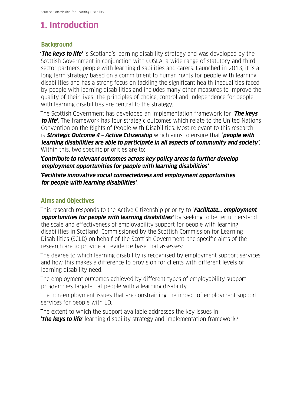## **1. Introduction**

#### **Background**

**'The keys to life'** is Scotland's learning disability strategy and was developed by the Scottish Government in conjunction with COSLA, a wide range of statutory and third sector partners, people with learning disabilities and carers. Launched in 2013, it is a long term strategy based on a commitment to human rights for people with learning disabilities and has a strong focus on tackling the significant health inequalities faced by people with learning disabilities and includes many other measures to improve the quality of their lives. The principles of choice, control and independence for people with learning disabilities are central to the strategy.

The Scottish Government has developed an implementation framework for **'The keys to life'**. The framework has four strategic outcomes which relate to the United Nations Convention on the Rights of People with Disabilities. Most relevant to this research is **Strategic Outcome 4 – Active Citizenship** which aims to ensure that '**people with learning disabilities are able to participate in all aspects of community and society'**. Within this, two specific priorities are to:

**'Contribute to relevant outcomes across key policy areas to further develop employment opportunities for people with learning disabilities'**.

**'Facilitate innovative social connectedness and employment opportunities for people with learning disabilities'**.

### **Aims and Objectives**

This research responds to the Active Citizenship priority to '**Facilitate… employment opportunities for people with learning disabilities'** by seeking to better understand the scale and effectiveness of employability support for people with learning disabilities in Scotland. Commissioned by the Scottish Commission for Learning Disabilities (SCLD) on behalf of the Scottish Government, the specific aims of the research are to provide an evidence base that assesses:

The degree to which learning disability is recognised by employment support services and how this makes a difference to provision for clients with different levels of learning disability need.

The employment outcomes achieved by different types of employability support programmes targeted at people with a learning disability.

The non-employment issues that are constraining the impact of employment support services for people with LD.

The extent to which the support available addresses the key issues in **'The keys to life'** learning disability strategy and implementation framework?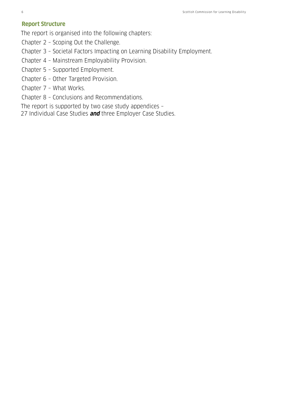### **Report Structure**

The report is organised into the following chapters:

- Chapter 2 Scoping Out the Challenge.
- Chapter 3 Societal Factors Impacting on Learning Disability Employment.
- Chapter 4 Mainstream Employability Provision.
- Chapter 5 Supported Employment.
- Chapter 6 Other Targeted Provision.
- Chapter 7 What Works.
- Chapter 8 Conclusions and Recommendations.

The report is supported by two case study appendices –

27 Individual Case Studies **and** three Employer Case Studies.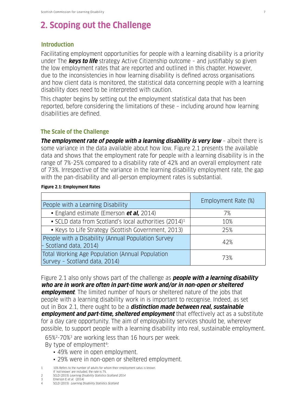## **2. Scoping out the Challenge**

#### **Introduction**

Facilitating employment opportunities for people with a learning disability is a priority under The **keys to life** strategy Active Citizenship outcome – and justifiably so given the low employment rates that are reported and outlined in this chapter. However, due to the inconsistencies in how learning disability is defined across organisations and how client data is monitored, the statistical data concerning people with a learning disability does need to be interpreted with caution.

This chapter begins by setting out the employment statistical data that has been reported, before considering the limitations of these – including around how learning disabilities are defined.

### **The Scale of the Challenge**

**The employment rate of people with a learning disability is very low** - albeit there is some variance in the data available about how low. Figure 2.1 presents the available data and shows that the employment rate for people with a learning disability is in the range of 7%-25% compared to a disability rate of 42% and an overall employment rate of 73%. Irrespective of the variance in the learning disability employment rate, the gap with the pan-disability and all-person employment rates is substantial.

#### **Figure 2.1: Employment Rates**

| People with a Learning Disability                                                | Employment Rate (%) |
|----------------------------------------------------------------------------------|---------------------|
| • England estimate (Emerson et al. 2014)                                         | 7%                  |
| • SCLD data from Scotland's local authorities (2014) <sup>1</sup>                | 10%                 |
| • Keys to Life Strategy (Scottish Government, 2013)                              | 25%                 |
| People with a Disability (Annual Population Survey<br>$-$ Scotland data, 2014)   | 42%                 |
| Total Working Age Population (Annual Population<br>Survey - Scotland data, 2014) | 73%                 |

Figure 2.1 also only shows part of the challenge as **people with a learning disability who are in work are often in part-time work and/or in non-open or sheltered employment**. The limited number of hours or sheltered nature of the jobs that people with a learning disability work in is important to recognise. Indeed, as set out in Box 2.1, there ought to be a **distinction made between real, sustainable employment and part-time, sheltered employment** that effectively act as a substitute for a day care opportunity. The aim of employability services should be, wherever possible, to support people with a learning disability into real, sustainable employment.

65%2-70%3 are working less than 16 hours per week.

By type of employment<sup>4</sup>:

- 49% were in open employment.
- 29% were in non-open or sheltered employment.

1 10% Refers to the number of adults for whom their employment satus is known.

- If 'not known' are included, the rate is 7%. 2 SCLD (2015) Learning Disability Statistics Scotland 2014
- 
- 3 Emerson E *et al.* (2014)<br>4 SCLD (2015) Learning D SCLD (2015) Learning Disability Statistics Scotland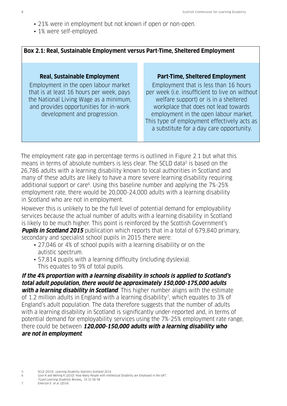- 21% were in employment but not known if open or non-open.
- 1% were self-employed.

### **Box 2.1: Real, Sustainable Employment versus Part-Time, Sheltered Employment**

Employment in the open labour market that is at least 16 hours per week, pays the National Living Wage as a minimum, and provides opportunities for in-work development and progression.

#### **Real, Sustainable Employment Part-Time, Sheltered Employment**

Employment that is less than 16 hours per week (i.e. insufficient to live on without welfare support) or is in a sheltered workplace that does not lead towards employment in the open labour market. This type of employment effectively acts as a substitute for a day care opportunity.

The employment rate gap in percentage terms is outlined in Figure 2.1 but what this means in terms of absolute numbers is less clear. The SCLD data<sup>5</sup> is based on the 26,786 adults with a learning disability known to local authorities in Scotland and many of these adults are likely to have a more severe learning disability requiring additional support or care<sup>6</sup>. Using this baseline number and applying the 7%-25% employment rate, there would be 20,000-24,000 adults with a learning disability in Scotland who are not in employment.

However this is unlikely to be the full level of potential demand for employability services because the actual number of adults with a learning disability in Scotland is likely to be much higher. This point is reinforced by the Scottish Government's **Pupils in Scotland 2015** publication which reports that in a total of 679,840 primary, secondary and specialist school pupils in 2015 there were:

- 27,046 or 4% of school pupils with a learning disability or on the autistic spectrum.
- 57,814 pupils with a learning difficulty (including dyslexia). This equates to 9% of total pupils.

### **If the 4% proportion with a learning disability in schools is applied to Scotland's total adult population, there would be approximately 150,000-175,000 adults**

**with a learning disability in Scotland**. This higher number aligns with the estimate of 1.2 million adults in England with a learning disability7, which equates to 3% of England's adult population. The data therefore suggests that the number of adults with a learning disability in Scotland is significantly under-reported and, in terms of potential demand for employability services using the 7%-25% employment rate range, there could be between **120,000-150,000 adults with a learning disability who are not in employment**.

- 6 Gore N and Melling K (2010) 'How Many People with Intellectual Disability are Employed in the UK?',
- Tizard Learning Disability Review, 15 (1) 56-58<br>Therson F et al (2014)
- Emerson E et al. (2014)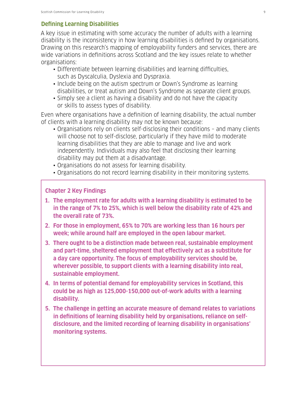### **Defining Learning Disabilities**

A key issue in estimating with some accuracy the number of adults with a learning disability is the inconsistency in how learning disabilities is defined by organisations. Drawing on this research's mapping of employability funders and services, there are wide variations in definitions across Scotland and the key issues relate to whether organisations:

- Differentiate between learning disabilities and learning difficulties, such as Dyscalculia, Dyslexia and Dyspraxia.
- Include being on the autism spectrum or Down's Syndrome as learning disabilities, or treat autism and Down's Syndrome as separate client groups.
- Simply see a client as having a disability and do not have the capacity or skills to assess types of disability.

Even where organisations have a definition of learning disability, the actual number of clients with a learning disability may not be known because:

- Organisations rely on clients self-disclosing their conditions and many clients will choose not to self-disclose, particularly if they have mild to moderate learning disabilities that they are able to manage and live and work independently. Individuals may also feel that disclosing their learning disability may put them at a disadvantage.
- Organisations do not assess for learning disability.
- Organisations do not record learning disability in their monitoring systems.

### **Chapter 2 Key Findings**

- **1. The employment rate for adults with a learning disability is estimated to be in the range of 7% to 25%, which is well below the disability rate of 42% and the overall rate of 73%.**
- **2. For those in employment, 65% to 70% are working less than 16 hours per week; while around half are employed in the open labour market.**
- **3. There ought to be a distinction made between real, sustainable employment and part-time, sheltered employment that effectively act as a substitute for a day care opportunity. The focus of employability services should be, wherever possible, to support clients with a learning disability into real, sustainable employment.**
- **4. In terms of potential demand for employability services in Scotland, this could be as high as 125,000-150,000 out-of-work adults with a learning disability.**
- **5. The challenge in getting an accurate measure of demand relates to variations in definitions of learning disability held by organisations, reliance on selfdisclosure, and the limited recording of learning disability in organisations' monitoring systems.**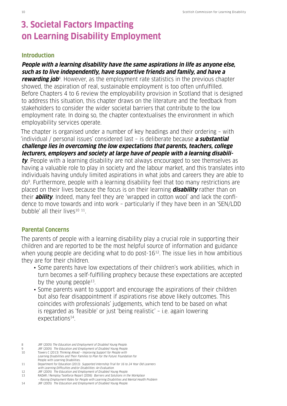## **3. Societal Factors Impacting on Learning Disability Employment**

#### **Introduction**

### **People with a learning disability have the same aspirations in life as anyone else, such as to live independently, have supportive friends and family, and have a**

**rewarding job**8. However, as the employment rate statistics in the previous chapter showed, the aspiration of real, sustainable employment is too often unfulfilled. Before Chapters 4 to 6 review the employability provision in Scotland that is designed to address this situation, this chapter draws on the literature and the feedback from stakeholders to consider the wider societal barriers that contribute to the low employment rate. In doing so, the chapter contextualises the environment in which employability services operate.

The chapter is organised under a number of key headings and their ordering – with 'individual / personal issues' considered last – is deliberate because **a substantial challenge lies in overcoming the low expectations that parents, teachers, college lecturers, employers and society at large have of people with a learning disability**. People with a learning disability are not always encouraged to see themselves as having a valuable role to play in society and the labour market, and this translates into individuals having unduly limited aspirations in what jobs and careers they are able to do9. Furthermore, people with a learning disability feel that too many restrictions are placed on their lives because the focus is on their learning **disability** rather than on their **ability**. Indeed, many feel they are 'wrapped in cotton wool' and lack the confidence to move towards and into work – particularly if they have been in an 'SEN/LDD bubble' all their lives10 11.

#### **Parental Concerns**

The parents of people with a learning disability play a crucial role in supporting their children and are reported to be the most helpful source of information and guidance when young people are deciding what to do post-16<sup>12</sup>. The issue lies in how ambitious they are for their children.

- Some parents have low expectations of their children's work abilities, which in turn becomes a self-fulfilling prophecy because these expectations are accepted by the young people<sup>13</sup>.
- Some parents want to support and encourage the aspirations of their children but also fear disappointment if aspirations rise above likely outcomes. This coincides with professionals' judgements, which tend to be based on what is regarded as 'feasible' or just 'being realistic' – i.e. again lowering expectations<sup>14</sup>.

– Raising Employment Rates for People with Learning Disabilities and Mental Health Problem

<sup>8</sup> JRF (2005) The Education and Employment of Disabled Young People.

<sup>9</sup> JRF (2005) The Education and Employment of Disabled Young People. 10 Towers C (2013) Thinking Ahead – Improving Support for People with

Learning Disabilities and Their Families to Plan for the Future. Foundation for

People with Learning Disabilities. 11 Department for Education (2013) Supported Internship Trial for 16 to 24 Year Old Learners

with Learning Difficulties and/or Disabilities: An Evaluation.

<sup>12</sup> JRF (2005) The Education and Employment of Disabled Young People.

<sup>13</sup> RADAR / Remploy Taskforce Report (2006) Barriers and Solutions in the Workplace

<sup>14</sup> JRF (2005) The Education and Employment of Disabled Young People.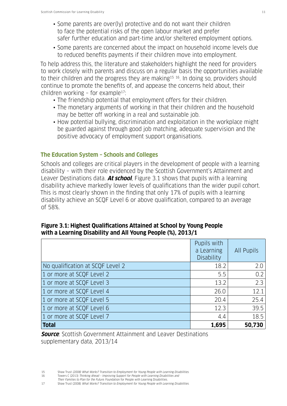- Some parents are over(ly) protective and do not want their children to face the potential risks of the open labour market and prefer safer further education and part-time and/or sheltered employment options.
- Some parents are concerned about the impact on household income levels due to reduced benefits payments if their children move into employment.

To help address this, the literature and stakeholders highlight the need for providers to work closely with parents and discuss on a regular basis the opportunities available to their children and the progress they are making<sup>15 16</sup>. In doing so, providers should continue to promote the benefits of, and appease the concerns held about, their children working - for example<sup>17</sup>:

- The friendship potential that employment offers for their children.
- The monetary arguments of working in that their children and the household may be better off working in a real and sustainable job.
- How potential bullying, discrimination and exploitation in the workplace might be guarded against through good job matching, adequate supervision and the positive advocacy of employment support organisations.

### **The Education System – Schools and Colleges**

Schools and colleges are critical players in the development of people with a learning disability – with their role evidenced by the Scottish Government's Attainment and Leaver Destinations data. **At school**, Figure 3.1 shows that pupils with a learning disability achieve markedly lower levels of qualifications than the wider pupil cohort. This is most clearly shown in the finding that only 17% of pupils with a learning disability achieve an SCQF Level 6 or above qualification, compared to an average of 58%.

|                                  | Pupils with<br>a Learning<br>Disability | All Pupils |
|----------------------------------|-----------------------------------------|------------|
| No qualification at SCQF Level 2 | 18.2                                    | 2.0        |
| 1 or more at SCQF Level 2        | 5.5                                     | 0.2        |
| 1 or more at SCQF Level 3        | 13.2                                    | 2.3        |
| 1 or more at SCQF Level 4        | 26.0                                    | 12.1       |
| 1 or more at SCQF Level 5        | 20.4                                    | 25.4       |
| 1 or more at SCQF Level 6        | 12.3                                    | 39.5       |
| 1 or more at SCQF Level 7        | 4.4                                     | 18.5       |
| <b>Total</b>                     | 1,695                                   | 50,730     |

### **Figure 3.1: Highest Qualifications Attained at School by Young People with a Learning Disability and All Young People (%), 2013/1**

**Source**: Scottish Government Attainment and Leaver Destinations supplementary data, 2013/14

<sup>15</sup> Shaw Trust (2008) What Works? Transition to Employment for Young People with Learning Disabilities.

<sup>16</sup> Towers C (2013) Thinking Ahead – Improving Support for People with Learning Disabilities and

Their Families to Plan for the Future. Foundation for People with Learning Disabilities.<br>17 Shaw Trust (2008) What Works? Transition to Employment for Young People with Lea Shaw Trust (2008) What Works? Transition to Employment for Young People with Learning Disabilities.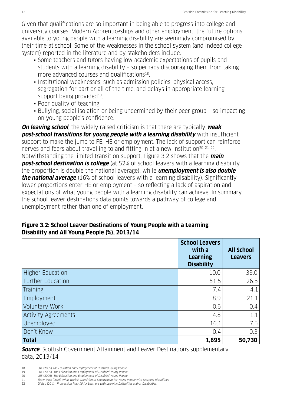Given that qualifications are so important in being able to progress into college and university courses, Modern Apprenticeships and other employment, the future options available to young people with a learning disability are seemingly compromised by their time at school. Some of the weaknesses in the school system (and indeed college system) reported in the literature and by stakeholders include:

- Some teachers and tutors having low academic expectations of pupils and students with a learning disability – so perhaps discouraging them from taking more advanced courses and qualifications<sup>18</sup>.
- Institutional weaknesses, such as admission policies, physical access, segregation for part or all of the time, and delays in appropriate learning support being provided<sup>19</sup>.
- Poor quality of teaching.
- Bullying, social isolation or being undermined by their peer group so impacting on young people's confidence.

**On leaving school**, the widely raised criticism is that there are typically **weak post-school transitions for young people with a learning disability** with insufficient support to make the jump to FE, HE or employment. The lack of support can reinforce nerves and fears about travelling to and fitting in at a new institution<sup>20 21</sup> <sup>22</sup>. Notwithstanding the limited transition support, Figure 3.2 shows that the **main post-school destination is college** (at 52% of school leavers with a learning disability the proportion is double the national average), while **unemployment is also double the national average** (16% of school leavers with a learning disability). Significantly lower proportions enter HE or employment – so reflecting a lack of aspiration and expectations of what young people with a learning disability can achieve. In summary, the school leaver destinations data points towards a pathway of college and unemployment rather than one of employment.

### **Figure 3.2: School Leaver Destinations of Young People with a Learning Disability and All Young People (%), 2013/14**

|                            | <b>School Leavers</b><br>with a<br><b>Learning</b><br><b>Disability</b> | <b>All School</b><br><b>Leavers</b> |
|----------------------------|-------------------------------------------------------------------------|-------------------------------------|
| <b>Higher Education</b>    | 10.0                                                                    | 39.0                                |
| <b>Further Education</b>   | 51.5                                                                    | 26.5                                |
| <b>Training</b>            | 7.4                                                                     | 4.1                                 |
| Employment                 | 8.9                                                                     | 21.1                                |
| Voluntary Work             | 0.6                                                                     | 0.4                                 |
| <b>Activity Agreements</b> | 4.8                                                                     | 1.1                                 |
| Unemployed                 | 16.1                                                                    | 7.5                                 |
| Don't Know                 | 0.4                                                                     | 0.3                                 |
| <b>Total</b>               | 1,695                                                                   | 50,730                              |

**Source**: Scottish Government Attainment and Leaver Destinations supplementary data, 2013/14

- 18 JRF (2005) The Education and Employment of Disabled Young People<br>19 JRF (2005) The Education and Employment of Disabled Young People JRF (2005) The Education and Employment of Disabled Young People
- 
- 20 JRF (2005) The Education and Employment of Disabled Young People<br>21 Shaw Trust (2008) What Works? Transition to Employment for Young I<br>22 Ofsted (2011) Progression Post-16 for Learners with Learning Difficul Shaw Trust (2008) What Works? Transition to Employment for Young People with Learning Disabilities.
- 22 Ofsted (2011) Progression Post-16 for Learners with Learning Difficulties and/or Disabilities.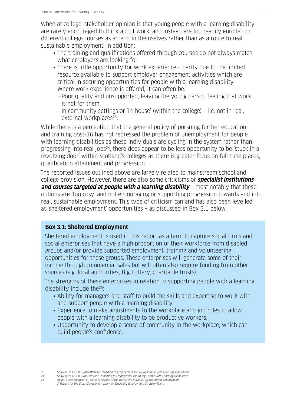When at college, stakeholder opinion is that young people with a learning disability are rarely encouraged to think about work, and instead are too readily enrolled on different college courses as an end in themselves rather than as a route to real, sustainable employment. In addition:

- The training and qualifications offered through courses do not always match what employers are looking for.
- There is little opportunity for work experience partly due to the limited resource available to support employer engagement activities which are critical in securing opportunities for people with a learning disability. Where work experience is offered, it can often be:
	- Poor quality and unsupported, leaving the young person feeling that work is not for them.
	- In community settings or 'in-house' (within the college) i.e. not in real, external workplaces<sup>23</sup>.

While there is a perception that the general policy of pursuing further education and training post-16 has not redressed the problem of unemployment for people with learning disabilities as these individuals are cycling in the system rather than progressing into real jobs<sup>24</sup>, there does appear to be less opportunity to be 'stuck in a revolving door' within Scotland's colleges as there is greater focus on full-time places, qualification attainment and progression.

The reported issues outlined above are largely related to mainstream school and college provision. However, there are also some criticisms of **specialist institutions and courses targeted at people with a learning disability** - most notably that these options are 'too cosy' and not encouraging or supporting progression towards and into real, sustainable employment. This type of criticism can and has also been levelled at 'sheltered employment' opportunities – as discussed in Box 3.1 below.

### **Box 3.1: Sheltered Employment**

Sheltered employment is used in this report as a term to capture social firms and social enterprises that have a high proportion of their workforce from disabled groups and/or provide supported employment, training and volunteering opportunities for these groups. These enterprises will generate some of their income through commercial sales but will often also require funding from other sources (e.g. local authorities, Big Lottery, charitable trusts).

The strengths of these enterprises in relation to supporting people with a learning disability include the<sup>25</sup>:

- Ability for managers and staff to build the skills and expertise to work with and support people with a learning disability.
- Experience to make adjustments to the workplace and job roles to allow people with a learning disability to be productive workers.
- Opportunity to develop a sense of community in the workplace, which can build people's confidence.

25 Beyer S and Robinson C (2009) A Review of the Research Literature on Supported Employment: A Report for the Cross-Government Learning Disability Employment Strategy Team.

Shaw Trust (2008) What Works? Transition to Employment for Young People with Learning Disabilities.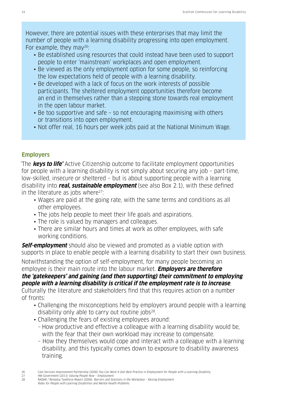However, there are potential issues with these enterprises that may limit the number of people with a learning disability progressing into open employment. For example, they may  $26$ :

- Be established using resources that could instead have been used to support people to enter 'mainstream' workplaces and open employment.
- Be viewed as the only employment option for some people, so reinforcing the low expectations held of people with a learning disability.
- Be developed with a lack of focus on the work interests of possible participants. The sheltered employment opportunities therefore become an end in themselves rather than a stepping stone towards real employment in the open labour market.
- Be too supportive and safe so not encouraging maximising with others or transitions into open employment.
- Not offer real, 16 hours per week jobs paid at the National Minimum Wage.

### **Employers**

'The **keys to life'** Active Citizenship outcome to facilitate employment Opportunities for people with a learning disability is not simply about securing any job – part-time, low-skilled, insecure or sheltered – but is about supporting people with a learning disability into **real, sustainable employment** (see also Box 2.1), with these defined in the literature as jobs where $27$ :

- Wages are paid at the going rate, with the same terms and conditions as all other employees.
- The jobs help people to meet their life goals and aspirations.
- The role is valued by managers and colleagues.
- There are similar hours and times at work as other employees, with safe working conditions.

**Self-employment** should also be viewed and promoted as a viable option with supports in place to enable people with a learning disability to start their own business.

Notwithstanding the option of self-employment, for many people becoming an employee is their main route into the labour market. **Employers are therefore the 'gatekeepers' and gaining (and then supporting) their commitment to employing people with a learning disability is critical if the employment rate is to increase**.

Culturally the literature and stakeholders find that this requires action on a number of fronts:

- Challenging the misconceptions held by employers around people with a learning disability only able to carry out routine jobs<sup>28</sup>.
- Challenging the fears of existing employees around:
	- How productive and effective a colleague with a learning disability would be, with the fear that their own workload may increase to compensate.
	- How they themselves would cope and interact with a colleague with a learning disability, and this typically comes down to exposure to disability awareness training.

<sup>26</sup> Care Services Improvement Partnership (2006) You Can Work It Out! Best Practice in Employment for People with a Learning Disability.

<sup>27</sup> HM Government (2011) Valuing People Now – Employment. 28 RADAR / Remploy Taskforce Report (2006) Barriers and Solutions in the Workplace – Raising Employment

Rates for People with Learning Disabilities and Mental Health Problems.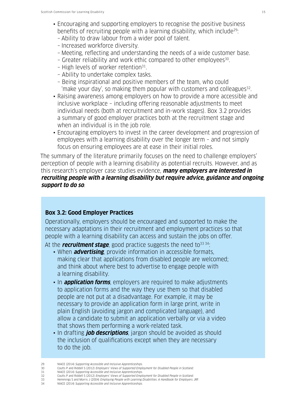- Encouraging and supporting employers to recognise the positive business benefits of recruiting people with a learning disability, which include<sup>29</sup>:
	- Ability to draw labour from a wider pool of talent.
	- Increased workforce diversity.
	- Meeting, reflecting and understanding the needs of a wide customer base.
	- Greater reliability and work ethic compared to other employees<sup>30</sup>.
	- High levels of worker retention31.
	- Ability to undertake complex tasks.
	- Being inspirational and positive members of the team, who could 'make your day', so making them popular with customers and colleagues32.
- Raising awareness among employers on how to provide a more accessible and inclusive workplace – including offering reasonable adjustments to meet individual needs (both at recruitment and in-work stages). Box 3.2 provides a summary of good employer practices both at the recruitment stage and when an individual is in the job role.
- Encouraging employers to invest in the career development and progression of employees with a learning disability over the longer term – and not simply focus on ensuring employees are at ease in their initial roles.

The summary of the literature primarily focuses on the need to challenge employers' perception of people with a learning disability as potential recruits. However, and as this research's employer case studies evidence, **many employers are interested in recruiting people with a learning disability but require advice, guidance and ongoing support to do so**.

#### **Box 3.2: Good Employer Practices**

Operationally, employers should be encouraged and supported to make the necessary adaptations in their recruitment and employment practices so that people with a learning disability can access and sustain the jobs on offer.

At the **recruitment stage**, good practice suggests the need to<sup>33 34</sup>:

- When **advertising**, provide information in accessible formats, making clear that applications from disabled people are welcomed; and think about where best to advertise to engage people with a learning disability.
- In **application forms**, employers are required to make adjustments to application forms and the way they use them so that disabled people are not put at a disadvantage. For example, it may be necessary to provide an application form in large print, write in plain English (avoiding jargon and complicated language), and allow a candidate to submit an application verbally or via a video that shows them performing a work-related task.
- In drafting **job descriptions**, jargon should be avoided as should the inclusion of qualifications except when they are necessary to do the job.

34 NIACE (2014) Supporting Accessible and Inclusive Apprenticeships.

<sup>29</sup> NIACE (2014) Supporting Accessible and Inclusive Apprenticeships.<br>20 Coutts P and Riddell S (2012) Employers' Views of Supported Employer

<sup>30</sup> Coutts P and Riddell S (2012) Employers' Views of Supported Employment for Disabled People in Scotland.<br>31 NIACE (2014) Supporting Accessible and Inclusive Apprenticeships. NIACE (2014) Supporting Accessible and Inclusive Apprenticeships.

<sup>32</sup> Coutts P and Riddell S (2012) *Employers' Views of Supported Employment for Disabled People in Scotland.*<br>33 Hemmings S and Morris 1 (2004) *Employing People with Learning Disabilities: A Handbook for Employers* Hemmings S and Morris J (2004) Employing People with Learning Disabilities: A Handbook for Employers. JRF.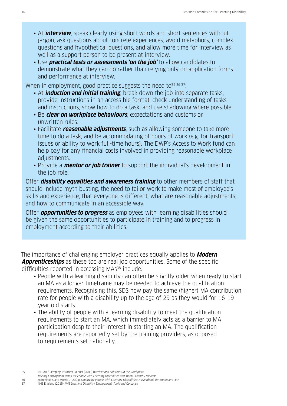- At **interview**, speak clearly using short words and short sentences without jargon, ask questions about concrete experiences, avoid metaphors, complex questions and hypothetical questions, and allow more time for interview as well as a support person to be present at interview.
- Use **practical tests or assessments 'on the job'** to allow candidates to demonstrate what they can do rather than relying only on application forms and performance at interview.

When in employment, good practice suggests the need to $35\,36\,37$ :

- At **induction and initial training**, break down the job into separate tasks, provide instructions in an accessible format, check understanding of tasks and instructions, show how to do a task, and use shadowing where possible.
- Be **clear on workplace behaviours**, expectations and customs or unwritten rules.
- Facilitate **reasonable adjustments**, such as allowing someone to take more time to do a task, and be accommodating of hours of work (e.g. for transport issues or ability to work full-time hours). The DWP's Access to Work fund can help pay for any financial costs involved in providing reasonable workplace adjustments.
- Provide a **mentor or job trainer** to support the individual's development in the job role.

Offer **disability equalities and awareness training** to other members of staff that should include myth busting, the need to tailor work to make most of employee's skills and experience, that everyone is different, what are reasonable adjustments, and how to communicate in an accessible way.

Offer **opportunities to progress** as employees with learning disabilities should be given the same opportunities to participate in training and to progress in employment according to their abilities.

The importance of challenging employer practices equally applies to **Modern Apprenticeships** as these too are real job opportunities. Some of the specific difficulties reported in accessing MAs<sup>38</sup> include:

- People with a learning disability can often be slightly older when ready to start an MA as a longer timeframe may be needed to achieve the qualification requirements. Recognising this, SDS now pay the same (higher) MA contribution rate for people with a disability up to the age of 29 as they would for 16-19 year old starts.
- The ability of people with a learning disability to meet the qualification requirements to start an MA, which immediately acts as a barrier to MA participation despite their interest in starting an MA. The qualification requirements are reportedly set by the training providers, as opposed to requirements set nationally.

35 RADAR / Remploy Taskforce Report (2006) Barriers and Solutions in the Workplace –

Raising Employment Rates for People with Learning Disabilities and Mental Health Problems.

<sup>36</sup> Hemmings S and Morris J (2004) Employing People with Learning Disabilities: A Handbook for Employers. JRF.<br>37 MHS England (2015) NHS Learning Disability Employment: Tools and Guidance. NHS England (2015) NHS Learning Disability Employment: Tools and Guidance.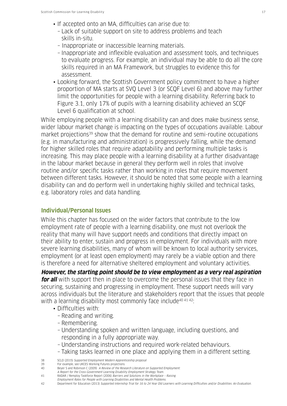- If accepted onto an MA, difficulties can arise due to:
	- Lack of suitable support on site to address problems and teach skills in-situ.
	- Inappropriate or inaccessible learning materials.
	- Inappropriate and inflexible evaluation and assessment tools, and techniques to evaluate progress. For example, an individual may be able to do all the core skills required in an MA Framework, but struggles to evidence this for assessment.
- Looking forward, the Scottish Government policy commitment to have a higher proportion of MA starts at SVQ Level 3 (or SCQF Level 6) and above may further limit the opportunities for people with a learning disability. Referring back to Figure 3.1, only 17% of pupils with a learning disability achieved an SCQF Level 6 qualification at school.

While employing people with a learning disability can and does make business sense, wider labour market change is impacting on the types of occupations available. Labour market projections<sup>39</sup> show that the demand for routine and semi-routine occupations (e.g. in manufacturing and administration) is progressively falling, while the demand for higher skilled roles that require adaptability and performing multiple tasks is increasing. This may place people with a learning disability at a further disadvantage in the labour market because in general they perform well in roles that involve routine and/or specific tasks rather than working in roles that require movement between different tasks. However, it should be noted that some people with a learning disability can and do perform well in undertaking highly skilled and technical tasks, e.g. laboratory roles and data handling.

#### **Individual/Personal Issues**

While this chapter has focused on the wider factors that contribute to the low employment rate of people with a learning disability, one must not overlook the reality that many will have support needs and conditions that directly impact on their ability to enter, sustain and progress in employment. For individuals with more severe learning disabilities, many of whom will be known to local authority services, employment (or at least open employment) may rarely be a viable option and there is therefore a need for alternative sheltered employment and voluntary activities.

**However, the starting point should be to view employment as a very real aspiration for all** with support then in place to overcome the personal issues that they face in securing, sustaining and progressing in employment. These support needs will vary across individuals but the literature and stakeholders report that the issues that people with a learning disability most commonly face include<sup>40 41 42</sup>:

- Difficulties with:
	- Reading and writing.
	- Remembering.
	- Understanding spoken and written language, including questions, and responding in a fully appropriate way.
	- Understanding instructions and required work-related behaviours.
	- Taking tasks learned in one place and applying them in a different setting.

- Employment Rates for People with Learning Disabilities and Mental Health Problems.
- 42 Department for Education (2013) Supported Internship Trial for 16 to 24 Year Old Learners with Learning Difficulties and/or Disabilities: An Evaluation.

<sup>38</sup> SCLD (2015) Supported Employment Modern Apprenticeship proposal

<sup>39</sup> For example, see UKCES Working Futures projections<br>40 Bever S and Robinson C (2009) A Review of the Rese

Beyer S and Robinson C (2009) A Review of the Research Literature on Supported Employment:

A Report for the Cross-Government Learning Disability Employment Strategy Team. 41 RADAR / Remploy Taskforce Report (2006) Barriers and Solutions in the Workplace – Raising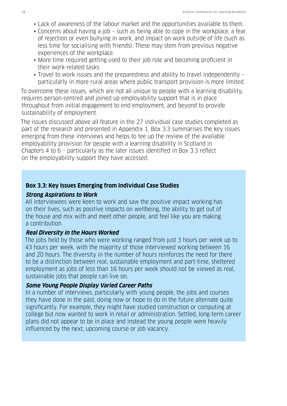- Lack of awareness of the labour market and the opportunities available to them.
- Concerns about having a job such as being able to cope in the workplace, a fear of rejection or even bullying in work, and impact on work outside of life (such as less time for socialising with friends). These may stem from previous negative experiences of the workplace.
- More time required getting used to their job role and becoming proficient in their work-related tasks.
- Travel to work issues and the preparedness and ability to travel independently particularly in more rural areas where public transport provision is more limited.

To overcome these issues, which are not all unique to people with a learning disability, requires person-centred and joined up employability support that is in place throughout from initial engagement to end employment, and beyond to provide sustainability of employment.

The issues discussed above all feature in the 27 individual case studies completed as part of the research and presented in Appendix 1. Box 3.3 summarises the key issues emerging from these interviews and helps to tee up the review of the available employability provision for people with a learning disability in Scotland in Chapters 4 to 6 – particularly as the later issues identified in Box 3.3 reflect on the employability support they have accessed.

#### **Box 3.3: Key Issues Emerging from Individual Case Studies**

#### **Strong Aspirations to Work**

All interviewees were keen to work and saw the positive impact working has on their lives, such as positive impacts on wellbeing, the ability to get out of the house and mix with and meet other people, and feel like you are making a contribution.

#### **Real Diversity in the Hours Worked**

The jobs held by those who were working ranged from just 3 hours per week up to 43 hours per week, with the majority of those interviewed working between 16 and 20 hours. The diversity in the number of hours reinforces the need for there to be a distinction between real, sustainable employment and part-time, sheltered employment as jobs of less than 16 hours per week should not be viewed as real, sustainable jobs that people can live on.

#### **Some Young People Display Varied Career Paths**

In a number of interviews, particularly with young people, the jobs and courses they have done in the past, doing now or hope to do in the future alternate quite significantly. For example, they might have studied construction or computing at college but now wanted to work in retail or administration. Settled, long-term career plans did not appear to be in place and instead the young people were heavily influenced by the next, upcoming course or job vacancy.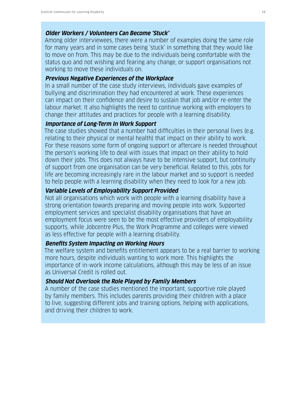#### **Older Workers / Volunteers Can Become 'Stuck'**

Among older interviewees, there were a number of examples doing the same role for many years and in some cases being 'stuck' in something that they would like to move on from. This may be due to the individuals being comfortable with the status quo and not wishing and fearing any change, or support organisations not working to move these individuals on.

#### **Previous Negative Experiences of the Workplace**

In a small number of the case study interviews, individuals gave examples of bullying and discrimination they had encountered at work. These experiences can impact on their confidence and desire to sustain that job and/or re-enter the labour market. It also highlights the need to continue working with employers to change their attitudes and practices for people with a learning disability.

#### **Importance of Long-Term In Work Support**

The case studies showed that a number had difficulties in their personal lives (e.g. relating to their physical or mental health) that impact on their ability to work. For these reasons some form of ongoing support or aftercare is needed throughout the person's working life to deal with issues that impact on their ability to hold down their jobs. This does not always have to be intensive support, but continuity of support from one organisation can be very beneficial. Related to this, jobs for life are becoming increasingly rare in the labour market and so support is needed to help people with a learning disability when they need to look for a new job.

#### **Variable Levels of Employability Support Provided**

Not all organisations which work with people with a learning disability have a strong orientation towards preparing and moving people into work. Supported employment services and specialist disability organisations that have an employment focus were seen to be the most effective providers of employability supports, while Jobcentre Plus, the Work Programme and colleges were viewed as less effective for people with a learning disability.

#### **Benefits System Impacting on Working Hours**

The welfare system and benefits entitlement appears to be a real barrier to working more hours, despite individuals wanting to work more. This highlights the importance of in-work income calculations, although this may be less of an issue as Universal Credit is rolled out.

#### **Should Not Overlook the Role Played by Family Members**

A number of the case studies mentioned the important, supportive role played by family members. This includes parents providing their children with a place to live, suggesting different jobs and training options, helping with applications, and driving their children to work.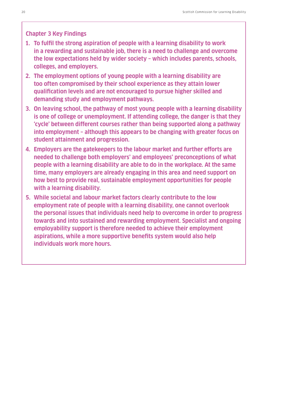#### **Chapter 3 Key Findings**

- **1. To fulfil the strong aspiration of people with a learning disability to work in a rewarding and sustainable job, there is a need to challenge and overcome the low expectations held by wider society – which includes parents, schools, colleges, and employers.**
- **2. The employment options of young people with a learning disability are too often compromised by their school experience as they attain lower qualification levels and are not encouraged to pursue higher skilled and demanding study and employment pathways.**
- **3. On leaving school, the pathway of most young people with a learning disability is one of college or unemployment. If attending college, the danger is that they 'cycle' between different courses rather than being supported along a pathway into employment – although this appears to be changing with greater focus on student attainment and progression.**
- **4. Employers are the gatekeepers to the labour market and further efforts are needed to challenge both employers' and employees' preconceptions of what people with a learning disability are able to do in the workplace. At the same time, many employers are already engaging in this area and need support on how best to provide real, sustainable employment opportunities for people with a learning disability.**
- **5. While societal and labour market factors clearly contribute to the low employment rate of people with a learning disability, one cannot overlook the personal issues that individuals need help to overcome in order to progress towards and into sustained and rewarding employment. Specialist and ongoing employability support is therefore needed to achieve their employment aspirations, while a more supportive benefits system would also help individuals work more hours.**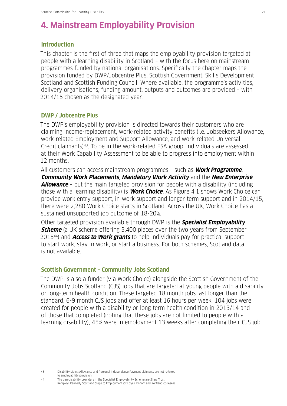## **4. Mainstream Employability Provision**

#### **Introduction**

This chapter is the first of three that maps the employability provision targeted at people with a learning disability in Scotland – with the focus here on mainstream programmes funded by national organisations. Specifically the chapter maps the provision funded by DWP/Jobcentre Plus, Scottish Government, Skills Development Scotland and Scottish Funding Council. Where available, the programme's activities, delivery organisations, funding amount, outputs and outcomes are provided – with 2014/15 chosen as the designated year.

#### **DWP / Jobcentre Plus**

The DWP's employability provision is directed towards their customers who are claiming income-replacement, work-related activity benefits (i.e. Jobseekers Allowance, work-related Employment and Support Allowance, and work-related Universal Credit claimants)43. To be in the work-related ESA group, individuals are assessed at their Work Capability Assessment to be able to progress into employment within 12 months.

All customers can access mainstream programmes – such as **Work Programme**, **Community Work Placements**, **Mandatory Work Activity** and the **New Enterprise Allowance** – but the main targeted provision for people with a disability (including those with a learning disability) is **Work Choice**. As Figure 4.1 shows Work Choice can provide work entry support, in-work support and longer-term support and in 2014/15, there were 2,280 Work Choice starts in Scotland. Across the UK, Work Choice has a sustained unsupported job outcome of 18-20%.

Other targeted provision available through DWP is the **Specialist Employability Scheme** (a UK scheme offering 3,400 places over the two years from September 201544) and **Access to Work grants** to help individuals pay for practical support to start work, stay in work, or start a business. For both schemes, Scotland data is not available.

#### **Scottish Government – Community Jobs Scotland**

The DWP is also a funder (via Work Choice) alongside the Scottish Government of the Community Jobs Scotland (CJS) jobs that are targeted at young people with a disability or long-term health condition. These targeted 18 month jobs last longer than the standard, 6-9 month CJS jobs and offer at least 16 hours per week. 104 jobs were created for people with a disability or long-term health condition in 2013/14 and of those that completed (noting that these jobs are not limited to people with a learning disability), 45% were in employment 13 weeks after completing their CJS job.

43 Disability Living Allowance and Personal Independence Payment claimants are not referred to employability provision.

44 The pan-disability providers in the Specialist Employability Scheme are Shaw Trust, Remploy, Kennedy Scott and Steps to Employment (St Loyes, Enham and Portland Colleges).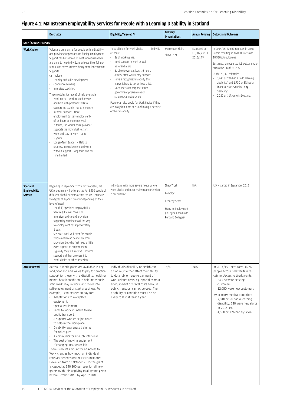### **Figure 4.1: Mainstream Employability Services for People with a Learning Disability in Scotland**

|                                                             | <b>Descriptor</b>                                                                                                                                                                                                                                                                                                                                                                                                                                                                                                                                                                                                                                                                                                                                                                                                                                                                                                                                                                                         | <b>Eligibility/Targeted At</b>                                                                                                                                                                                                                                                                                                                                                                                                                                                                                   | <b>Delivery</b><br><b>Organisations</b>                                                                     | <b>Annual Funding</b>                      | <b>Outputs and Outcomes</b>                                                                                                                                                                                                                                                                                                                                                            |
|-------------------------------------------------------------|-----------------------------------------------------------------------------------------------------------------------------------------------------------------------------------------------------------------------------------------------------------------------------------------------------------------------------------------------------------------------------------------------------------------------------------------------------------------------------------------------------------------------------------------------------------------------------------------------------------------------------------------------------------------------------------------------------------------------------------------------------------------------------------------------------------------------------------------------------------------------------------------------------------------------------------------------------------------------------------------------------------|------------------------------------------------------------------------------------------------------------------------------------------------------------------------------------------------------------------------------------------------------------------------------------------------------------------------------------------------------------------------------------------------------------------------------------------------------------------------------------------------------------------|-------------------------------------------------------------------------------------------------------------|--------------------------------------------|----------------------------------------------------------------------------------------------------------------------------------------------------------------------------------------------------------------------------------------------------------------------------------------------------------------------------------------------------------------------------------------|
| <b>DWP /JOBCENTRE PLUS</b><br><b>Work Choice</b>            | Voluntary programme for people with a disability<br>and provides support around finding employment.<br>Support can be tailored to meet individual needs<br>and aims to help individuals achieve their full po-<br>tential and move towards being more independent.<br>Supports<br>can include:<br>Training and skills development.<br>$\bullet$<br>Confidence building.<br>Interview coaching.<br>$\bullet$<br>Three modules (or levels) of help available:<br>Work Entry - Work-related advice<br>and help with personal skills to<br>support job search - up to 6 months<br>In-Work Support - Once<br>employment (or self-employment)<br>of 16 hours or more per week<br>is found, the Work Choice provider<br>supports the individual to start<br>work and stay in work - up to<br>2 years<br>Longer-Term Support - Help to<br>progress in employment and work<br>without support - long-term and not<br>time limited                                                                                  | To be eligible for Work Choice<br>individu-<br>als must:<br>Be of working age.<br>Need support in work as well<br>as to find a job.<br>Be able to work at least 16 hours<br>a week after Work Entry Support.<br>Have a recognised disability that<br>makes it hard to get or keep a job.<br>Need specialist help that other<br>government programmes or<br>schemes cannot provide.<br>People can also apply for Work Choice if they<br>are in a job but are at risk of losing it because<br>of their disability. | Momentum Skills<br>Shaw Trust                                                                               | Estimated at<br>£8.687.733 in<br>2013/1445 | In 2014/15, 20,860 referrals in Great<br>Britain resulting in 16,060 starts and<br>10,980 job outcomes.<br>Sustained, unsupported job outcome rate<br>across the UK of 18-20%.<br>Of the 20,860 referrals:<br>• 3,940 or 19% had a 'mild learning<br>disability'; and 1,730 or 8% had a<br>'moderate to severe learning<br>disability'.<br>$\bullet$<br>2,280 or 11% were in Scotland. |
| <b>Specialist</b><br><b>Employability</b><br><b>Service</b> | Beginning in September 2015 for two years, the<br>UK programme will offer places for 3,400 people of<br>different disability types across the UK. There are<br>two types of support on offer depending on their<br>level of need.<br>• The (full) Specialist Employability<br>Service (SES) will consist of<br>intensive, end-to-end provision,<br>supporting candidates all the way<br>to employment for approximately<br>1 year.<br>SES Start Back will cater for people<br>whose needs can be met by other<br>provision, but who first need a little<br>extra support to prepare them.<br>Typically they will receive 3 months<br>support and then progress into<br>Work Choice or other provision.                                                                                                                                                                                                                                                                                                    | Individuals with more severe needs where<br>Work Choice and other mainstream provision<br>is not suitable                                                                                                                                                                                                                                                                                                                                                                                                        | Shaw Trust<br>Remploy<br>Kennedy Scott<br>Steps to Employment<br>(St Loyes, Enham and<br>Portland Colleges) | N/A                                        | N/A - started in September 2015                                                                                                                                                                                                                                                                                                                                                        |
| <b>Access to Work</b>                                       | Access to Work grants are available in Eng-<br>land, Scotland and Wales to pay for practical<br>support for those with a disability, health or<br>mental health condition to help individuals<br>start work, stay in work, and move into<br>self-employment or start a business. For<br>example, it can be used to pay for:<br>• Adaptations to workplace<br>equipment.<br>· Special equipment.<br>• Fares to work if unable to use<br>public transport.<br>• A support worker or job coach<br>to help in the workplace.<br>• Disability awareness training<br>for colleagues.<br>• A communicator at a job interview.<br>• The cost of moving equipment<br>if changing location or job.<br>There is no set amount for an Access to<br>Work grant as how much an individual<br>receives depends on their circumstances.<br>However, from 1st October 2015 the grant<br>is capped at £40,800 per year for all new<br>grants (with this applying to all grants given<br>before October 2015 by April 2018). | Individual's disability or health con-<br>dition must either affect their ability<br>to do a job, or require payment of<br>work-related costs, e.g. special comput-<br>er equipment or travel costs because<br>public transport cannot be used. The<br>disability or condition must also be<br>likely to last at least a year.                                                                                                                                                                                   | N/A                                                                                                         | N/A                                        | In 2014/15, there were 36,760<br>people across Great Britain re-<br>ceiving Access to Work grants.<br>• 24,720 were existing<br>customers.<br>• 12,050 were new customers.<br>By primary medical condition:<br>• 2,010 or 5% had a learning<br>disability. 520 were new starts<br>in 2014-15.<br>• 4,550 or 12% had dyslexia.                                                          |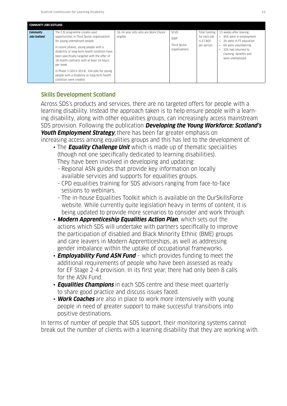|                                          | <b>COMMUNITY JOBS SCOTLAND</b>                                                                                                                                                                                                                                                                                                                                                                                                              |                                                 |                                                            |                                                          |                                                                                                                                                                                                                      |  |  |  |
|------------------------------------------|---------------------------------------------------------------------------------------------------------------------------------------------------------------------------------------------------------------------------------------------------------------------------------------------------------------------------------------------------------------------------------------------------------------------------------------------|-------------------------------------------------|------------------------------------------------------------|----------------------------------------------------------|----------------------------------------------------------------------------------------------------------------------------------------------------------------------------------------------------------------------|--|--|--|
| <b>Community</b><br><b>Jobs Scotland</b> | The CJS programme creates paid<br>opportunities in Third Sector organisations<br>for young unemployed people.<br>In recent phases, young people with a<br>disability or long-term health condition have<br>been specifically targeted with the offer of<br>18 month contracts with at least 16 hours.<br>per week.<br>In Phase 3 (2013-2014), 104 jobs for young<br>people with a disability or long-term health<br>condition were created. | 16-24 year olds who are Work Choice<br>eligible | <b>SCVO</b><br><b>DWP</b><br>Third Sector<br>organisations | Total funding<br>for each job<br>is £7.800<br>per person | 13 weeks after leaving:<br>45% were in employment.<br>$\bullet$<br>• 3% were in FT education.<br>6% were volunteering.<br>$\bullet$<br>32% had returned to<br>$\bullet$<br>claiming benefits and<br>were unemployed. |  |  |  |
|                                          |                                                                                                                                                                                                                                                                                                                                                                                                                                             |                                                 |                                                            |                                                          |                                                                                                                                                                                                                      |  |  |  |

### **Skills Development Scotland**

Across SDS's products and services, there are no targeted offers for people with a learning disability. Instead the approach taken is to help ensure people with a learning disability, along with other equalities groups, can increasingly access mainstream SDS provision. Following the publication **Developing the Young Workforce: Scotland's Youth Employment Strategy**, there has been far greater emphasis on increasing access among equalities groups and this has led to the development of:

- The **Equality Challenge Unit** which is made up of thematic specialities (though not one specifically dedicated to learning disabilities). They have been involved in developing and updating:
	- Regional ASN guides that provide key information on locally available services and supports for equalities groups.
	- CPD equalities training for SDS advisors ranging from face-to-face sessions to webinars.
	- The in-house Equalities Toolkit which is available on the OurSkillsForce website. While currently quite legislation heavy in terms of content, it is being updated to provide more scenarios to consider and work through.
- **Modern Apprenticeship Equalities Action Plan**, which sets out the actions which SDS will undertake with partners specifically to improve the participation of disabled and Black Minority Ethnic (BME) groups and care leavers in Modern Apprenticeships, as well as addressing gender imbalance within the uptake of occupational frameworks.
- **Employability Fund ASN Fund** which provides funding to meet the additional requirements of people who have been assessed as ready for EF Stage 2-4 provision. In its first year, there had only been 8 calls for the ASN Fund.
- **Equalities Champions** in each SDS centre and these meet quarterly to share good practice and discuss issues faced.
- **Work Coaches** are also in place to work more intensively with young people in need of greater support to make successful transitions into positive destinations.

In terms of number of people that SDS support, their monitoring systems cannot break out the number of clients with a learning disability that they are working with.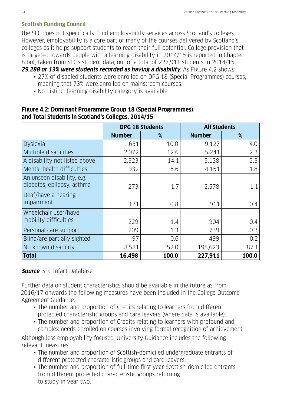### **Scottish Funding Council**

The SFC does not specifically fund employability services across Scotland's colleges. However, employability is a core part of many of the courses delivered by Scotland's colleges as it helps support students to reach their full potential. College provision that is targeted towards people with a learning disability in 2014/15 is reported in Chapter 8 but, taken from SFC's student data, out of a total of 227,911 students in 2014/15, **29,288 or 13% were students recorded as having a disability**. As Figure 4.2 shows:

 • 27% of disabled students were enrolled on DPG 18 (Special Programmes) courses, meaning that 73% were enrolled on mainstream courses.

• No distinct learning disability category is available.

|                                                          |               | <b>DPG 18 Students</b> | <b>All Students</b> |       |
|----------------------------------------------------------|---------------|------------------------|---------------------|-------|
|                                                          | <b>Number</b> | $\%$                   | <b>Number</b>       | %     |
| <b>Dyslexia</b>                                          | 1,651         | 10.0                   | 9,127               | 4.0   |
| Multiple disabilities                                    | 2,072         | 12.6                   | 5,241               | 2.3   |
| A disability not listed above                            | 2,323         | 14.1                   | 5,138               | 2.3   |
| Mental health difficulties                               | 932           | 5.6                    | 4,151               | 1.8   |
| An unseen disability, e.g.<br>diabetes, epilepsy, asthma | 273           | 1.7                    | 2,578               | 1.1   |
| Deaf/have a hearing<br>impairment                        | 131           | 0.8                    | 911                 | 0.4   |
| Wheelchair user/have<br>mobility difficulties            | 229           | 1.4                    | 904                 | 0.4   |
| Personal care support                                    | 209           | 1.3                    | 739                 | 0.3   |
| Blind/are partially sighted                              | 97            | 0.6                    | 499                 | 0.2   |
| No known disability                                      | 8,581         | 52.0                   | 198,623             | 87.1  |
| <b>Total</b>                                             | 16,498        | 100.0                  | 227,911             | 100.0 |

### **Figure 4.2: Dominant Programme Group 18 (Special Programmes) and Total Students in Scotland's Colleges, 2014/15**

### **Source**: SFC Infact Database

Further data on student characteristics should be available in the future as from 2016/17 onwards the following measures have been included in the College Outcome Agreement Guidance:

- The number and proportion of Credits relating to learners from different protected characteristic groups and care leavers (where data is available).
- The number and proportion of Credits relating to learners with profound and complex needs enrolled on courses involving formal recognition of achievement.

Although less employability focused, University Guidance includes the following relevant measures:

- The number and proportion of Scottish-domiciled undergraduate entrants of different protected characteristic groups and care leavers.
- The number and proportion of full-time first year Scottish-domiciled entrants from different protected characteristic groups returning to study in year two.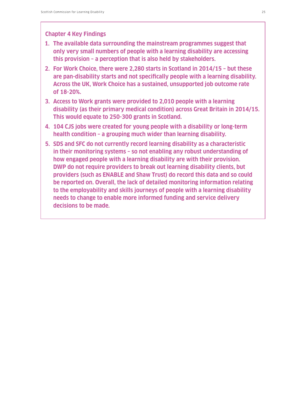### **Chapter 4 Key Findings**

- **1. The available data surrounding the mainstream programmes suggest that only very small numbers of people with a learning disability are accessing this provision – a perception that is also held by stakeholders.**
- **2. For Work Choice, there were 2,280 starts in Scotland in 2014/15 but these are pan-disability starts and not specifically people with a learning disability. Across the UK, Work Choice has a sustained, unsupported job outcome rate of 18-20%.**
- **3. Access to Work grants were provided to 2,010 people with a learning disability (as their primary medical condition) across Great Britain in 2014/15. This would equate to 250-300 grants in Scotland.**
- **4. 104 CJS jobs were created for young people with a disability or long-term health condition – a grouping much wider than learning disability.**
- **5. SDS and SFC do not currently record learning disability as a characteristic in their monitoring systems – so not enabling any robust understanding of how engaged people with a learning disability are with their provision. DWP do not require providers to break out learning disability clients, but providers (such as ENABLE and Shaw Trust) do record this data and so could be reported on. Overall, the lack of detailed monitoring information relating to the employability and skills journeys of people with a learning disability needs to change to enable more informed funding and service delivery decisions to be made.**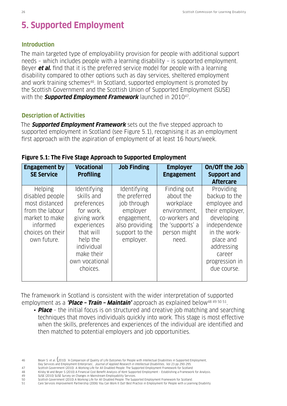## **5. Supported Employment**

#### **Introduction**

The main targeted type of employability provision for people with additional support needs – which includes people with a learning disability – is supported employment. Beyer **et al.** find that it is the preferred service model for people with a learning disability compared to other options such as day services, sheltered employment and work training schemes<sup>46</sup>. In Scotland, supported employment is promoted by the Scottish Government and the Scottish Union of Supported Employment (SUSE) with the **Supported Employment Framework** launched in 2010<sup>47</sup>.

#### **Description of Activities**

The **Supported Employment Framework** sets out the five stepped approach to supported employment in Scotland (see Figure 5.1), recognising it as an employment first approach with the aspiration of employment of at least 16 hours/week.

| <b>Engagement by</b><br><b>SE Service</b>                                                                                               | <b>Vocational</b><br><b>Profiling</b>                                                                                                                                  | <b>Job Finding</b>                                                                                                      | <b>Employer</b><br><b>Engagement</b>                                                                                 | On/Off the Job<br><b>Support and</b><br><b>Aftercare</b>                                                                                                                          |
|-----------------------------------------------------------------------------------------------------------------------------------------|------------------------------------------------------------------------------------------------------------------------------------------------------------------------|-------------------------------------------------------------------------------------------------------------------------|----------------------------------------------------------------------------------------------------------------------|-----------------------------------------------------------------------------------------------------------------------------------------------------------------------------------|
| <b>Helping</b><br>disabled people<br>most distanced<br>from the labour<br>market to make<br>informed<br>choices on their<br>own future. | Identifying<br>skills and<br>preferences<br>for work.<br>giving work<br>experiences<br>that will<br>help the<br>individual<br>make their<br>own vocational<br>choices. | Identifying<br>the preferred<br>job through<br>emplover<br>engagement,<br>also providing<br>support to the<br>employer. | Finding out<br>about the<br>workplace<br>environment,<br>co-workers and<br>the 'supports' a<br>person might<br>need. | Providing<br>backup to the<br>employee and<br>their employer.<br>developing<br>independeNce<br>in the work-<br>place and<br>addressing<br>career<br>progression in<br>due course. |

|  | Figure 5.1: The Five Stage Approach to Supported Employment |  |  |  |  |  |
|--|-------------------------------------------------------------|--|--|--|--|--|
|--|-------------------------------------------------------------|--|--|--|--|--|

The framework in Scotland is consistent with the wider interpretation of supported employment as a **'Place – Train – Maintain'** approach as explained below48 49 50 51.

 • **Place** – the initial focus is on structured and creative job matching and searching techniques that moves individuals quickly into work. This stage is most effective when the skills, preferences and experiences of the individual are identified and then matched to potential employers and job opportunities.

<sup>46</sup> Beyer S et al. (2010) 'A Comparison of Quality of Life Outcomes for People with Intellectual Disabilities in Supported Employment,

Day Services and Employment Enterprises', Journal of Applied Research in Intellectual Disabilities, Vol 23 pp 290-295.

<sup>47</sup> Scottish Government (2010) A Working Life for All Disabled People: The Supported Employment Framework for Scotland

<sup>48</sup> Kilsby M and Beyer S (2010) A Financial Cost Benefit Analysis of Kent Supported Employment – Establishing a Framework for Analysis.

<sup>49</sup> SUSE (2010) SUSE Survey on Changes in Mainstream Employability Services.

<sup>50</sup> Scottish Government (2010) A Working Life for All Disabled People: The Supported Employment Framework for Scotland.

<sup>51</sup> Care Services Improvement Partnership (2006) You Can Work It Out! Best Practice in Employment for People with a Learning Disability.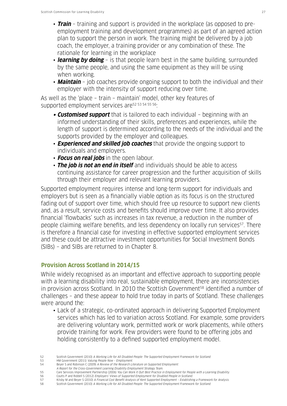- **Train** training and support is provided in the workplace (as opposed to pre employment training and development programmes) as part of an agreed action plan to support the person in work. The training might be delivered by a job coach, the employer, a training provider or any combination of these. The rationale for learning in the workplace
- **learning by doing** is that people learn best in the same building, surrounded by the same people, and using the same equipment as they will be using when working.
- **Maintain** job coaches provide ongoing support to both the individual and their employer with the intensity of support reducing over time.

As well as the 'place – train – maintain' model, other key features of supported employment services are<sup>52 53 54 55 56</sup>:

- **• Customised support** that is tailored to each individual beginning with an informed understanding of their skills, preferences and experiences, while the length of support is determined according to the needs of the individual and the supports provided by the employer and colleagues.
- **Experienced and skilled job coaches** that provide the ongoing support to individuals and employers.
- **Focus on real jobs** in the open labour.
- **The job is not an end in itself** and individuals should be able to access continuing assistance for career progression and the further acquisition of skills through their employer and relevant learning providers.

Supported employment requires intense and long-term support for individuals and employers but is seen as a financially viable option as its focus is on the structured fading out of support over time, which should free up resource to support new clients and, as a result, service costs and benefits should improve over time. It also provides financial 'flowbacks' such as increases in tax revenue, a reduction in the number of people claiming welfare benefits, and less dependency on locally run services<sup>57</sup>. There is therefore a financial case for investing in effective supported employment services and these could be attractive investment opportunities for Social Investment Bonds (SIBs) – and SIBs are returned to in Chapter 8.

## **Provision Across Scotland in 2014/15**

While widely recognised as an important and effective approach to supporting people with a learning disability into real, sustainable employment, there are inconsistencies in provision across Scotland. In 2010 the Scottish Government<sup>58</sup> identified a number of challenges – and these appear to hold true today in parts of Scotland. These challenges were around the:

 • Lack of a strategic, co-ordinated approach in delivering Supported Employment services which has led to variation across Scotland. For example, some providers are delivering voluntary work, permitted work or work placements, while others provide training for work. Few providers were found to be offering jobs and holding consistently to a defined supported employment model.

- 53 HM Government (2011) Valuing People Now Employment.
- 54 Beyer S and Robinson C (2009) A Review of the Research Literature on Supported Employment:
- A Report for the Cross-Government Learning Disability Employment Strategy Team.
- 55 Care Services Improvement Partnership (2006) You Can Work It Out! Best Practice in Employment for People with a Learning Disability<br>56 Coutts P and Riddell S (2012) Employers' Views of Supported Employment for Disabled 56 Coutts P and Riddell S (2012) Employers' Views of Supported Employment for Disabled People in Scotland.
- 57 Kilsby M and Beyer S (2010) A Financial Cost Benefit Analysis of Kent Supported Employment Establishing a Framework for Analysis.
- 58 Scottish Government (2010) A Working Life for All Disabled People: The Supported Employment Framework for Scotland.

<sup>52</sup> Scottish Government (2010) A Working Life for All Disabled People: The Supported Employment Framework for Scotland.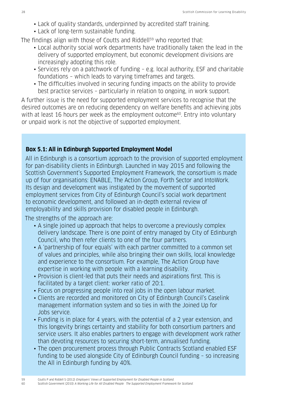- Lack of quality standards, underpinned by accredited staff training.
- Lack of long-term sustainable funding.

The findings align with those of Coutts and Riddell<sup>59</sup> who reported that:

- Local authority social work departments have traditionally taken the lead in the delivery of supported employment, but economic development divisions are increasingly adopting this role.
- Services rely on a patchwork of funding e.g. local authority, ESF and charitable foundations – which leads to varying timeframes and targets.
- The difficulties involved in securing funding impacts on the ability to provide best practice services – particularly in relation to ongoing, in work support.

A further issue is the need for supported employment services to recognise that the desired outcomes are on reducing dependency on welfare benefits and achieving jobs with at least 16 hours per week as the employment outcome<sup>60</sup>. Entry into voluntary or unpaid work is not the objective of supported employment.

### **Box 5.1: All in Edinburgh Supported Employment Model**

All in Edinburgh is a consortium approach to the provision of supported employment for pan-disability clients in Edinburgh. Launched in May 2015 and following the Scottish Government's Supported Employment Framework, the consortium is made up of four organisations: ENABLE, The Action Group, Forth Sector and IntoWork. Its design and development was instigated by the movement of supported employment services from City of Edinburgh Council's social work department to economic development, and followed an in-depth external review of employability and skills provision for disabled people in Edinburgh.

The strengths of the approach are:

- A single joined up approach that helps to overcome a previously complex delivery landscape. There is one point of entry managed by City of Edinburgh Council, who then refer clients to one of the four partners.
- A 'partnership of four equals' with each partner committed to a common set of values and principles, while also bringing their own skills, local knowledge and experience to the consortium. For example, The Action Group have expertise in working with people with a learning disability.
- Provision is client-led that puts their needs and aspirations first. This is facilitated by a target client: worker ratio of 20:1.
- Focus on progressing people into real jobs in the open labour market.
- Clients are recorded and monitored on City of Edinburgh Council's Caselink management information system and so ties in with the Joined Up for Jobs service.
- Funding is in place for 4 years, with the potential of a 2 year extension, and this longevity brings certainty and stability for both consortium partners and service users. It also enables partners to engage with development work rather than devoting resources to securing short-term, annualised funding.
- The open procurement process through Public Contracts Scotland enabled ESF funding to be used alongside City of Edinburgh Council funding – so increasing the All in Edinburgh funding by 40%.

<sup>59</sup> Coutts P and Riddell S (2012) Employers' Views of Supported Employment for Disabled People in Scotland. 60 Scottish Government (2010) A Working Life for All Disabled People: The Supported Employment Framework for Scotland.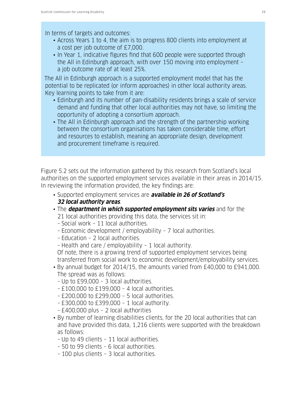### In terms of targets and outcomes:

- Across Years 1 to 4, the aim is to progress 800 clients into employment at a cost per job outcome of £7,000.
- In Year 1, indicative figures find that 600 people were supported through the All in Edinburgh approach, with over 150 moving into employment – a job outcome rate of at least 25%.

The All in Edinburgh approach is a supported employment model that has the potential to be replicated (or inform approaches) in other local authority areas. Key learning points to take from it are:

- Edinburgh and its number of pan-disability residents brings a scale of service demand and funding that other local authorities may not have, so limiting the opportunity of adopting a consortium approach.
- The All in Edinburgh approach and the strength of the partnership working between the consortium organisations has taken considerable time, effort and resources to establish, meaning an appropriate design, development and procurement timeframe is required.

Figure 5.2 sets out the information gathered by this research from Scotland's local authorities on the supported employment services available in their areas in 2014/15. In reviewing the information provided, the key findings are:

- Supported employment services are **available in 26 of Scotland's 32 local authority areas**.
- The **department in which supported employment sits varies** and for the 21 local authorities providing this data, the services sit in:
	- Social work 11 local authorities.
	- Economic development / employability 7 local authorities.
	- Education 2 local authorities.
	- Health and care / employability 1 local authority.

 Of note, there is a growing trend of supported employment services being transferred from social work to economic development/employability services.

- By annual budget for 2014/15, the amounts varied from £40,000 to £941,000. The spread was as follows:
	- Up to £99,000 3 local authorities.
	- £100,000 to £199,000 4 local authorities.
	- £200,000 to £299,000 5 local authorities.
	- £300,000 to £399,000 1 local authority.
	- £400,000 plus 2 local authorities
- By number of learning disabilities clients, for the 20 local authorities that can and have provided this data, 1,216 clients were supported with the breakdown as follows:
	- Up to 49 clients 11 local authorities.
	- 50 to 99 clients 6 local authorities.
	- 100 plus clients 3 local authorities.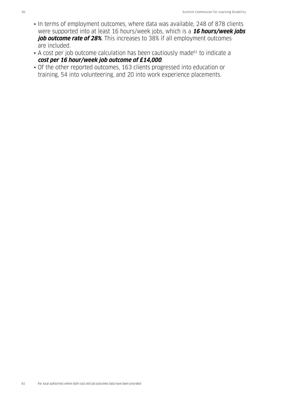- In terms of employment outcomes, where data was available, 248 of 878 clients were supported into at least 16 hours/week jobs, which is a **16 hours/week jobs job outcome rate of 28%**. This increases to 38% if all employment outcomes are included.
- A cost per job outcome calculation has been cautiously made<sup>61</sup> to indicate a **cost per 16 hour/week job outcome of £14,000**.
- Of the other reported outcomes, 163 clients progressed into education or training, 54 into volunteering, and 20 into work experience placements.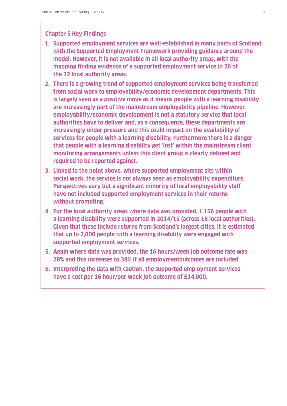#### **Chapter 5 Key Findings**

- **1. Supported employment services are well-established in many parts of Scotland with the Supported Employment Framework providing guidance around the model. However, it is not available in all local authority areas, with the mapping finding evidence of a supported employment service in 26 of the 32 local authority areas.**
- **2. There is a growing trend of supported employment services being transferred from social work to employability/economic development departments. This is largely seen as a positive move as it means people with a learning disability are increasingly part of the mainstream employability pipeline. However, employability/economic development is not a statutory service that local authorities have to deliver and, as a consequence, these departments are increasingly under pressure and this could impact on the availability of services for people with a learning disability. Furthermore there is a danger that people with a learning disability get 'lost' within the mainstream client monitoring arrangements unless this client group is clearly defined and required to be reported against.**
- **3. Linked to the point above, where supported employment sits within social work, the service is not always seen as employability expenditure. Perspectives vary but a significant minority of local employability staff have not included supported employment services in their returns without prompting.**
- **4. For the local authority areas where data was provided, 1,156 people with a learning disability were supported in 2014/15 (across 18 local authorities). Given that these include returns from Scotland's largest cities, it is estimated that up to 2,000 people with a learning disability were engaged with supported employment services.**
- **5. Again where data was provided, the 16 hours/week job outcome rate was 28% and this increases to 38% if all employmentoutcomes are included.**
- **6. Interpreting the data with caution, the supported employment services have a cost per 16 hour/per week job outcome of £14,000.**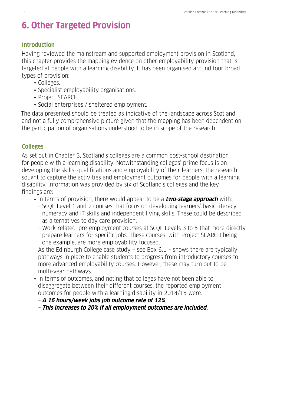## **6. Other Targeted Provision**

#### **Introduction**

Having reviewed the mainstream and supported employment provision in Scotland, this chapter provides the mapping evidence on other employability provision that is targeted at people with a learning disability. It has been organised around four broad types of provision:

- Colleges.
- Specialist employability organisations.
- Project SEARCH.
- Social enterprises / sheltered employment.

The data presented should be treated as indicative of the landscape across Scotland and not a fully comprehensive picture given that the mapping has been dependent on the participation of organisations understood to be in scope of the research.

### **Colleges**

As set out in Chapter 3, Scotland's colleges are a common post-school destination for people with a learning disability. Notwithstanding colleges' prime focus is on developing the skills, qualifications and employability of their learners, the research sought to capture the activities and employment outcomes for people with a learning disability. Information was provided by six of Scotland's colleges and the key findings are:

- In terms of provision, there would appear to be a **two-stage approach** with:
	- SCQF Level 1 and 2 courses that focus on developing learners' basic literacy, numeracy and IT skills and independent living skills. These could be described as alternatives to day care provision.
	- Work-related, pre-employment courses at SCQF Levels 3 to 5 that more directly prepare learners for specific jobs. These courses, with Project SEARCH being one example, are more employability focused.

 As the Edinburgh College case study – see Box 6.1 – shows there are typically pathways in place to enable students to progress from introductory courses to more advanced employability courses. However, these may turn out to be multi-year pathways.

 • In terms of outcomes, and noting that colleges have not been able to disaggregate between their different courses, the reported employment outcomes for people with a learning disability in 2014/15 were:

– **A 16 hours/week jobs job outcome rate of 12%**.

– **This increases to 20% if all employment outcomes are included.**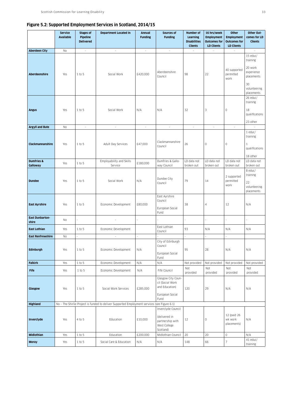#### **Figure 5.2: Supported Employment Services in Scotland, 2014/15**

|                                 | <b>Service</b><br><b>Available</b> | <b>Stages of</b><br>Pipeline | <b>Department Located In</b>                                                                 | <b>Annual</b><br><b>Funding</b> | Sources of<br><b>Funding</b>                                                         | Number of<br>Learning    | 16 hrs/week<br><b>Employment</b>         | Other<br><b>Employment</b>               | Other Out-<br>comes for LD                              |
|---------------------------------|------------------------------------|------------------------------|----------------------------------------------------------------------------------------------|---------------------------------|--------------------------------------------------------------------------------------|--------------------------|------------------------------------------|------------------------------------------|---------------------------------------------------------|
|                                 |                                    | <b>Delivered</b>             |                                                                                              |                                 |                                                                                      | <b>Disabilities</b>      | <b>Outcomes for</b><br><b>LD Clients</b> | <b>Outcomes for</b><br><b>LD Clients</b> | <b>Clients</b>                                          |
|                                 |                                    |                              | $\sim$                                                                                       | $\overline{\phantom{a}}$        | $\overline{\phantom{a}}$                                                             | <b>Clients</b>           | $\sim$                                   | ×                                        | ÷.                                                      |
| <b>Aberdeen City</b>            | No                                 | $\sim$                       |                                                                                              |                                 |                                                                                      |                          |                                          |                                          | 15 educ/<br>training                                    |
| Aberdeenshire                   | Yes                                | 1 to 5                       | Social Work                                                                                  | £420,000                        | Aberdeenshire<br>Council                                                             | 98                       | 22                                       | 40 supported<br>permitted<br>work        | 20 work<br>experience<br>placements                     |
|                                 |                                    |                              |                                                                                              |                                 |                                                                                      |                          |                                          |                                          | 30<br>volunteering<br>placements                        |
|                                 |                                    |                              |                                                                                              |                                 |                                                                                      |                          |                                          |                                          | 26 educ/<br>training                                    |
| <b>Angus</b>                    | Yes                                | 1 to 5                       | Social Work                                                                                  | N/A                             | N/A                                                                                  | 32                       | 3                                        | $\mathbb O$                              | 18<br>qualifications                                    |
|                                 |                                    |                              |                                                                                              |                                 |                                                                                      |                          |                                          |                                          | 23 other                                                |
| <b>Argyll and Bute</b>          | No                                 | $\sim$                       | $\sim$                                                                                       | $\sim$                          | $\sim$                                                                               | $\overline{\phantom{a}}$ | $\sim$                                   | $\sim$                                   | 1 educ/                                                 |
| Clackmannanshire                | Yes                                | 1 to 5                       | Adult Day Services                                                                           | £47,000                         | Clackmannanshire<br>Council                                                          | 26                       | 0                                        | $\circ$                                  | training<br>$\mathbf{1}$<br>qualifications              |
|                                 |                                    |                              |                                                                                              |                                 |                                                                                      |                          |                                          |                                          | 18 other                                                |
| <b>Dumfries &amp;</b>           |                                    |                              | Employability and Skills                                                                     |                                 | Dumfries & Gallo-                                                                    | LD data not              | LD data not                              | LD data not                              | LD data not                                             |
| Galloway                        | Yes                                | 1 to 5                       | Service                                                                                      | £180,000                        | way Council                                                                          | broken out               | broken out                               | broken out                               | broken out                                              |
| <b>Dundee</b>                   | Yes                                | 1 to 5                       | Social Work                                                                                  | N/A                             | Dundee City<br>Council                                                               | 79                       | 14                                       | 2 supported<br>permitted<br>work         | 8 educ/<br>training<br>22<br>volunteering<br>placements |
| <b>East Ayrshire</b>            | Yes                                | 1 to 5                       | Economic Development                                                                         | £80,000                         | East Ayrshire<br>Council<br>European Social<br>Fund                                  | 38                       | 4                                        | 12                                       | N/A                                                     |
| <b>East Dunbarton-</b><br>shire | No                                 |                              |                                                                                              |                                 |                                                                                      |                          |                                          | $\overline{\phantom{a}}$                 |                                                         |
| <b>East Lothian</b>             | Yes                                | 1 to 5                       | Economic Development                                                                         |                                 | East Lothian<br>Council                                                              | 93                       | N/A                                      | N/A                                      | N/A                                                     |
| <b>East Renfrewshire</b>        | N <sub>0</sub>                     |                              | $\overline{\phantom{a}}$                                                                     |                                 |                                                                                      |                          |                                          | ÷,                                       |                                                         |
| Edinburgh                       | Yes                                | 1 to 5                       | Economic Development                                                                         | N/A                             | City of Edinburgh<br>Council<br>European Social<br>Fund                              | 95                       | 28                                       | N/A                                      | N/A                                                     |
| <b>Falkirk</b>                  | Yes                                | 1 to 5                       | Economic Development                                                                         | N/A                             | N/A                                                                                  | Not provided             | Not provided                             | Not provided                             | Not provided                                            |
| <b>Fife</b>                     | Yes                                | 1 to 5                       | Economic Development                                                                         | N/A                             | Fife Council                                                                         | Not<br>provided          | Not<br>provided                          | Not<br>provided                          | Not<br>provided                                         |
| Glasgow                         | Yes                                | 1 to 5                       | Social Work Services                                                                         | £285,000                        | Glasgow City Coun-<br>cil (Social Work<br>and Education)<br>European Social<br>Fund  | 120                      | 29                                       | N/A                                      | N/A                                                     |
| <b>Highland</b>                 |                                    |                              | No - The Shirlie Project is funded to deliver Supported Employment services (see Figure 6.1) |                                 |                                                                                      |                          |                                          |                                          |                                                         |
| Inverclyde                      | Yes                                | 4 to 5                       | Education                                                                                    | £10,000                         | Inverclyde Council<br>(delivered in<br>partnership with<br>West College<br>Scotland) | 12                       | $\mathbb O$                              | 12 (paid 26<br>wk work<br>placements)    | N/A                                                     |
| Midlothian                      | Yes                                | 1 to 5                       | Education                                                                                    | £200,000                        | Midlothian Council                                                                   | 20                       | 20                                       | $\mathbb O$                              | N/A                                                     |
| <b>Moray</b>                    | Yes                                | 1 to 5                       | Social Care & Education                                                                      | N/A                             | N/A                                                                                  | 148                      | 66                                       | $\overline{7}$                           | 41 educ/<br>training                                    |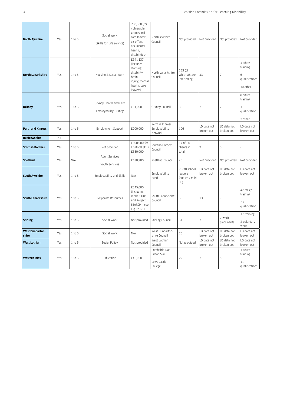| <b>North Ayrshire</b>           | Yes            | 1 to 5              | Social Work<br>(Skills for Life service)       | 200,000 (for<br>vulnerable<br>groups incl<br>care leavers,<br>ex-offend-<br>ers, mental<br>health,<br>disabilities) | North Ayrshire<br>Council                              | Not provided                                     | Not provided              | Not provided              | Not provided                                           |
|---------------------------------|----------------|---------------------|------------------------------------------------|---------------------------------------------------------------------------------------------------------------------|--------------------------------------------------------|--------------------------------------------------|---------------------------|---------------------------|--------------------------------------------------------|
| <b>North Lanarkshire</b>        | Yes            | 1 to 5              | Housing & Social Work                          | £941,137<br>(includes<br>learning<br>disability,<br>brain<br>injury, mental<br>health, care<br>leavers)             | North Lanarkshire<br>Council                           | 233 (of<br>which 85 are<br>job finding)          | 33                        | $\overline{7}$            | 4 educ/<br>training<br>6<br>qualifications<br>10 other |
| <b>Orkney</b>                   | Yes            | 1 to 5              | Orkney Health and Care<br>Employability Orkney | £51,000                                                                                                             | Orkney Council                                         | 8                                                | $\overline{2}$            | $\sqrt{2}$                | 8 educ/<br>training<br>1<br>qualification<br>2 other   |
| <b>Perth and Kinross</b>        | Yes            | $1$ to 5            | Employment Support                             | £200,000                                                                                                            | Perth & Kinross<br>Employability<br>Network            | 106                                              | LD data not<br>broken out | LD data not<br>broken out | LD data not<br>broken out                              |
| <b>Renfrewshire</b>             | N <sub>0</sub> | $\bar{\phantom{a}}$ | $\bar{\phantom{a}}$                            |                                                                                                                     |                                                        |                                                  | $\overline{\phantom{a}}$  | $\bar{\phantom{a}}$       |                                                        |
| <b>Scottish Borders</b>         | Yes            | 1 to 5              | Not provided                                   | £100,000 for<br>LD (total SE is<br>£350,000)                                                                        | Scottish Borders<br>Council                            | 17 of 60<br>clients in<br>total                  | 9                         | $\ensuremath{\mathsf{3}}$ |                                                        |
| <b>Shetland</b>                 | Yes            | N/A                 | Adult Services<br>Youth Services               | £180,900                                                                                                            | Shetland Council                                       | 46                                               | Not provided              | Not provided              | Not provided                                           |
| <b>South Ayrshire</b>           | Yes            | 1 to 5              | Employability and Skills                       | N/A                                                                                                                 | Employability<br>Fund                                  | 20-30 school<br>leavers<br>(autism / mild<br>LD) | LD data not<br>broken out | LD data not<br>broken out | LD data not<br>broken out                              |
| <b>South Lanarkshire</b>        | Yes            | 1 to 5              | Corporate Resources                            | £345,000<br>(including<br>Work It Out<br>and Project<br>SEARCH - see<br>Figure 6.1)                                 | South Lanarkshire<br>Council                           | 55                                               | 13                        |                           | 42 educ/<br>training<br>23<br>qualification            |
| <b>Stirling</b>                 | Yes            | 1 to 5              | Social Work                                    | Not provided                                                                                                        | Stirling Council                                       | 61                                               | 3                         | 2 work<br>placements      | 17 training<br>2 voluntary<br>work                     |
| <b>West Dunbarton-</b><br>shire | Yes            | 1 to 5              | Social Work                                    | N/A                                                                                                                 | West Dunbarton-<br>shire Council                       | 20                                               | LD data not<br>broken out | LD data not<br>broken out | LD data not<br>broken out                              |
| <b>West Lothian</b>             | Yes            | 1 to 5              | Social Policy                                  | Not provided                                                                                                        | West Lothian<br>Council                                | Not provided                                     | LD data not<br>broken out | LD data not<br>broken out | LD data not<br>broken out                              |
| <b>Western Isles</b>            | Yes            | 1 to 5              | Education                                      | £40,000                                                                                                             | Comhairle Nan<br>Eilean Siar<br>Lews Castle<br>College | 22                                               | $\overline{c}$            | 5                         | 1 educ/<br>training<br>11<br>qualifications            |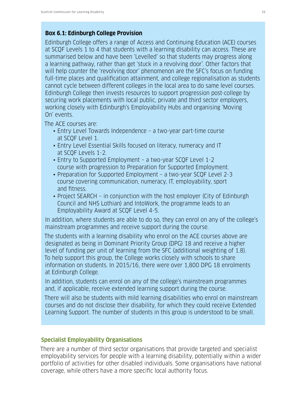#### **Box 6.1: Edinburgh College Provision**

Edinburgh College offers a range of Access and Continuing Education (ACE) courses at SCQF Levels 1 to 4 that students with a learning disability can access. These are summarised below and have been 'Levelled' so that students may progress along a learning pathway, rather than get 'stuck in a revolving door'. Other factors that will help counter the 'revolving door' phenomenon are the SFC's focus on funding full-time places and qualification attainment, and college regionalisation as students cannot cycle between different colleges in the local area to do same level courses. Edinburgh College then invests resources to support progression post-college by securing work placements with local public, private and third sector employers, working closely with Edinburgh's Employability Hubs and organising 'Moving On' events.

The ACE courses are:

- Entry Level Towards Independence a two-year part-time course at SCQF Level 1.
- Entry Level Essential Skills focused on literacy, numeracy and IT at SCQF Levels 1-2.
- Entry to Supported Employment a two-year SCQF Level 1-2 course with progression to Preparation for Supported Employment.
- Preparation for Supported Employment a two-year SCQF Level 2-3 course covering communication, numeracy, IT, employability, sport and fitness.
- Project SEARCH in conjunction with the host employer (City of Edinburgh Council and NHS Lothian) and IntoWork, the programme leads to an Employability Award at SCQF Level 4-5.

In addition, where students are able to do so, they can enrol on any of the college's mainstream programmes and receive support during the course.

The students with a learning disability who enrol on the ACE courses above are designated as being in Dominant Priority Group (DPG) 18 and receive a higher level of funding per unit of learning from the SFC (additional weighting of 1.8). To help support this group, the College works closely with schools to share information on students. In 2015/16, there were over 1,800 DPG 18 enrolments at Edinburgh College.

In addition, students can enrol on any of the college's mainstream programmes and, if applicable, receive extended learning support during the course.

There will also be students with mild learning disabilities who enrol on mainstream courses and do not disclose their disability, for which they could receive Extended Learning Support. The number of students in this group is understood to be small.

#### **Specialist Employability Organisations**

There are a number of third sector organisations that provide targeted and specialist employability services for people with a learning disability, potentially within a wider portfolio of activities for other disabled individuals. Some organisations have national coverage, while others have a more specific local authority focus.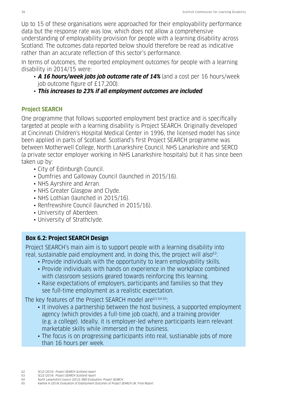Up to 15 of these organisations were approached for their employability performance data but the response rate was low, which does not allow a comprehensive understanding of employability provision for people with a learning disability across Scotland. The outcomes data reported below should therefore be read as indicative rather than an accurate reflection of this sector's performance.

In terms of outcomes, the reported employment outcomes for people with a learning disability in 2014/15 were:

- **A 16 hours/week jobs job outcome rate of 14%** (and a cost per 16 hours/week job outcome figure of £17,200).
- **This increases to 23% if all employment outcomes are included**.

### **Project SEARCH**

One programme that follows supported employment best practice and is specifically targeted at people with a learning disability is Project SEARCH. Originally developed at Cincinnati Children's Hospital Medical Center in 1996, the licensed model has since been applied in parts of Scotland. Scotland's first Project SEARCH programme was between Motherwell College, North Lanarkshire Council, NHS Lanarkshire and SERCO (a private sector employer working in NHS Lanarkshire hospitals) but it has since been taken up by:

- City of Edinburgh Council.
- Dumfries and Galloway Council (launched in 2015/16).
- NHS Ayrshire and Arran.
- NHS Greater Glasgow and Clyde.
- NHS Lothian (launched in 2015/16).
- Renfrewshire Council (launched in 2015/16).
- University of Aberdeen.
- University of Strathclyde.

## **Box 6.2: Project SEARCH Design**

Project SEARCH's main aim is to support people with a learning disability into real, sustainable paid employment and, in doing this, the project will also<sup>62</sup>:

- Provide individuals with the opportunity to learn employability skills.
- Provide individuals with hands on experience in the workplace combined with classroom sessions geared towards reinforcing this learning.
- Raise expectations of employers, participants and families so that they see full-time employment as a realistic expectation.

The key features of the Project SEARCH model are63 64 65:

- It involves a partnership between the host business, a supported employment agency (which provides a full-time job coach), and a training provider (e.g. a college). Ideally, it is employer-led where participants learn relevant marketable skills while immersed in the business.
- The focus is on progressing participants into real, sustianable jobs of more than 16 hours per week.

- 63 SCLD (2014) Project SEARCH Scotland report
- 64 North Lanarkshire Council (2013) SROI Evaluation: Project SEARCH.
- 65 Kaehne A (2014) Evaluation of Employment Outcomes of Project SEARCH UK: Final Report.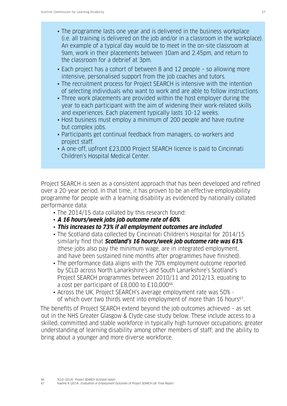- The programme lasts one year and is delivered in the business workplace (i.e. all training is delivered on the job and/or in a classroom in the workplace). An example of a typical day would be to meet in the on-site classroom at 9am, work in their placements between 10am and 2.45pm, and return to the classroom for a debrief at 3pm.
- Each project has a cohort of between 8 and 12 people so allowing more intensive, personalised support from the job coaches and tutors.
- The recruitment process for Project SEARCH is intensive with the intention of selecting individuals who want to work and are able to follow instructions.
- Three work placements are provided within the host employer during the year to each participant with the aim of widening their work-related skills and experiences. Each placement typically lasts 10-12 weeks.
- Host business must employ a minimum of 200 people and have routine but complex jobs.
- Participants get continual feedback from managers, co-workers and project staff.
- A one-off, upfront £23,000 Project SEARCH licence is paid to Cincinnati Children's Hospital Medical Center.

Project SEARCH is seen as a consistent approach that has been developed and refined over a 20-year period. In that time, it has proven to be an effective employability programme for people with a learning disability as evidenced by nationally collated performance data:

- The 2014/15 data collated by this research found:
- **A 16 hours/week jobs job outcome rate of 60%**.
- **This increases to 73% if all employment outcomes are included**.
- The Scotland data collected by Cincinnati Children's Hospital for 2014/15 similarly find that **Scotland's 16 hours/week job outcome rate was 61%** (these jobs also pay the minimum wage, are in integrated employment, and have been sustained nine months after programmes have finished).
- The performance data aligns with the 70% employment outcome reported by SCLD across North Lanarkshire's and South Lanarkshire's Scotland's Project SEARCH programmes between 2010/11 and 2012/13, equating to a cost per participant of £8,000 to £10,00066.
- Across the UK, Project SEARCH's average employment rate was 50% of which over two thirds went into employment of more than 16 hours<sup>67</sup>.

The benefits of Project SEARCH extend beyond the job outcomes achieved – as set out in the NHS Greater Glasgow & Clyde case study below. These include access to a skilled, committed and stable workforce in typically high turnover occupations; greater understanding of learning disability among other members of staff; and the ability to bring about a younger and more diverse workforce.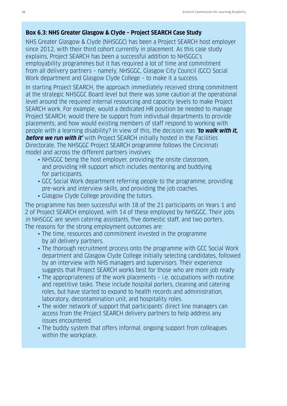#### **Box 6.3: NHS Greater Glasgow & Clyde – Project SEARCH Case Study**

NHS Greater Glasgow & Clyde (NHSGGC) has been a Project SEARCH host employer since 2012, with their third cohort currently in placement. As this case study explains, Project SEARCH has been a successful addition to NHSGGC's employability programmes but it has required a lot of time and commitment from all delivery partners – namely, NHSGGC, Glasgow City Council (GCC) Social Work department and Glasgow Clyde College – to make it a success.

In starting Project SEARCH, the approach immediately received strong commitment at the strategic NHSGGC Board level but there was some caution at the operational level around the required internal resourcing and capacity levels to make Project SEARCH work. For example, would a dedicated HR position be needed to manage Project SEARCH; would there be support from individual departments to provide placements; and how would existing members of staff respond to working with people with a learning disability? In view of this, the decision was **'to walk with it, before we run with it'** with Project SEARCH initially hosted in the Facilities Directorate. The NHSGGC Project SEARCH programme follows the Cincinnati model and across the different partners involves:

- NHSGGC being the host employer, providing the onsite classroom, and providing HR support which includes mentoring and buddying for participants.
- GCC Social Work department referring people to the programme, providing pre-work and interview skills, and providing the job coaches.
- Glasgow Clyde College providing the tutors.

The programme has been successful with 18 of the 21 participants on Years 1 and 2 of Project SEARCH employed, with 14 of these employed by NHSGGC. Their jobs in NHSGGC are seven catering assistants, five domestic staff, and two porters. The reasons for the strong employment outcomes are:

- The time, resources and commitment invested in the programme by all delivery partners.
- The thorough recruitment process onto the programme with GCC Social Work department and Glasgow Clyde College initially selecting candidates, followed by an interview with NHS managers and supervisors. Their experience suggests that Project SEARCH works best for those who are more job ready
- The appropriateness of the work placements i.e. occupations with routine and repetitive tasks. These include hospital porters, cleaning and catering roles, but have started to expand to health records and administration, laboratory, decontamination unit, and hospitality roles.
- The wider network of support that participants' direct line managers can access from the Project SEARCH delivery partners to help address any issues encountered.
- The buddy system that offers informal, ongoing support from colleagues within the workplace.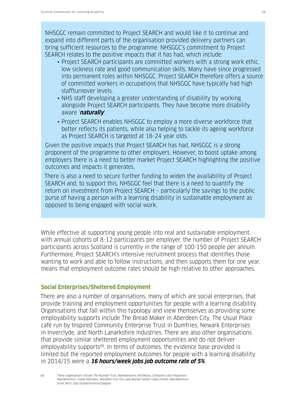NHSGGC remain committed to Project SEARCH and would like it to continue and expand into different parts of the organisation provided delivery partners can bring sufficient resources to the programme. NHSGGC's commitment to Project SEARCH relates to the positive impacts that it has had, which include:

- Project SEARCH participants are committed workers with a strong work ethic, low sickness rate and good communication skills. Many have since progressed into permanent roles within NHSGGC. Project SEARCH therefore offers a source of committed workers in occupations that NHSGGC have typically had high staffturnover levels.
- NHS staff developing a greater understanding of disability by working alongside Project SEARCH participants. They have become more disability aware '**naturally**'.
- Project SEARCH enables NHSGGC to employ a more diverse workforce that better reflects its patients, while also helping to tackle its ageing workforce as Project SEARCH is targeted at 18-24 year olds.

Given the positive impacts that Project SEARCH has had, NHSGGC is a strong proponent of the programme to other employers. However, to boost uptake among employers there is a need to better market Project SEARCH highlighting the positive outcomes and impacts it generates.

There is also a need to secure further funding to widen the availability of Project SEARCH and, to support this, NHSGGC feel that there is a need to quantify the return on investment from Project SEARCH – particularly the savings to the public purse of having a person with a learning disability in sustainable employment as opposed to being engaged with social work.

While effective at supporting young people into real and sustainable employment, with annual cohorts of 8-12 participants per employer, the number of Project SEARCH participants across Scotland is currently in the range of 100-150 people per annum. Furthermore, Project SEARCH's intensive recruitment process that identifies those wanting to work and able to follow instructions, and then supports them for one year, means that employment outcome rates should be high relative to other approaches.

## **Social Enterprises/Sheltered Employment**

There are also a number of organisations, many of which are social enterprises, that provide training and employment opportunities for people with a learning disability. Organisations that fall within this typology and view themselves as providing some employability supports include The Bread Maker in Aberdeen City, The Usual Place café run by Inspired Community Enterprise Trust in Dumfries, Newark Enterprises in Inverclyde, and North Lanarkshire Industries. There are also other organisations that provide similar sheltered employment opportunities and do not deliver employability supports<sup>68</sup>. In terms of outcomes, the evidence base provided is limited but the reported employment outcomes for people with a learning disability in 2014/15 were a **16 hours/week jobs job outcome rate of 5%**.

68 These organisations include The Boyndie Trust, Aberdeenshire and Moray; Computers and Integration, Aberdeenshire; Create Aberdeen, Aberdeen City; Fox Lane Market Garden Coop Limited, Aberdeenshire; Silver Birch, East Dunbartonshire/Glasgow.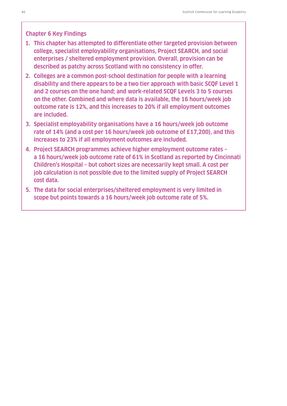#### **Chapter 6 Key Findings**

- **1. This chapter has attempted to differentiate other targeted provision between college, specialist employability organisations, Project SEARCH, and social enterprises / sheltered employment provision. Overall, provision can be described as patchy across Scotland with no consistency in offer.**
- **2. Colleges are a common post-school destination for people with a learning disability and there appears to be a two tier approach with basic SCQF Level 1 and 2 courses on the one hand; and work-related SCQF Levels 3 to 5 courses on the other. Combined and where data is available, the 16 hours/week job outcome rate is 12%, and this increases to 20% if all employment outcomes are included.**
- **3. Specialist employability organisations have a 16 hours/week job outcome rate of 14% (and a cost per 16 hours/week job outcome of £17,200), and this increases to 23% if all employment outcomes are included.**
- **4. Project SEARCH programmes achieve higher employment outcome rates a 16 hours/week job outcome rate of 61% in Scotland as reported by Cincinnati Children's Hospital – but cohort sizes are necessarily kept small. A cost per job calculation is not possible due to the limited supply of Project SEARCH cost data.**
- **5. The data for social enterprises/sheltered employment is very limited in scope but points towards a 16 hours/week job outcome rate of 5%.**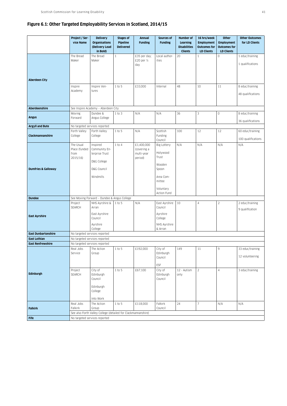#### **Figure 6.1: Other Targeted Employability Services in Scotland, 2014/15**

|                                | Project / Ser-<br>vice Name       | <b>Delivery</b><br><b>Organisations</b><br>(Delivery Lead     | <b>Stages of</b><br>Pipeline<br><b>Delivered</b> | <b>Annual</b><br><b>Funding</b>      | Sources of<br><b>Funding</b>    | Number of<br><b>Learning</b><br><b>Disabilities</b> | 16 hrs/week<br><b>Employment</b><br><b>Outcomes for</b> | Other<br><b>Employment</b><br><b>Outcomes for</b> | <b>Other Outcomes</b><br>for LD Clients |
|--------------------------------|-----------------------------------|---------------------------------------------------------------|--------------------------------------------------|--------------------------------------|---------------------------------|-----------------------------------------------------|---------------------------------------------------------|---------------------------------------------------|-----------------------------------------|
|                                |                                   | in Bold)                                                      |                                                  |                                      |                                 | <b>Clients</b>                                      | <b>LD Clients</b>                                       | <b>LD Clients</b>                                 |                                         |
|                                | The Bread                         | The Bread                                                     | $1\,$                                            | £35 per day;                         | Local author-                   | 20                                                  | $\mathbf{1}$                                            | 0                                                 | 1 educ/training                         |
|                                | Maker                             | Maker                                                         |                                                  | £20 per 1/2<br>day                   | ities                           |                                                     |                                                         |                                                   | 1 qualifications                        |
| <b>Aberdeen City</b>           |                                   |                                                               |                                                  |                                      |                                 |                                                     |                                                         |                                                   |                                         |
|                                | Inspire<br>Academy                | Inspire Ven-<br>tures                                         | $1$ to 5                                         | £33,000                              | Internal                        | 48                                                  | 10                                                      | 11                                                | 8 educ/training                         |
|                                |                                   |                                                               |                                                  |                                      |                                 |                                                     |                                                         |                                                   | 48 qualifications                       |
| <b>Aberdeenshire</b>           |                                   | See Inspire Academy - Aberdeen City                           |                                                  |                                      |                                 |                                                     |                                                         |                                                   |                                         |
| <b>Angus</b>                   | Moving<br>Forward                 | Dundee &<br>Angus College                                     | 1 to 3                                           | N/A                                  | N/A                             | 36                                                  | 3                                                       | 0                                                 | 8 educ/training<br>36 qualifications    |
| <b>Argyll and Bute</b>         |                                   | No targeted services reported                                 |                                                  |                                      |                                 |                                                     |                                                         |                                                   |                                         |
| Clackmannanshire               | Forth Valley<br>College           | Forth Valley<br>College                                       | $1$ to $5$                                       | N/A                                  | Scottish<br>Funding             | 100                                                 | 12                                                      | 12                                                | 60 educ/training<br>100 qualifications  |
|                                | The Usual                         | Inspired                                                      | $1$ to $4$                                       | £1,400,000                           | Council<br><b>Big Lottery</b>   | N/A                                                 | N/A                                                     | N/A                                               | N/A                                     |
|                                | Place (funded<br>from<br>2015/16) | Community En-<br>terprise Trust<br>D&G College                |                                                  | (covering a<br>multi-year<br>period) | Holywood<br>Trust               |                                                     |                                                         |                                                   |                                         |
| <b>Dumfries &amp; Galloway</b> |                                   | D&G Council                                                   |                                                  |                                      | Wooden<br>Spoon                 |                                                     |                                                         |                                                   |                                         |
|                                |                                   | Windmills                                                     |                                                  |                                      | Area Com-<br>mittee             |                                                     |                                                         |                                                   |                                         |
|                                |                                   |                                                               |                                                  |                                      | Voluntary<br>Action Fund        |                                                     |                                                         |                                                   |                                         |
| <b>Dundee</b>                  |                                   | See Moving Forward - Dundee & Angus College                   |                                                  |                                      |                                 |                                                     |                                                         |                                                   |                                         |
|                                | Project<br>SEARCH                 | NHS Ayrshire &<br>Arran                                       | 1 to 5                                           | N/A                                  | East Ayrshire<br>Council        | 10                                                  | $\overline{4}$                                          | $\overline{c}$                                    | 2 educ/training<br>9 qualification      |
| <b>East Ayrshire</b>           |                                   | East Ayrshire<br>Council                                      |                                                  |                                      | Ayrshire<br>College             |                                                     |                                                         |                                                   |                                         |
|                                |                                   | Ayrshire<br>College                                           |                                                  |                                      | NHS Ayrshire<br>& Arran         |                                                     |                                                         |                                                   |                                         |
| <b>East Dunbartonshire</b>     |                                   | No targeted services reported                                 |                                                  |                                      |                                 |                                                     |                                                         |                                                   |                                         |
| <b>East Lothian</b>            |                                   | No targeted services reported                                 |                                                  |                                      |                                 |                                                     |                                                         |                                                   |                                         |
| <b>East Renfrewshire</b>       |                                   | No targeted services reported                                 |                                                  |                                      |                                 |                                                     |                                                         |                                                   |                                         |
|                                | Real Jobs<br>Service              | The Action<br>Group                                           | 1 to 5                                           | £192,000                             | City of<br>Edinburgh<br>Council | 149                                                 | 11                                                      | $9\,$                                             | 33 educ/training<br>12 volunteering     |
| Edinburgh                      | Project<br>SEARCH                 | City of<br>Edinburgh                                          | 1 to 5                                           | £67,100                              | ESF<br>City of<br>Edinburgh     | 12 - Autism<br>only                                 | $\overline{2}$                                          | $\overline{4}$                                    | 3 educ/training                         |
|                                |                                   | Council<br>Edinburgh<br>College<br>Into Work                  |                                                  |                                      | Council                         |                                                     |                                                         |                                                   |                                         |
|                                | Real Jobs                         | The Action                                                    | 1 to 5                                           | £118,000                             | Falkirk                         | 24                                                  | $\overline{7}$                                          | N/A                                               | N/A                                     |
| <b>Falkirk</b>                 | Falkirk                           | Group                                                         |                                                  |                                      | Council                         |                                                     |                                                         |                                                   |                                         |
| <b>Fife</b>                    |                                   | See also Forth Valley College (detailed for Clackmannanshire) |                                                  |                                      |                                 |                                                     |                                                         |                                                   |                                         |
|                                | No targeted services reported     |                                                               |                                                  |                                      |                                 |                                                     |                                                         |                                                   |                                         |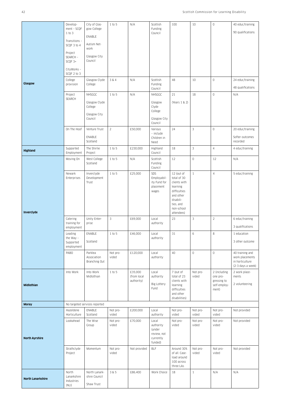| Glasgow                  | Develop-<br>ment - SCQF<br>1 to 3<br>Transitions -<br>SCQF 3 to 4<br>Project<br>SEARCH -<br>SCQF 3+<br>CityWorks -<br>SCQF 2 to 3<br>College<br>provision<br>Project<br>SEARCH | City of Glas-<br>gow College<br>ENABLE<br>Autism Net-<br>work<br>Glasgow City<br>Council<br>Glasgow Clyde<br>College<br>NHSGGC<br>Glasgow Clyde<br>College | 1 to 5<br>3 & 4<br>$1$ to $5$ | N/A<br>N/A<br>N/A                    | Scottish<br>Funding<br>Council<br>Scottish<br>Funding<br>Council<br>NHSGGC<br>Glasgow<br>Clyde | 100<br>48<br>21<br>(Years 1 & 2)                                                                                                         | 10<br>10<br>18      | $\mathbb O$<br>$\mathbb O$<br>$\mathbb O$                        | 40 educ/training<br>90 qualifications<br>24 educ/training<br>48 qualifications<br>N/A |
|--------------------------|--------------------------------------------------------------------------------------------------------------------------------------------------------------------------------|------------------------------------------------------------------------------------------------------------------------------------------------------------|-------------------------------|--------------------------------------|------------------------------------------------------------------------------------------------|------------------------------------------------------------------------------------------------------------------------------------------|---------------------|------------------------------------------------------------------|---------------------------------------------------------------------------------------|
|                          | On The Hoof                                                                                                                                                                    | Glasgow City<br>Council<br>Venture Trust                                                                                                                   | $\overline{2}$                | £50,000                              | College<br>Glasgow City<br>Council<br>Various                                                  | 24                                                                                                                                       | 3                   | $\mathbb O$                                                      | 20 educ/training                                                                      |
|                          |                                                                                                                                                                                | ENABLE<br>Scotland                                                                                                                                         |                               |                                      | - include<br>Children in<br>Need                                                               |                                                                                                                                          |                     |                                                                  | Softer outcomes<br>recorded                                                           |
| <b>Highland</b>          | Supported<br>Employment                                                                                                                                                        | The Shirlie<br>Project                                                                                                                                     | 1 to 5                        | £230,000                             | Highland<br>Council                                                                            | 18                                                                                                                                       | 3                   | $\overline{4}$                                                   | 4 educ/training                                                                       |
| Inverclyde               | Moving On                                                                                                                                                                      | West College<br>Scotland                                                                                                                                   | 1 to 5                        | N/A                                  | Scottish<br>Funding<br>Council                                                                 | 12                                                                                                                                       | $\mathbb O$         | 12                                                               | N/A                                                                                   |
|                          | Newark<br>Enterprises                                                                                                                                                          | Inverclyde<br>Development<br>Trust                                                                                                                         | 1 to 5                        | £25,000                              | SDS<br>Employabil-<br>ity Fund for<br>placement<br>wages                                       | 12 (out of<br>total of 30<br>clients with<br>learning<br>difficulties<br>and other<br>disabili-<br>ties, and<br>non-school<br>attendees) | $\mathbf{1}$        | $\overline{4}$                                                   | 5 educ/training                                                                       |
|                          | Catering<br>training for<br>employment                                                                                                                                         | Unity Enter-<br>prise                                                                                                                                      | 3                             | £69,000                              | Local<br>authority                                                                             | 23                                                                                                                                       | 3                   | $\sqrt{2}$                                                       | 6 educ/training<br>3 qualifications                                                   |
|                          | Leading<br>the Way -<br>Supported<br>employment                                                                                                                                | ENABLE<br>Scotland                                                                                                                                         | 1 to 5                        | £46,000                              | Local<br>authority                                                                             | 31                                                                                                                                       | 6                   | 8                                                                | 1 education<br>3 other outcome                                                        |
|                          | PABO                                                                                                                                                                           | Parklea<br>Association<br>Branching Out                                                                                                                    | Not pro-<br>vided             | £120,000                             | Local<br>authority                                                                             | 40                                                                                                                                       | $\mathsf{O}\xspace$ | $\mathbb O$                                                      | 40 training and<br>work placements<br>in horticulture<br>(2-3 days a week)            |
| Midlothian               | Into Work                                                                                                                                                                      | Into Work<br>Midlothian                                                                                                                                    | 1 to 5                        | £35,000<br>(from local<br>authority) | Local<br>authority<br><b>Big Lottery</b><br>Fund                                               | 7 (out of<br>total of 23<br>clients with<br>learning<br>difficulties<br>and other<br>disabilities)                                       | Not pro-<br>vided   | 2 (including<br>one pro-<br>gressing to<br>self-employ-<br>ment) | 2 work place-<br>ments<br>2 volunteering                                              |
| <b>Moray</b>             | Hazeldene                                                                                                                                                                      | No targeted services reported<br>ENABLE                                                                                                                    | Not pro-                      | £200,000                             | Local                                                                                          | Not pro-                                                                                                                                 | Not pro-            | Not pro-                                                         | Not provided                                                                          |
|                          | Horticulture                                                                                                                                                                   | Scotland                                                                                                                                                   | vided                         |                                      | authority                                                                                      | vided                                                                                                                                    | vided               | vided                                                            |                                                                                       |
| <b>North Ayrshire</b>    | Lookahead                                                                                                                                                                      | The Wise<br>Group                                                                                                                                          | Not pro-<br>vided             | £70,000                              | Local<br>authority<br>(under<br>review, not<br>currently<br>funded)                            | Not pro-<br>vided                                                                                                                        | Not pro-<br>vided   | Not pro-<br>vided                                                | Not provided                                                                          |
|                          | Strathclyde<br>Project                                                                                                                                                         | Momentum                                                                                                                                                   | Not pro-<br>vided             | Not provided                         | <b>BLF</b>                                                                                     | Around 30%<br>of all. Case-<br>load around<br>100 across<br>three LAs                                                                    | Not pro-<br>vided   | Not pro-<br>vided                                                | Not provided                                                                          |
| <b>North Lanarkshire</b> | North<br>Lanarkshire<br>Industries<br>(NLI)                                                                                                                                    | North Lanark-<br>shire Council<br>Shaw Trust                                                                                                               | 3 & 5                         | £86,400                              | Work Choice                                                                                    | 18                                                                                                                                       | $\mathbf{1}$        | N/A                                                              | N/A                                                                                   |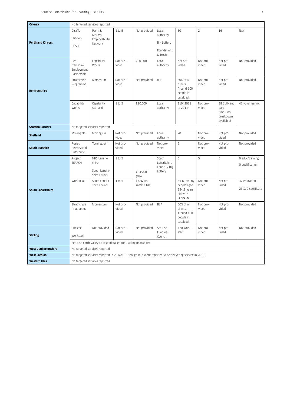| Orkney                     |                                                | No targeted services reported                                                                         |                   |                           |                                                                     |                                                                  |                   |                                                                  |                                    |
|----------------------------|------------------------------------------------|-------------------------------------------------------------------------------------------------------|-------------------|---------------------------|---------------------------------------------------------------------|------------------------------------------------------------------|-------------------|------------------------------------------------------------------|------------------------------------|
| <b>Perth and Kinross</b>   | Giraffe<br>Checkin<br>PUSH                     | Perth &<br>Kinross<br>Employability<br>Network                                                        | 1 to 5            | Not provided              | Local<br>authority<br><b>Big Lottery</b><br>Foundations<br>& Trusts | 50                                                               | $\sqrt{2}$        | 16                                                               | N/A                                |
|                            | Ren-<br>frewshire<br>Employment<br>Partnership | Capability<br>Works                                                                                   | Not pro-<br>vided | £90,000                   | Local<br>authority                                                  | Not pro-<br>vided                                                | Not pro-<br>vided | Not pro-<br>vided                                                | Not provided                       |
| Renfrewshire               | Strathclyde<br>Programme                       | Momentum                                                                                              | Not pro-<br>vided | Not provided              | <b>BLF</b>                                                          | 30% of all<br>clients.<br>Around 100<br>people in<br>caseload.   | Not pro-<br>vided | Not pro-<br>vided                                                | Not provided                       |
|                            | Capability<br>Works                            | Capability<br>Scotland                                                                                | 1 to 5            | £90,000                   | Local<br>authority                                                  | 110 (2011<br>to 2014)                                            | Not pro-<br>vided | 28 (full- and<br>part-<br>$time - no$<br>breakdown<br>available) | 42 volunteering                    |
| <b>Scottish Borders</b>    |                                                | No targeted services reported                                                                         |                   |                           |                                                                     |                                                                  |                   |                                                                  |                                    |
| <b>Shetland</b>            | Moving On                                      | Moving On                                                                                             | Not pro-<br>vided | Not provided              | Local<br>authority                                                  | 20                                                               | Not pro-<br>vided | Not pro-<br>vided                                                | Not provided                       |
| <b>South Ayrshire</b>      | Rosies<br>Retro Social<br>Enterprise           | Turningpoint                                                                                          | Not pro-<br>vided | Not provided              | Not pro-<br>vided                                                   | 6                                                                | Not pro-<br>vided | Not pro-<br>vided                                                | Not provided                       |
|                            | Project<br>SEARCH                              | NHS Lanark-<br>shire<br>South Lanark-<br>shire Council                                                | 1 to 5            | £345,000<br>(also         | South<br>Lanarkshire<br>Council / Big<br>Lottery                    | 5                                                                | 5                 | $\mathbf 0$                                                      | 0 educ/training<br>O qualification |
| South Lanarkshire          | Work It Out                                    | South Lanark-<br>shire Council                                                                        | 1 to 5            | including<br>Work It Out) |                                                                     | 55-60 young<br>people aged<br>15-18 years<br>old with<br>SEN/ASN | Not pro-<br>vided | Not pro-<br>vided                                                | 42 education<br>23 SVQ certificate |
|                            | Strathclyde<br>Programme                       | Momentum                                                                                              | Not pro-<br>vided | Not provided              | BLF                                                                 | 30% of all<br>clients.<br>Around 100<br>people in<br>caseload.   | Not pro-<br>vided | Not pro-<br>vided                                                | Not provided                       |
| <b>Stirling</b>            | Lifestart<br>Workstart                         | Not provided                                                                                          | Not pro-<br>vided | Not provided              | Scottish<br>Funding<br>Council                                      | 120 Work-<br>start                                               | Not pro-<br>vided | Not pro-<br>vided                                                | Not provided                       |
|                            |                                                | See also Forth Valley College (detailed for Clackmannanshire)                                         |                   |                           |                                                                     |                                                                  |                   |                                                                  |                                    |
| <b>West Dunbartonshire</b> |                                                | No targeted services reported                                                                         |                   |                           |                                                                     |                                                                  |                   |                                                                  |                                    |
| West Lothian               |                                                | No targeted services reported in 2014/15 - though Into Work reported to be delivering service in 2016 |                   |                           |                                                                     |                                                                  |                   |                                                                  |                                    |
| <b>Western Isles</b>       | No targeted services reported                  |                                                                                                       |                   |                           |                                                                     |                                                                  |                   |                                                                  |                                    |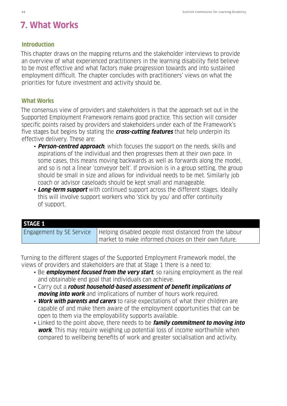# **7. What Works**

#### **Introduction**

This chapter draws on the mapping returns and the stakeholder interviews to provide an overview of what experienced practitioners in the learning disability field believe to be most effective and what factors make progression towards and into sustained employment difficult. The chapter concludes with practitioners' views on what the priorities for future investment and activity should be.

## **What Works**

The consensus view of providers and stakeholders is that the approach set out in the Supported Employment Framework remains good practice. This section will consider specific points raised by providers and stakeholders under each of the Framework's five stages but begins by stating the **cross-cutting features** that help underpin its effective delivery. These are:

- **Person-centred approach**, which focuses the support on the needs, skills and aspirations of the individual and then progresses them at their own pace. In some cases, this means moving backwards as well as forwards along the model, and so is not a linear 'conveyor belt'. If provision is in a group setting, the group should be small in size and allows for individual needs to be met. Similarly job coach or advisor caseloads should be kept small and manageable.
- **Long-term support** with continued support across the different stages. Ideally this will involve support workers who 'stick by you' and offer continuity of support.

| <b>STAGE 1</b>           |                                                                       |
|--------------------------|-----------------------------------------------------------------------|
| Engagement by SE Service | $\blacksquare$ Helping disabled people most distanced from the labour |
|                          | market to make informed choices on their own future.                  |

Turning to the different stages of the Supported Employment Framework model, the views of providers and stakeholders are that at Stage 1 there is a need to:

- Be **employment focused from the very start**, so raising employment as the real and obtainable end goal that individuals can achieve.
- Carry out a **robust household-based assessment of benefit implications of moving into work** and implications of number of hours work required.
- **Work with parents and carers** to raise expectations of what their children are capable of and make them aware of the employment opportunities that can be open to them via the employability supports available.
- Linked to the point above, there needs to be **family commitment to moving into work**. This may require weighing up potential loss of income worthwhile when compared to wellbeing benefits of work and greater socialisation and activity.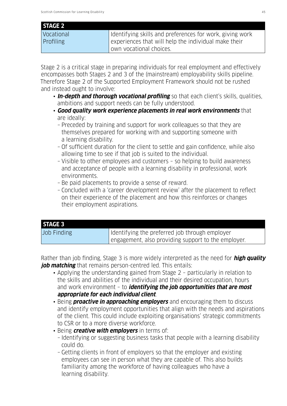#### **STAGE 2**

| Vocational       | I Identifying skills and preferences for work, giving work |
|------------------|------------------------------------------------------------|
| <b>Profiling</b> | experiences that will help the individual make their       |
|                  | I own vocational choices.                                  |

Stage 2 is a critical stage in preparing individuals for real employment and effectively encompasses both Stages 2 and 3 of the (mainstream) employability skills pipeline. Therefore Stage 2 of the Supported Employment Framework should not be rushed and instead ought to involve:

- **In-depth and thorough vocational profiling** so that each client's skills, qualities, ambitions and support needs can be fully understood.
- **Good quality work experience placements in real work environments** that are ideally:
	- Preceded by training and support for work colleagues so that they are themselves prepared for working with and supporting someone with a learning disability.
	- Of sufficient duration for the client to settle and gain confidence, while also allowing time to see if that job is suited to the individual.
	- Visible to other employees and customers so helping to build awareness and acceptance of people with a learning disability in professional, work environments.
	- Be paid placements to provide a sense of reward.
	- Concluded with a 'career development review' after the placement to reflect on their experience of the placement and how this reinforces or changes their employment aspirations.

| <b>STAGE 3</b> |                                                     |
|----------------|-----------------------------------------------------|
| Job Finding    | Identifying the preferred job through employer      |
|                | engagement, also providing support to the employer. |

Rather than job finding, Stage 3 is more widely interpreted as the need for **high quality job matching** that remains person-centred led. This entails:

- Applying the understanding gained from Stage 2 particularly in relation to the skills and abilities of the individual and their desired occupation, hours and work environment – to **identifying the job opportunities that are most appropriate for each individual client**.
- Being **proactive in approaching employers** and encouraging them to discuss and identify employment opportunities that align with the needs and aspirations of the client. This could include exploiting organisations' strategic commitments to CSR or to a more diverse workforce.
- Being **creative with employers** in terms of: – Identifying or suggesting business tasks that people with a learning disability could do.
	- Getting clients in front of employers so that the employer and existing employees can see in person what they are capable of. This also builds familiarity among the workforce of having colleagues who have a learning disability.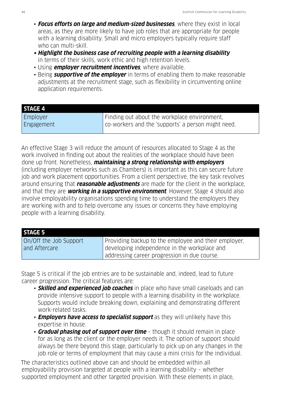- **Focus efforts on large and medium-sized businesses**, where they exist in local areas, as they are more likely to have job roles that are appropriate for people with a learning disability. Small and micro employers typically require staff who can multi-skill.
- **• Highlight the business case of recruiting people with a learning disability** in terms of their skills, work ethic and high retention levels.
- Using **employer recruitment incentives**, where available.
- Being **supportive of the employer** in terms of enabling them to make reasonable adjustments at the recruitment stage, such as flexibility in circumventing online application requirements.

| Finding out about the workplace environment,       |
|----------------------------------------------------|
| co-workers and the 'supports' a person might need. |
|                                                    |

An effective Stage 3 will reduce the amount of resources allocated to Stage 4 as the work involved in finding out about the realities of the workplace should have been done up front. Nonetheless, **maintaining a strong relationship with employers** (including employer networks such as Chambers) is important as this can secure future job and work placement opportunities. From a client perspective, the key task revolves around ensuring that **reasonable adjustments** are made for the client in the workplace, and that they are **working in a supportive environment**. However, Stage 4 should also involve employability organisations spending time to understand the employers they are working with and to help overcome any issues or concerns they have employing people with a learning disability.

| <b>STAGE 5</b>         |                                                      |
|------------------------|------------------------------------------------------|
| On/Off the Job Support | Providing backup to the employee and their employer, |
| and Aftercare          | developing independence in the workplace and         |
|                        | addressing career progression in due course.         |

Stage 5 is critical if the job entries are to be sustainable and, indeed, lead to future career progression. The critical features are:

- **Skilled and experienced job coaches** in place who have small caseloads and can provide intensive support to people with a learning disability in the workplace. Supports would include breaking down, explaining and demonstrating different work-related tasks.
- **Employers have access to specialist support** as they will unlikely have this expertise in house.
- **Gradual phasing out of support over time** though it should remain in place for as long as the client or the employer needs it. The option of support should always be there beyond this stage, particularly to pick up on any changes in the job role or terms of employment that may cause a mini crisis for the individual.

The characteristics outlined above can and should be embedded within all employability provision targeted at people with a learning disability – whether supported employment and other targeted provision. With these elements in place,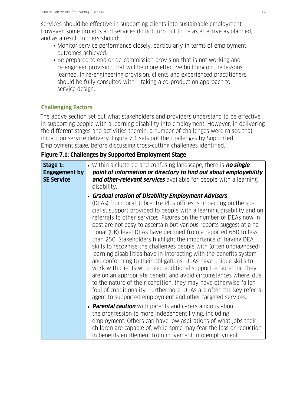services should be effective in supporting clients into sustainable employment. However, some projects and services do not turn out to be as effective as planned, and as a result funders should:

- Monitor service performance closely, particularly in terms of employment outcomes achieved.
- Be prepared to end or de-commission provision that is not working and re-engineer provision that will be more effective building on the lessons learned. In re-engineering provision, clients and experienced practitioners should be fully consulted with – taking a co-production approach to service design.

# **Challenging Factors**

The above section set out what stakeholders and providers understand to be effective in supporting people with a learning disability into employment. However, in delivering the different stages and activities therein, a number of challenges were raised that impact on service delivery. Figure 7.1 sets out the challenges by Supported Employment stage, before discussing cross-cutting challenges identified.

# **Figure 7.1: Challenges by Supported Employment Stage**

| Stage 1:<br><b>Engagement by</b><br><b>SE Service</b> | • Within a cluttered and confusing landscape, there is no single<br>point of information or directory to find out about employability<br>and other-relevant services available for people with a learning<br>disability.                                                                                                                                                                                                                                                                                                                                                                                                                                                                                                                                                                                                                                                                                                                                                                                                                          |
|-------------------------------------------------------|---------------------------------------------------------------------------------------------------------------------------------------------------------------------------------------------------------------------------------------------------------------------------------------------------------------------------------------------------------------------------------------------------------------------------------------------------------------------------------------------------------------------------------------------------------------------------------------------------------------------------------------------------------------------------------------------------------------------------------------------------------------------------------------------------------------------------------------------------------------------------------------------------------------------------------------------------------------------------------------------------------------------------------------------------|
|                                                       | • Gradual erosion of Disability Employment Advisers<br>(DEAs) from local Jobcentre Plus offices is impacting on the spe-<br>cialist support provided to people with a learning disability and on<br>referrals to other services. Figures on the number of DEAs now in<br>post are not easy to ascertain but various reports suggest at a na-<br>tional (UK) level DEAs have declined from a reported 650 to less<br>than 250. Stakeholders highlight the importance of having DEA<br>skills to recognise the challenges people with (often undiagnosed)<br>learning disabilities have in interacting with the benefits system<br>and conforming to their obligations. DEAs have unique skills to<br>work with clients who need additional support, ensure that they<br>are on an appropriate benefit and avoid circumstances where, due<br>to the nature of their condition, they may have otherwise fallen<br>foul of conditionality. Furthermore, DEAs are often the key referral<br>agent to supported employment and other targeted services. |
|                                                       | • Parental caution with parents and carers anxious about<br>the progression to more independent living, including<br>employment. Others can have low aspirations of what jobs their<br>children are capable of, while some may fear the loss or reduction<br>in benefits entitlement from movement into employment.                                                                                                                                                                                                                                                                                                                                                                                                                                                                                                                                                                                                                                                                                                                               |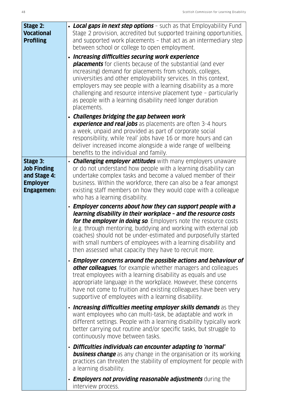| • Local gaps in next step options - such as that Employability Fund<br>Stage 2 provision, accredited but supported training opportunities,<br>and supported work placements - that act as an intermediary step<br>between school or college to open employment.<br>• Increasing difficulties securing work experience<br><b>placements</b> for clients because of the substantial (and ever<br>increasing) demand for placements from schools, colleges,<br>universities and other employability services. In this context,<br>employers may see people with a learning disability as a more<br>challenging and resource intensive placement type - particularly<br>as people with a learning disability need longer duration<br>placements. |
|----------------------------------------------------------------------------------------------------------------------------------------------------------------------------------------------------------------------------------------------------------------------------------------------------------------------------------------------------------------------------------------------------------------------------------------------------------------------------------------------------------------------------------------------------------------------------------------------------------------------------------------------------------------------------------------------------------------------------------------------|
| • Challenges bridging the gap between work<br><b>experience and real jobs</b> as placements are often 3-4 hours<br>a week, unpaid and provided as part of corporate social<br>responsibility, while 'real' jobs have 16 or more hours and can<br>deliver increased income alongside a wide range of wellbeing<br>benefits to the individual and family.                                                                                                                                                                                                                                                                                                                                                                                      |
| • <b>Challenging employer attitudes</b> with many employers unaware<br>or do not understand how people with a learning disability can<br>undertake complex tasks and become a valued member of their<br>business. Within the workforce, there can also be a fear amongst<br>existing staff members on how they would cope with a colleague<br>who has a learning disability.                                                                                                                                                                                                                                                                                                                                                                 |
| • Employer concerns about how they can support people with a<br>learning disability in their workplace - and the resource costs<br>for the employer in doing so. Employers note the resource costs<br>(e.g. through mentoring, buddying and working with external job<br>coaches) should not be under-estimated and purposefully started<br>with small numbers of employees with a learning disability and<br>then assessed what capacity they have to recruit more.                                                                                                                                                                                                                                                                         |
| • Employer concerns around the possible actions and behaviour of<br>other colleagues, for example whether managers and colleagues<br>treat employees with a learning disability as equals and use<br>appropriate language in the workplace. However, these concerns<br>have not come to fruition and existing colleagues have been very<br>supportive of employees with a learning disability.                                                                                                                                                                                                                                                                                                                                               |
| • Increasing difficulties meeting employer skills demands as they<br>want employees who can multi-task, be adaptable and work in<br>different settings. People with a learning disability typically work<br>better carrying out routine and/or specific tasks, but struggle to<br>continuously move between tasks.                                                                                                                                                                                                                                                                                                                                                                                                                           |
| · Difficulties individuals can encounter adapting to 'normal'<br><b>business change</b> as any change in the organisation or its working<br>practices can threaten the stability of employment for people with<br>a learning disability.<br>• <b>Employers not providing reasonable adjustments</b> during the                                                                                                                                                                                                                                                                                                                                                                                                                               |
|                                                                                                                                                                                                                                                                                                                                                                                                                                                                                                                                                                                                                                                                                                                                              |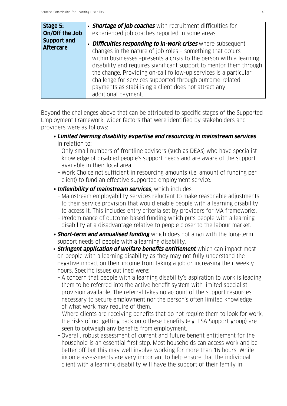| Stage 5:                               | • <b>Shortage of job coaches</b> with recruitment difficulties for                                                                                                                                                                                                                                                                                                                                                                                                                     |
|----------------------------------------|----------------------------------------------------------------------------------------------------------------------------------------------------------------------------------------------------------------------------------------------------------------------------------------------------------------------------------------------------------------------------------------------------------------------------------------------------------------------------------------|
| On/Off the Job                         | experienced job coaches reported in some areas.                                                                                                                                                                                                                                                                                                                                                                                                                                        |
| <b>Support and</b><br><b>Aftercare</b> | • Difficulties responding to in-work crises where subsequent<br>changes in the nature of job roles - something that occurs<br>within businesses -presents a crisis to the person with a learning<br>disability and requires significant support to mentor them through<br>the change. Providing on-call follow-up services is a particular<br>challenge for services supported through outcome-related<br>payments as stabilising a client does not attract any<br>additional payment. |

Beyond the challenges above that can be attributed to specific stages of the Supported Employment Framework, wider factors that were identified by stakeholders and providers were as follows:

- **• Limited learning disability expertise and resourcing in mainstream services** in relation to:
	- Only small numbers of frontline advisors (such as DEAs) who have specialist knowledge of disabled people's support needs and are aware of the support available in their local area.
	- Work Choice not sufficient in resourcing amounts (i.e. amount of funding per client) to fund an effective supported employment service.
- **• Inflexibility of mainstream services**, which includes:
	- Mainstream employability services reluctant to make reasonable adjustments to their service provision that would enable people with a learning disability to access it. This includes entry criteria set by providers for MA frameworks.
	- Predominance of outcome-based funding which puts people with a learning disability at a disadvantage relative to people closer to the labour market.
- **Short-term and annualised funding** which does not align with the long-term support needs of people with a learning disability.
- **Stringent application of welfare benefits entitlement** which can impact most on people with a learning disability as they may not fully understand the negative impact on their income from taking a job or increasing their weekly hours. Specific issues outlined were:
	- A concern that people with a learning disability's aspiration to work is leading them to be referred into the active benefit system with limited specialist provision available. The referral takes no account of the support resources necessary to secure employment nor the person's often limited knowledge of what work may require of them.
	- Where clients are receiving benefits that do not require them to look for work, the risks of not getting back onto these benefits (e.g. ESA Support group) are seen to outweigh any benefits from employment.
	- Overall, robust assessment of current and future benefit entitlement for the household is an essential first step. Most households can access work and be better off but this may well involve working for more than 16 hours. While income assessments are very important to help ensure that the individual client with a learning disability will have the support of their family in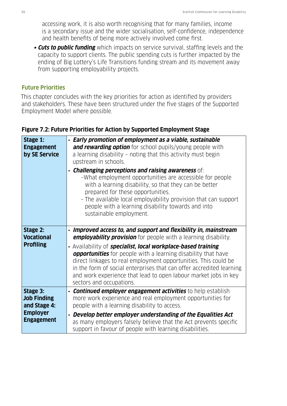accessing work, it is also worth recognising that for many families, income is a secondary issue and the wider socialisation, self-confidence, independence and health benefits of being more actively involved come first.

 **• Cuts to public funding** which impacts on service survival, staffing levels and the capacity to support clients. The public spending cuts is further impacted by the ending of Big Lottery's Life Transitions funding stream and its movement away from supporting employability projects.

## **Future Priorities**

This chapter concludes with the key priorities for action as identified by providers and stakeholders. These have been structured under the five stages of the Supported Employment Model where possible.

| Stage 1:<br><b>Engagement</b><br>by SE Service                                         | • Early promotion of employment as a viable, sustainable<br>and rewarding option for school pupils/young people with<br>a learning disability - noting that this activity must begin<br>upstream in schools.<br>$\cdot$ Challenging perceptions and raising awareness of:<br>-What employment opportunities are accessible for people<br>with a learning disability, so that they can be better<br>prepared for these opportunities.<br>- The available local employability provision that can support<br>people with a learning disability towards and into<br>sustainable employment. |
|----------------------------------------------------------------------------------------|-----------------------------------------------------------------------------------------------------------------------------------------------------------------------------------------------------------------------------------------------------------------------------------------------------------------------------------------------------------------------------------------------------------------------------------------------------------------------------------------------------------------------------------------------------------------------------------------|
| Stage 2:<br><b>Vocational</b><br><b>Profiling</b>                                      | • Improved access to, and support and flexibility in, mainstream<br><b>employability provision</b> for people with a learning disability.<br>• Availability of <b>specialist, local workplace-based training</b><br><b>opportunities</b> for people with a learning disability that have<br>direct linkages to real employment opportunities. This could be<br>in the form of social enterprises that can offer accredited learning<br>and work experience that lead to open labour market jobs in key<br>sectors and occupations.                                                      |
| Stage 3:<br><b>Job Finding</b><br>and Stage 4:<br><b>Employer</b><br><b>Engagement</b> | • <b>Continued employer engagement activities</b> to help establish<br>more work experience and real employment opportunities for<br>people with a learning disability to access.<br>• Develop better employer understanding of the Equalities Act<br>as many employers falsely believe that the Act prevents specific<br>support in favour of people with learning disabilities.                                                                                                                                                                                                       |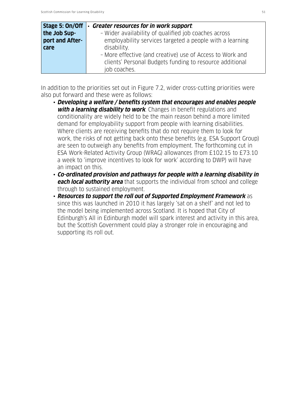| Stage 5: On/Off | <b>Greater resources for in work support.</b><br>$\bullet$ |
|-----------------|------------------------------------------------------------|
| the Job Sup-    | - Wider availability of qualified job coaches across       |
| port and After- | employability services targeted a people with a learning   |
| care            | disability.                                                |
|                 | - More effective (and creative) use of Access to Work and  |
|                 | clients' Personal Budgets funding to resource additional   |
|                 | job coaches.                                               |

In addition to the priorities set out in Figure 7.2, wider cross-cutting priorities were also put forward and these were as follows:

- **Developing a welfare / benefits system that encourages and enables people with a learning disability to work**. Changes in benefit regulations and conditionality are widely held to be the main reason behind a more limited demand for employability support from people with learning disabilities. Where clients are receiving benefits that do not require them to look for work, the risks of not getting back onto these benefits (e.g. ESA Support Group) are seen to outweigh any benefits from employment. The forthcoming cut in ESA Work-Related Activity Group (WRAG) allowances (from £102.15 to £73.10 a week to 'improve incentives to look for work' according to DWP) will have an impact on this.
- **Co-ordinated provision and pathways for people with a learning disability in each local authority area** that supports the individual from school and college through to sustained employment.
- **Resources to support the roll out of Supported Employment Framework** as since this was launched in 2010 it has largely 'sat on a shelf' and not led to the model being implemented across Scotland. It is hoped that City of Edinburgh's All in Edinburgh model will spark interest and activity in this area, but the Scottish Government could play a stronger role in encouraging and supporting its roll out.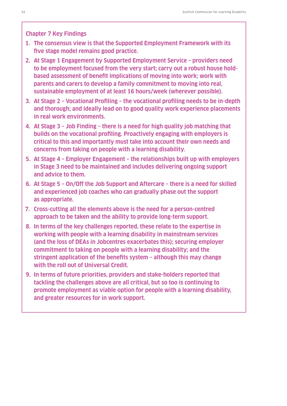#### **Chapter 7 Key Findings**

- **1. The consensus view is that the Supported Employment Framework with its five stage model remains good practice.**
- **2. At Stage 1 Engagement by Supported Employment Service providers need to be employment focused from the very start; carry out a robust house holdbased assessment of benefit implications of moving into work; work with parents and carers to develop a family commitment to moving into real, sustainable employment of at least 16 hours/week (wherever possible).**
- **3. At Stage 2 Vocational Profiling the vocational profiling needs to be in-depth and thorough; and ideally lead on to good quality work experience placements in real work environments.**
- **4. At Stage 3 Job Finding there is a need for high quality job matching that builds on the vocational profiling. Proactively engaging with employers is critical to this and importantly must take into account their own needs and concerns from taking on people with a learning disability.**
- **5. At Stage 4 Employer Engagement the relationships built up with employers in Stage 3 need to be maintained and includes delivering ongoing support and advice to them.**
- **6. At Stage 5 On/Off the Job Support and Aftercare there is a need for skilled and experienced job coaches who can gradually phase out the support as appropriate.**
- **7. Cross-cutting all the elements above is the need for a person-centred approach to be taken and the ability to provide long-term support.**
- **8. In terms of the key challenges reported, these relate to the expertise in working with people with a learning disability in mainstream services (and the loss of DEAs in Jobcentres exacerbates this); securing employer commitment to taking on people with a learning disability; and the stringent application of the benefits system – although this may change with the roll out of Universal Credit.**
- **9. In terms of future priorities, providers and stake-holders reported that tackling the challenges above are all critical, but so too is continuing to promote employment as viable option for people with a learning disability, and greater resources for in work support.**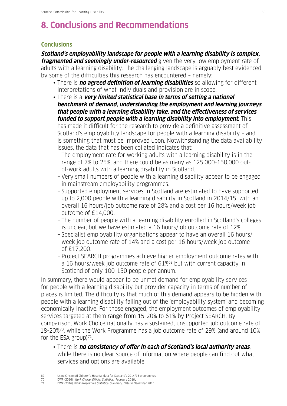# **8. Conclusions and Recommendations**

#### **Conclusions**

**Scotland's employability landscape for people with a learning disability is complex, fragmented and seemingly under-resourced** given the very low employment rate of adults with a learning disability. The challenging landscape is arguably best evidenced by some of the difficulties this research has encountered – namely:

- There is **no agreed definition of learning disabilities** so allowing for different interpretations of what individuals and provision are in scope.
- There is a **very limited statistical base in terms of setting a national benchmark of demand, understanding the employment and learning journeys that people with a learning disability take, and the effectiveness of services funded to support people with a learning disability into employment.** This has made it difficult for the research to provide a definitive assessment of Scotland's employability landscape for people with a learning disability – and is something that must be improved upon. Notwithstanding the data availability issues, the data that has been collated indicates that:
	- The employment rate for working adults with a learning disability is in the range of 7% to 25%, and there could be as many as 125,000-150,000 out of-work adults with a learning disability in Scotland.
	- Very small numbers of people with a learning disability appear to be engaged in mainstream employability programmes.
	- Supported employment services in Scotland are estimated to have supported up to 2,000 people with a learning disability in Scotland in 2014/15, with an overall 16 hours/job outcome rate of 28% and a cost per 16 hours/week job outcome of £14,000.
	- The number of people with a learning disability enrolled in Scotland's colleges is unclear, but we have estimated a 16 hours/job outcome rate of 12%.
	- Specialist employability organisations appear to have an overall 16 hours/ week job outcome rate of 14% and a cost per 16 hours/week job outcome of £17,200.
	- Project SEARCH programmes achieve higher employment outcome rates with a 16 hours/week job outcome rate of 61%<sup>69</sup> but with current capacity in Scotland of only 100-150 people per annum.

In summary, there would appear to be unmet demand for employability services for people with a learning disability but provider capacity in terms of number of places is limited. The difficulty is that much of this demand appears to be hidden with people with a learning disability falling out of the 'employability system' and becoming economically inactive. For those engaged, the employment outcomes of employability services targeted at them range from 15-20% to 61% by Project SEARCH. By comparison, Work Choice nationally has a sustained, unsupported job outcome rate of 18-20%70, while the Work Programme has a job outcome rate of 29% (and around 10% for the ESA group) $71$ .

- There is **no consistency of offer in each of Scotland's local authority areas**, while there is no clear source of information where people can find out what services and options are available.
- 69 Using Cincinnati Children's Hospital data for Scotland's 2014/15 programmes
- 70 DWP (2016) Work Choice: Official Statistics. February 2016.<br>71 DWP (2016) Work Programme Statistical Summary: Data to De
- DWP (2016) Work Programme Statistical Summary: Data to December 2015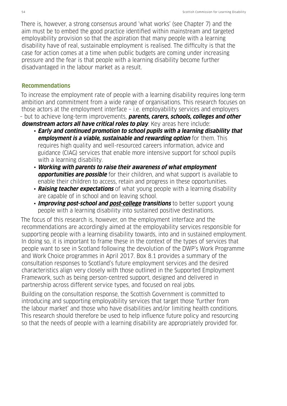There is, however, a strong consensus around 'what works' (see Chapter 7) and the aim must be to embed the good practice identified within mainstream and targeted employability provision so that the aspiration that many people with a learning disability have of real, sustainable employment is realised. The difficulty is that the case for action comes at a time when public budgets are coming under increasing pressure and the fear is that people with a learning disability become further disadvantaged in the labour market as a result.

#### **Recommendations**

To increase the employment rate of people with a learning disability requires long-term ambition and commitment from a wide range of organisations. This research focuses on those actors at the employment interface – i.e. employability services and employers – but to achieve long-term improvements, **parents, carers, schools, colleges and other** 

**downstream actors all have critical roles to play**. Key areas here include:

- **Early and continued promotion to school pupils with a learning disability that employment is a viable, sustainable and rewarding option** for them. This requires high quality and well-resourced careers information, advice and guidance (CIAG) services that enable more intensive support for school pupils with a learning disability.
- **Working with parents to raise their awareness of what employment opportunities are possible** for their children, and what support is available to enable their children to access, retain and progress in these opportunities.
- **Raising teacher expectations** of what young people with a learning disability are capable of in school and on leaving school.
- **Improving post-school and post-college transitions** to better support young people with a learning disability into sustained positive destinations.

The focus of this research is, however, on the employment interface and the recommendations are accordingly aimed at the employability services responsible for supporting people with a learning disability towards, into and in sustained employment. In doing so, it is important to frame these in the context of the types of services that people want to see in Scotland following the devolution of the DWP's Work Programme and Work Choice programmes in April 2017. Box 8.1 provides a summary of the consultation responses to Scotland's future employment services and the desired characteristics align very closely with those outlined in the Supported Employment Framework, such as being person-centred support, designed and delivered in partnership across different service types, and focused on real jobs.

Building on the consultation response, the Scottish Government is committed to introducing and supporting employability services that target those 'further from the labour market' and those who have disabilities and/or limiting health conditions. This research should therefore be used to help influence future policy and resourcing so that the needs of people with a learning disability are appropriately provided for.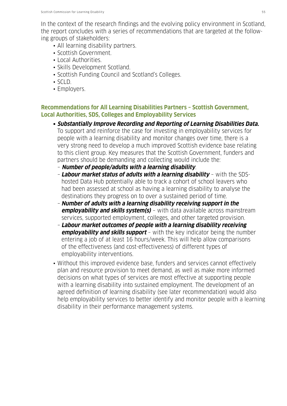In the context of the research findings and the evolving policy environment in Scotland, the report concludes with a series of recommendations that are targeted at the following groups of stakeholders:

- All learning disability partners.
- Scottish Government.
- Local Authorities.
- Skills Development Scotland.
- Scottish Funding Council and Scotland's Colleges.
- SCLD.
- Employers.

## **Recommendations for All Learning Disabilities Partners – Scottish Government, Local Authorities, SDS, Colleges and Employability Services**

- **• Substantially Improve Recording and Reporting of Learning Disabilities Data.** To support and reinforce the case for investing in employability services for people with a learning disability and monitor changes over time, there is a very strong need to develop a much improved Scottish evidence base relating to this client group. Key measures that the Scottish Government, funders and partners should be demanding and collecting would include the:
	- **Number of people/adults with a learning disability**.
	- **Labour market status of adults with a learning disability** with the SDS hosted Data Hub potentially able to track a cohort of school leavers who had been assessed at school as having a learning disability to analyse the destinations they progress on to over a sustained period of time.
	- **Number of adults with a learning disability receiving support in the employability and skills system(s)** – with data available across mainstream services, supported employment, colleges, and other targeted provision.
	- **Labour market outcomes of people with a learning disability receiving employability and skills support** - with the key indicator being the number entering a job of at least 16 hours/week. This will help allow comparisons of the effectiveness (and cost-effectiveness) of different types of employability interventions.
- Without this improved evidence base, funders and services cannot effectively plan and resource provision to meet demand, as well as make more informed decisions on what types of services are most effective at supporting people with a learning disability into sustained employment. The development of an agreed definition of learning disability (see later recommendation) would also help employability services to better identify and monitor people with a learning disability in their performance management systems.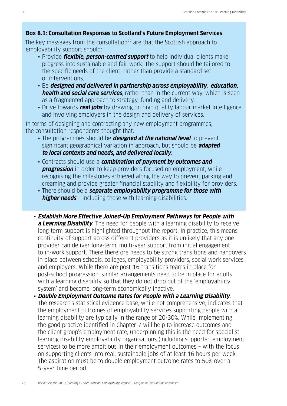## **Box 8.1: Consultation Responses to Scotland's Future Employment Services**

The key messages from the consultation<sup>72</sup> are that the Scottish approach to employability support should:

- Provide **flexible, person-centred support** to help individual clients make progress into sustainable and fair work. The support should be tailored to the specific needs of the client, rather than provide a standard set of interventions.
- Be **designed and delivered in partnership across employability, education, health and social care services**, rather than in the current way, which is seen as a fragmented approach to strategy, funding and delivery.
- Drive towards **real jobs** by drawing on high quality labour market intelligence and involving employers in the design and delivery of services.

In terms of designing and contracting any new employment programmes, the consultation respondents thought that:

- The programmes should be **designed at the national level** to prevent significant geographical variation in approach, but should be **adapted to local contexts and needs, and delivered locally**.
- Contracts should use a **combination of payment by outcomes and progression** in order to keep providers focused on employment, while recognising the milestones achieved along the way to prevent parking and creaming and provide greater financial stability and flexibility for providers.
- There should be a **separate employability programme for those with higher needs** - including those with learning disabilities.
- **Establish More Effective Joined-Up Employment Pathways for People with a Learning Disability**. The need for people with a learning disability to receive long-term support is highlighted throughout the report. In practice, this means continuity of support across different providers as it is unlikely that any one provider can deliver long-term, multi-year support from initial engagement to in-work support. There therefore needs to be strong transitions and handovers in place between schools, colleges, employability providers, social work services and employers. While there are post-16 transitions teams in place for post-school progression, similar arrangements need to be in place for adults with a learning disability so that they do not drop out of the 'employability system' and become long-term economically inactive.
- **Double Employment Outcome Rates for People with a Learning Disability**. The research's statistical evidence base, while not comprehensive, indicates that the employment outcomes of employability services supporting people with a learning disability are typically in the range of 20-30%. While implementing the good practice identified in Chapter 7 will help to increase outcomes and the client group's employment rate, underpinning this is the need for specialist learning disability employability organisations (including supported employment services) to be more ambitious in their employment outcomes – with the focus on supporting clients into real, sustainable jobs of at least 16 hours per week. The aspiration must be to double employment outcome rates to 50% over a 5-year time period.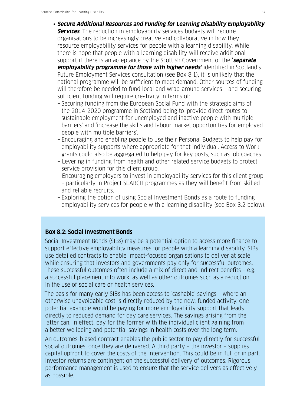- **Secure Additional Resources and Funding for Learning Disability Employability Services**. The reduction in employability services budgets will require organisations to be increasingly creative and collaborative in how they resource employability services for people with a learning disability. While there is hope that people with a learning disability will receive additional support if there is an acceptance by the Scottish Government of the '**separate employability programme for those with higher needs'** identified in Scotland's Future Employment Services consultation (see Box 8.1), it is unlikely that the national programme will be sufficient to meet demand. Other sources of funding will therefore be needed to fund local and wrap-around services – and securing sufficient funding will require creativity in terms of:
	- Securing funding from the European Social Fund with the strategic aims of the 2014-2020 programme in Scotland being to 'provide direct routes to sustainable employment for unemployed and inactive people with multiple barriers' and 'increase the skills and labour market opportunities for employed people with multiple barriers'.
	- Encouraging and enabling people to use their Personal Budgets to help pay for employability supports where appropriate for that individual. Access to Work grants could also be aggregated to help pay for key posts, such as job coaches.
	- Levering in funding from health and other related service budgets to protect service provision for this client group.
	- Encouraging employers to invest in employability services for this client group – particularly in Project SEARCH programmes as they will benefit from skilled and reliable recruits.
	- Exploring the option of using Social Investment Bonds as a route to funding employability services for people with a learning disability (see Box 8.2 below).

#### **Box 8.2: Social Investment Bonds**

Social Investment Bonds (SIBs) may be a potential option to access more finance to support effective employability measures for people with a learning disability. SIBs use detailed contracts to enable impact-focused organisations to deliver at scale while ensuring that investors and governments pay only for successful outcomes. These successful outcomes often include a mix of direct and indirect benefits – e.g. a successful placement into work, as well as other outcomes such as a reduction in the use of social care or health services.

The basis for many early SIBs has been access to 'cashable' savings – where an otherwise unavoidable cost is directly reduced by the new, funded activity. One potential example would be paying for more employability support that leads directly to reduced demand for day care services. The savings arising from the latter can, in effect, pay for the former with the individual client gaining from a better wellbeing and potential savings in health costs over the long-term.

An outcomes-b ased contract enables the public sector to pay directly for successful social outcomes, once they are delivered. A third party – the investor – supplies capital upfront to cover the costs of the intervention. This could be in full or in part. Investor returns are contingent on the successful delivery of outcomes. Rigorous performance management is used to ensure that the service delivers as effectively as possible.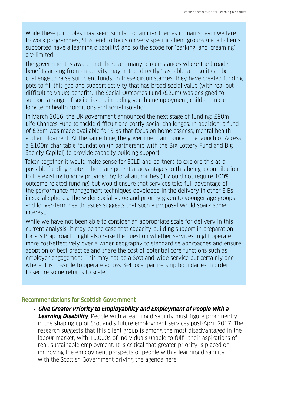While these principles may seem similar to familiar themes in mainstream welfare to work programmes, SIBs tend to focus on very specific client groups (i.e. all clients supported have a learning disability) and so the scope for 'parking' and 'creaming' are limited.

The government is aware that there are many circumstances where the broader benefits arising from an activity may not be directly 'cashable' and so it can be a challenge to raise sufficient funds. In these circumstances, they have created funding pots to fill this gap and support activity that has broad social value (with real but difficult to value) benefits. The Social Outcomes Fund (£20m) was designed to support a range of social issues including youth unemployment, children in care, long term health conditions and social isolation.

In March 2016, the UK government announced the next stage of funding: £80m Life Chances Fund to tackle difficult and costly social challenges. In addition, a fund of £25m was made available for SIBs that focus on homelessness, mental health and employment. At the same time, the government announced the launch of Access a £100m charitable foundation (in partnership with the Big Lottery Fund and Big Society Capital) to provide capacity building support.

Taken together it would make sense for SCLD and partners to explore this as a possible funding route – there are potential advantages to this being a contribution to the existing funding provided by local authorities (it would not require 100% outcome related funding) but would ensure that services take full advantage of the performance management techniques developed in the delivery in other SIBs in social spheres. The wider social value and priority given to younger age groups and longer-term health issues suggests that such a proposal would spark some interest.

While we have not been able to consider an appropriate scale for delivery in this current analysis, it may be the case that capacity-building support in preparation for a SIB approach might also raise the question whether services might operate more cost-effectively over a wider geography to standardise approaches and ensure adoption of best practice and share the cost of potential core functions such as employer engagement. This may not be a Scotland-wide service but certainly one where it is possible to operate across 3-4 local partnership boundaries in order to secure some returns to scale.

#### **Recommendations for Scottish Government**

• **Give Greater Priority to Employability and Employment of People with a Learning Disability**. People with a learning disability must figure prominently in the shaping up of Scotland's future employment services post-April 2017. The research suggests that this client group is among the most disadvantaged in the labour market, with 10,000s of individuals unable to fulfil their aspirations of real, sustainable employment. It is critical that greater priority is placed on improving the employment prospects of people with a learning disability, with the Scottish Government driving the agenda here.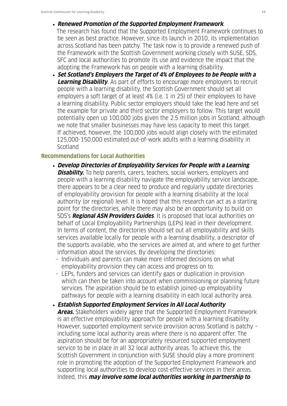- **Renewed Promotion of the Supported Employment Framework**.
	- The research has found that the Supported Employment Framework continues to be seen as best practice. However, since its launch in 2010, its implementation across Scotland has been patchy. The task now is to provide a renewed push of the Framework with the Scottish Government working closely with SUSE, SDS, SFC and local authorities to promote its use and evidence the impact that the adopting the Framework has on people with a learning disability.
- **Set Scotland's Employers the Target of 4% of Employees to be People with a Learning Disability**. As part of efforts to encourage more employers to recruit people with a learning disability, the Scottish Government should set all employers a soft target of at least 4% (i.e. 1 in 25) of their employees to have a learning disability. Public sector employers should take the lead here and set the example for private and third sector employers to follow. This target would potentially open up 100,000 jobs given the 2.5 million jobs in Scotland, although we note that smaller businesses may have less capacity to meet this target. If achieved, however, the 100,000 jobs would align closely with the estimated 125,000-150,000 estimated out-of-work adults with a learning disability in Scotland

#### **Recommendations for Local Authorities**

- **Develop Directories of Employability Services for People with a Learning Disability.** To help parents, carers, teachers, social workers, employers and people with a learning disability navigate the employability service landscape, there appears to be a clear need to produce and regularly update directories of employability provision for people with a learning disability at the local authority (or regional) level. It is hoped that this research can act as a starting point for the directories, while there may also be an opportunity to build on SDS's **Regional ASN Providers Guides**. It is proposed that local authorities on behalf of Local Employability Partnerships (LEPs) lead in their development. In terms of content, the directories should set out all employability and skills services available locally for people with a learning disability, a descriptor of the supports available, who the services are aimed at, and where to get further information about the services. By developing the directories:
	- Individuals and parents can make more informed decisions on what employability provision they can access and progress on to.
	- LEPs, funders and services can identify gaps or duplication in provision which can then be taken into account when commissioning or planning future services. The aspiration should be to establish joined-up employability pathways for people with a learning disability in each local authority area.
- **Establish Supported Employment Services in All Local Authority Areas.** Stakeholders widely agree that the Supported Employment Framework is an effective employability approach for people with a learning disability. However, supported employment service provision across Scotland is patchy – including some local authority areas where there is no apparent offer. The aspiration should be for an appropriately resourced supported employment service to be in place in all 32 local authority areas. To achieve this, the Scottish Government in conjunction with SUSE should play a more prominent role in promoting the adoption of the Supported Employment Framework and supporting local authorities to develop cost-effective services in their areas. Indeed, this **may involve some local authorities working in partnership to**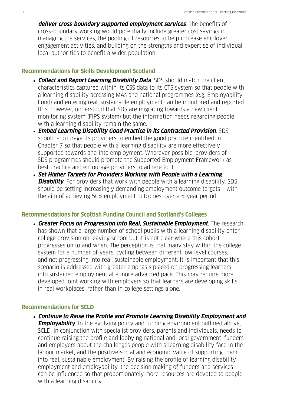**deliver cross-boundary supported employment services**. The benefits of cross-boundary working would potentially include greater cost savings in managing the services, the pooling of resources to help increase employer engagement activities, and building on the strengths and expertise of individual local authorities to benefit a wider population.

#### **Recommendations for Skills Development Scotland**

- **Collect and Report Learning Disability Data**. SDS should match the client characteristics captured within its CSS data to its CTS system so that people with a learning disability accessing MAs and national programmes (e.g. Employability Fund) and entering real, sustainable employment can be monitored and reported. It is, however, understood that SDS are migrating towards a new client monitoring system (FIPS system) but the information needs regarding people with a learning disability remain the same.
- **Embed Learning Disability Good Practice in its Contracted Provision**. SDS should encourage its providers to embed the good practice identified in Chapter 7 so that people with a learning disability are more effectively supported towards and into employment. Wherever possible, providers of SDS programmes should promote the Supported Employment Framework as best practice and encourage providers to adhere to it.
- **Set Higher Targets for Providers Working with People with a Learning Disability**. For providers that work with people with a learning disability, SDS should be setting increasingly demanding employment outcome targets – with the aim of achieving 50% employment outcomes over a 5-year period.

#### **Recommendations for Scottish Funding Council and Scotland's Colleges**

• **Greater Focus on Progression into Real, Sustainable Employment**. The research has shown that a large number of school pupils with a learning disability enter college provision on leaving school but it is not clear where this cohort progresses on to and when. The perception is that many stay within the college system for a number of years, cycling between different low level courses, and not progressing into real, sustainable employment. It is important that this scenario is addressed with greater emphasis placed on progressing learners into sustained employment at a more advanced pace. This may require more developed joint working with employers so that learners are developing skills in real workplaces, rather than in college settings alone.

#### **Recommendations for SCLD**

• **Continue to Raise the Profile and Promote Learning Disability Employment and Employability**. In the evolving policy and funding environment outlined above, SCLD, in conjunction with specialist providers, parents and individuals, needs to continue raising the profile and lobbying national and local government, funders and employers about the challenges people with a learning disability face in the labour market, and the positive social and economic value of supporting them into real, sustainable employment. By raising the profile of learning disability employment and employability, the decision making of funders and services can be influenced so that proportionately more resources are devoted to people with a learning disability.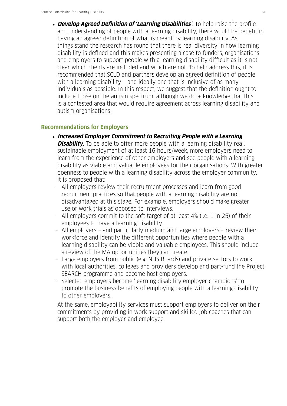• **Develop Agreed Definition of 'Learning Disabilities'**. To help raise the profile and understanding of people with a learning disability, there would be benefit in having an agreed definition of what is meant by learning disability. As things stand the research has found that there is real diversity in how learning disability is defined and this makes presenting a case to funders, organisations and employers to support people with a learning disability difficult as it is not clear which clients are included and which are not. To help address this, it is recommended that SCLD and partners develop an agreed definition of people with a learning disability – and ideally one that is inclusive of as many individuals as possible. In this respect, we suggest that the definition ought to include those on the autism spectrum, although we do acknowledge that this is a contested area that would require agreement across learning disability and autism organisations.

#### **Recommendations for Employers**

- **Increased Employer Commitment to Recruiting People with a Learning Disability**. To be able to offer more people with a learning disability real, sustainable employment of at least 16 hours/week, more employers need to learn from the experience of other employers and see people with a learning disability as viable and valuable employees for their organisations. With greater openness to people with a learning disability across the employer community, it is proposed that:
	- All employers review their recruitment processes and learn from good recruitment practices so that people with a learning disability are not disadvantaged at this stage. For example, employers should make greater use of work trials as opposed to interviews.
	- All employers commit to the soft target of at least 4% (i.e. 1 in 25) of their employees to have a learning disability.
- All employers and particularly medium and large employers review their workforce and identify the different opportunities where people with a learning disability can be viable and valuable employees. This should include a review of the MA opportunities they can create.
- Large employers from public (e.g. NHS Boards) and private sectors to work with local authorities, colleges and providers develop and part-fund the Project SEARCH programme and become host employers.
- Selected employers become 'learning disability employer champions' to promote the business benefits of employing people with a learning disability to other employers.

 At the same, employability services must support employers to deliver on their commitments by providing in work support and skilled job coaches that can support both the employer and employee.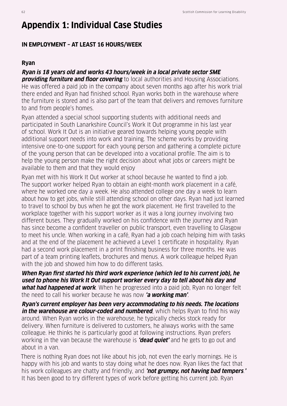# **Appendix 1: Individual Case Studies**

# **IN EMPLOYMENT – AT LEAST 16 HOURS/WEEK**

#### **Ryan**

**Ryan is 18 years old and works 43 hours/week in a local private sector SME providing furniture and floor covering** to local authorities and Housing Associations. He was offered a paid job in the company about seven months ago after his work trial there ended and Ryan had finished school. Ryan works both in the warehouse where the furniture is stored and is also part of the team that delivers and removes furniture to and from people's homes.

Ryan attended a special school supporting students with additional needs and participated in South Lanarkshire Council's Work It Out programme in his last year of school. Work It Out is an initiative geared towards helping young people with additional support needs into work and training. The scheme works by providing intensive one-to-one support for each young person and gathering a complete picture of the young person that can be developed into a vocational profile. The aim is to help the young person make the right decision about what jobs or careers might be available to them and that they would enjoy

Ryan met with his Work It Out worker at school because he wanted to find a job. The support worker helped Ryan to obtain an eight-month work placement in a café, where he worked one day a week. He also attended college one day a week to learn about how to get jobs, while still attending school on other days. Ryan had just learned to travel to school by bus when he got the work placement. He first travelled to the workplace together with his support worker as it was a long journey involving two different buses. They gradually worked on his confidence with the journey and Ryan has since become a confident traveller on public transport, even travelling to Glasgow to meet his uncle. When working in a café, Ryan had a job coach helping him with tasks and at the end of the placement he achieved a Level 1 certificate in hospitality. Ryan had a second work placement in a print finishing business for three months. He was part of a team printing leaflets, brochures and menus. A work colleague helped Ryan with the job and showed him how to do different tasks.

**When Ryan first started his third work experience (which led to his current job), he used to phone his Work It Out support worker every day to tell about his day and what had happened at work**. When he progressed into a paid job, Ryan no longer felt the need to call his worker because he was now **'a working man'**.

**Ryan's current employer has been very accommodating to his needs. The locations**  *in the warehouse are colour-coded and numbered***, which helps Ryan to find his way** around. When Ryan works in the warehouse, he typically checks stock ready for delivery. When furniture is delivered to customers, he always works with the same colleague. He thinks he is particularly good at following instructions. Ryan prefers working in the van because the warehouse is **'dead quiet'** and he gets to go out and about in a van.

There is nothing Ryan does not like about his job, not even the early mornings. He is happy with his job and wants to stay doing what he does now. Ryan likes the fact that his work colleagues are chatty and friendly, and **'not grumpy, not having bad tempers**.**'**  It has been good to try different types of work before getting his current job. Ryan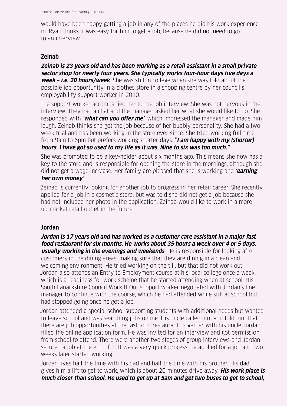would have been happy getting a job in any of the places he did his work experience in. Ryan thinks it was easy for him to get a job, because he did not need to go to an interview.

#### **Zeinab**

**Zeinab is 23 years old and has been working as a retail assistant in a small private sector shop for nearly four years. She typically works four-hour days five days a week – i.e. 20 hours/week**. She was still in college when she was told about the possible job opportunity in a clothes store in a shopping centre by her council's employability support worker in 2010.

The support worker accompanied her to the job interview. She was not nervous in the interview. They had a chat and the manager asked her what she would like to do. She responded with **'what can you offer me'**, which impressed the manager and made him laugh. Zeinab thinks she got the job because of her bubbly personality. She had a two week trial and has been working in the store ever since. She tried working full-time from 9am to 6pm but prefers working shorter days. "**I am happy with my (shorter) hours. I have got so used to my life as it was. Nine to six was too much."**

She was promoted to be a key-holder about six months ago. This means she now has a key to the store and is responsible for opening the store in the mornings, although she did not get a wage increase. Her family are pleased that she is working and **'earning her own money'**.

Zeinab is currently looking for another job to progress in her retail career. She recently applied for a job in a cosmetic store, but was told she did not get a job because she had not included her photo in the application. Zeinab would like to work in a more up-market retail outlet in the future.

#### **Jordan**

**Jordan is 17 years old and has worked as a customer care assistant in a major fast food restaurant for six months. He works about 35 hours a week over 4 or 5 days, usually working in the evenings and weekends**. He is responsible for looking after customers in the dining areas, making sure that they are dining in a clean and welcoming environment. He tried working on the till, but that did not work out. Jordan also attends an Entry to Employment course at his local college once a week, which is a readiness for work scheme that he started attending when at school. His South Lanarkshire Council Work It Out support worker negotiated with Jordan's line manager to continue with the course, which he had attended while still at school but had stopped going once he got a job.

Jordan attended a special school supporting students with additional needs but wanted to leave school and was searching jobs online. His uncle called him and told him that there are job opportunities at the fast food restaurant. Together with his uncle Jordan filled the online application form. He was invited for an interview and got permission from school to attend. There were another two stages of group interviews and Jordan secured a job at the end of it. It was a very quick process, he applied for a job and two weeks later started working.

Jordan lives half the time with his dad and half the time with his brother. His dad gives him a lift to get to work, which is about 20 minutes drive away. **His work place is much closer than school. He used to get up at 5am and get two buses to get to school,**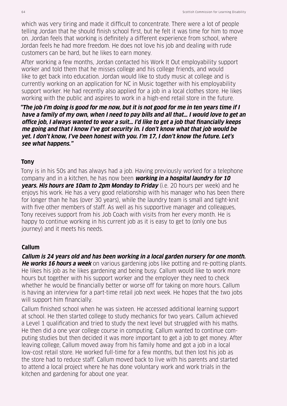which was very tiring and made it difficult to concentrate. There were a lot of people telling Jordan that he should finish school first, but he felt it was time for him to move on. Jordan feels that working is definitely a different experience from school, where Jordan feels he had more freedom. He does not love his job and dealing with rude customers can be hard, but he likes to earn money.

After working a few months, Jordan contacted his Work It Out employability support worker and told them that he misses college and his college friends, and would like to get back into education. Jordan would like to study music at college and is currently working on an application for NC in Music together with his employability support worker. He had recently also applied for a job in a local clothes store. He likes working with the public and aspires to work in a high-end retail store in the future.

**"The job I'm doing is good for me now, but it is not good for me in ten years time if I have a family of my own, when I need to pay bills and all that… I would love to get an office job, I always wanted to wear a suit… I'd like to get a job that financially keeps me going and that I know I've got security in. I don't know what that job would be yet. I don't know, I've been honest with you. I'm 17, I don't know the future. Let's see what happens."**

#### **Tony**

Tony is in his 50s and has always had a job. Having previously worked for a telephone company and in a kitchen, he has now been **working in a hospital laundry for 10 years. His hours are 10am to 2pm Monday to Friday** (i.e. 20 hours per week) and he enjoys his work. He has a very good relationship with his manager who has been there for longer than he has (over 30 years), while the laundry team is small and tight-knit with five other members of staff. As well as his supportive manager and colleagues, Tony receives support from his Job Coach with visits from her every month. He is happy to continue working in his current job as it is easy to get to (only one bus journey) and it meets his needs.

## **Callum**

**Callum is 24 years old and has been working in a local garden nursery for one month. He works 16 hours a week** on various gardening jobs like potting and re-potting plants. He likes his job as he likes gardening and being busy. Callum would like to work more hours but together with his support worker and the employer they need to check whether he would be financially better or worse off for taking on more hours. Callum is having an interview for a part-time retail job next week. He hopes that the two jobs will support him financially.

Callum finished school when he was sixteen. He accessed additional learning support at school. He then started college to study mechanics for two years. Callum achieved a Level 1 qualification and tried to study the next level but struggled with his maths. He then did a one year college course in computing. Callum wanted to continue computing studies but then decided it was more important to get a job to get money. After leaving college, Callum moved away from his family home and got a job in a local low-cost retail store. He worked full-time for a few months, but then lost his job as the store had to reduce staff. Callum moved back to live with his parents and started to attend a local project where he has done voluntary work and work trials in the kitchen and gardening for about one year.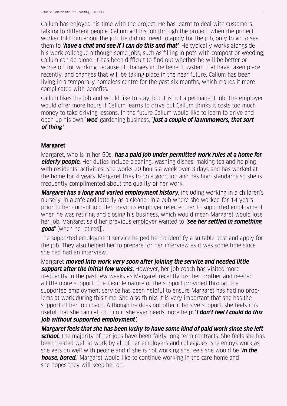Callum has enjoyed his time with the project. He has learnt to deal with customers, talking to different people. Callum got his job through the project, when the project worker told him about the job. He did not need to apply for the job, only to go to see them to **'have a chat and see if I can do this and that'**. He typically works alongside his work colleague although some jobs, such as filling in pots with compost or weeding, Callum can do alone. It has been difficult to find out whether he will be better or worse off for working because of changes in the benefit system that have taken place recently, and changes that will be taking place in the near future. Callum has been living in a temporary homeless centre for the past six months, which makes it more complicated with benefits.

Callum likes the job and would like to stay, but it is not a permanent job. The employer would offer more hours if Callum learns to drive but Callum thinks it costs too much money to take driving lessons. In the future Callum would like to learn to drive and open up his own '**wee**' gardening business, '**just a couple of lawnmowers, that sort of thing'**.

#### **Margaret**

Margaret, who is in her 50s, **has a paid job under permitted work rules at a home for elderly people.** Her duties include cleaning, washing dishes, making tea and helping with residents' activities. She works 20 hours a week over 3 days and has worked at the home for 4 years. Margaret tries to do a good job and has high standards so she is frequently complimented about the quality of her work.

**Margaret has a long and varied employment history**, including working in a children's nursery, in a café and latterly as a cleaner in a pub where she worked for 14 years prior to her current job. Her previous employer referred her to supported employment when he was retiring and closing his business, which would mean Margaret would lose her job. Margaret said her previous employer wanted to **'see her settled in something good'** (when he retired]).

The supported employment service helped her to identify a suitable post and apply for the job. They also helped her to prepare for her interview as it was some time since she had had an interview.

Margaret **moved into work very soon after joining the service and needed little support after the initial few weeks.** However, her job coach has visited more frequently in the past few weeks as Margaret recently lost her brother and needed a little more support. The flexible nature of the support provided through the supported employment service has been helpful to ensure Margaret has had no problems at work during this time. She also thinks it is very important that she has the support of her job coach. Although he does not offer intensive support, she feels it is useful that she can call on him if she ever needs more help: '**I don't feel I could do this job without supported employment'.**

**Margaret feels that she has been lucky to have some kind of paid work since she left school.** The majority of her jobs have been fairly long-term contracts. She feels she has been treated well at work by all of her employers and colleagues. She enjoys work as she gets on well with people and if she is not working she feels she would be '**in the house, bored.**' Margaret would like to continue working in the care home and she hopes they will keep her on.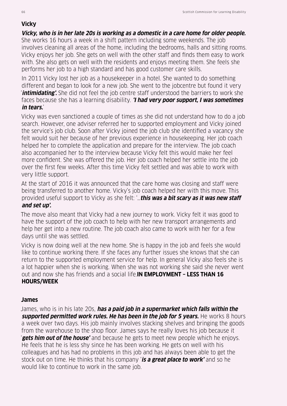# **Vicky**

## **Vicky, who is in her late 20s is working as a domestic in a care home for older people.**

She works 16 hours a week in a shift pattern including some weekends. The job involves cleaning all areas of the home, including the bedrooms, halls and sitting rooms. Vicky enjoys her job. She gets on well with the other staff and finds them easy to work with. She also gets on well with the residents and enjoys meeting them. She feels she performs her job to a high standard and has good customer care skills.

In 2011 Vicky lost her job as a housekeeper in a hotel. She wanted to do something different and began to look for a new job. She went to the jobcentre but found it very '**intimidating'.** She did not feel the job centre staff understood the barriers to work she faces because she has a learning disability. **'I had very poor support, I was sometimes in tears.**'

Vicky was even sanctioned a couple of times as she did not understand how to do a job search. However, one adviser referred her to supported employment and Vicky joined the service's job club. Soon after Vicky joined the job club she identified a vacancy she felt would suit her because of her previous experience in housekeeping. Her job coach helped her to complete the application and prepare for the interview. The job coach also accompanied her to the interview because Vicky felt this would make her feel more confident. She was offered the job. Her job coach helped her settle into the job over the first few weeks. After this time Vicky felt settled and was able to work with very little support.

At the start of 2016 it was announced that the care home was closing and staff were being transferred to another home. Vicky's job coach helped her with this move. This provided useful support to Vicky as she felt: '…**this was a bit scary as it was new staff and set up'.**

The move also meant that Vicky had a new journey to work. Vicky felt it was good to have the support of the job coach to help with her new transport arrangements and help her get into a new routine. The job coach also came to work with her for a few days until she was settled.

Vicky is now doing well at the new home. She is happy in the job and feels she would like to continue working there. If she faces any further issues she knows that she can return to the supported employment service for help. In general Vicky also feels she is a lot happier when she is working. When she was not working she said she never went out and now she has friends and a social life.**IN EMPLOYMENT – LESS THAN 16 HOURS/WEEK**

# **James**

James, who is in his late 20s, **has a paid job in a supermarket which falls within the supported permitted work rules. He has been in the job for 5 years.** He works 8 hours a week over two days. His job mainly involves stacking shelves and bringing the goods from the warehouse to the shop floor. James says he really loves his job because it '**gets him out of the house'** and because he gets to meet new people which he enjoys. He feels that he is less shy since he has been working. He gets on well with his colleagues and has had no problems in this job and has always been able to get the stock out on time. He thinks that his company '**is a great place to work'** and so he would like to continue to work in the same job.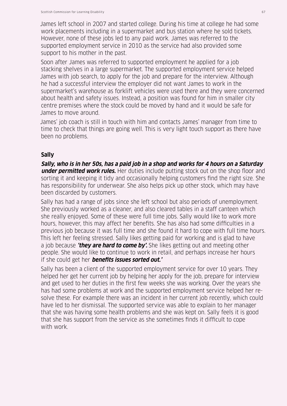James left school in 2007 and started college. During his time at college he had some work placements including in a supermarket and bus station where he sold tickets. However, none of these jobs led to any paid work. James was referred to the supported employment service in 2010 as the service had also provided some support to his mother in the past.

Soon after James was referred to supported employment he applied for a job stacking shelves in a large supermarket. The supported employment service helped James with job search, to apply for the job and prepare for the interview. Although he had a successful interview the employer did not want James to work in the supermarket's warehouse as forklift vehicles were used there and they were concerned about health and safety issues. Instead, a position was found for him in smaller city centre premises where the stock could be moved by hand and it would be safe for James to move around.

James' job coach is still in touch with him and contacts James' manager from time to time to check that things are going well. This is very light touch support as there have been no problems.

## **Sally**

**Sally, who is in her 50s, has a paid job in a shop and works for 4 hours on a Saturday under permitted work rules.** Her duties include putting stock out on the shop floor and sorting it and keeping it tidy and occasionally helping customers find the right size. She has responsibility for underwear. She also helps pick up other stock, which may have been discarded by customers.

Sally has had a range of jobs since she left school but also periods of unemployment. She previously worked as a cleaner, and also cleared tables in a staff canteen which she really enjoyed. Some of these were full time jobs. Sally would like to work more hours, however, this may affect her benefits. She has also had some difficulties in a previous job because it was full time and she found it hard to cope with full time hours. This left her feeling stressed. Sally likes getting paid for working and is glad to have a job because **'they are hard to come by'.** She likes getting out and meeting other people. She would like to continue to work in retail, and perhaps increase her hours if she could get her **benefits issues sorted out.'**

Sally has been a client of the supported employment service for over 10 years. They helped her get her current job by helping her apply for the job, prepare for interview and get used to her duties in the first few weeks she was working. Over the years she has had some problems at work and the supported employment service helped her resolve these. For example there was an incident in her current job recently, which could have led to her dismissal. The supported service was able to explain to her manager that she was having some health problems and she was kept on. Sally feels it is good that she has support from the service as she sometimes finds it difficult to cope with work.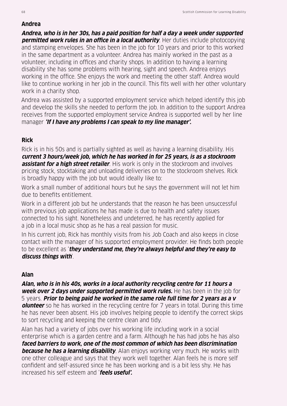#### **Andrea**

**Andrea, who is in her 30s, has a paid position for half a day a week under supported permitted work rules in an office in a local authority**. Her duties include photocopying and stamping envelopes. She has been in the job for 10 years and prior to this worked in the same department as a volunteer. Andrea has mainly worked in the past as a volunteer, including in offices and charity shops. In addition to having a learning disability she has some problems with hearing, sight and speech. Andrea enjoys working in the office. She enjoys the work and meeting the other staff. Andrea would like to continue working in her job in the council. This fits well with her other voluntary work in a charity shop.

Andrea was assisted by a supported employment service which helped identify this job and develop the skills she needed to perform the job. In addition to the support Andrea receives from the supported employment service Andrea is supported well by her line manager **'If I have any problems I can speak to my line manager'.**

## **Rick**

Rick is in his 50s and is partially sighted as well as having a learning disability. His **current 3 hours/week job, which he has worked in for 25 years, is as a stockroom assistant for a high street retailer**. His work is only in the stockroom and involves pricing stock, stocktaking and unloading deliveries on to the stockroom shelves. Rick is broadly happy with the job but would ideally like to:

Work a small number of additional hours but he says the government will not let him due to benefits entitlement.

Work in a different job but he understands that the reason he has been unsuccessful with previous job applications he has made is due to health and safety issues connected to his sight. Nonetheless and undeterred, he has recently applied for a job in a local music shop as he has a real passion for music.

In his current job, Rick has monthly visits from his Job Coach and also keeps in close contact with the manager of his supported employment provider. He finds both people to be excellent as '**they understand me, they're always helpful and they're easy to discuss things with**'.

## **Alan**

**Alan, who is in his 40s, works in a local authority recycling centre for 11 hours a week over 2 days under supported permitted work rules.** He has been in the job for 5 years. **Prior to being paid he worked in the same role full time for 2 years as a v olunteer** so he has worked in the recycling centre for 7 years in total. During this time he has never been absent. His job involves helping people to identify the correct skips to sort recycling and keeping the centre clean and tidy.

Alan has had a variety of jobs over his working life including work in a social enterprise which is a garden centre and a farm. Although he has had jobs he has also **faced barriers to work, one of the most common of which has been discrimination because he has a learning disability**. Alan enjoys working very much. He works with one other colleague and says that they work well together. Alan feels he is more self confident and self-assured since he has been working and is a bit less shy. He has increased his self esteem and '**feels useful'.**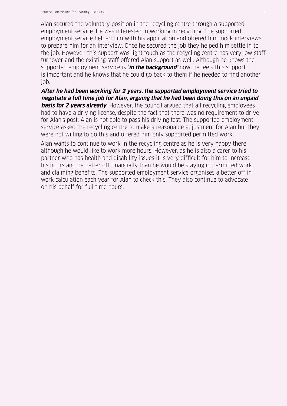Alan secured the voluntary position in the recycling centre through a supported employment service. He was interested in working in recycling. The supported employment service helped him with his application and offered him mock interviews to prepare him for an interview. Once he secured the job they helped him settle in to the job. However, this support was light touch as the recycling centre has very low staff turnover and the existing staff offered Alan support as well. Although he knows the supported employment service is '**in the background'** now, he feels this support is important and he knows that he could go back to them if he needed to find another job.

**After he had been working for 2 years, the supported employment service tried to negotiate a full time job for Alan, arguing that he had been doing this on an unpaid basis for 2 years already**. However, the council argued that all recycling employees had to have a driving license, despite the fact that there was no requirement to drive for Alan's post. Alan is not able to pass his driving test. The supported employment service asked the recycling centre to make a reasonable adjustment for Alan but they were not willing to do this and offered him only supported permitted work.

Alan wants to continue to work in the recycling centre as he is very happy there although he would like to work more hours. However, as he is also a carer to his partner who has health and disability issues it is very difficult for him to increase his hours and be better off financially than he would be staying in permitted work and claiming benefits. The supported employment service organises a better off in work calculation each year for Alan to check this. They also continue to advocate on his behalf for full time hours.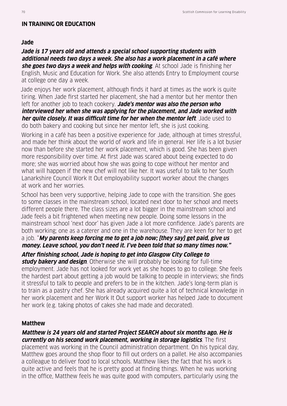#### **IN TRAINING OR EDUCATION**

#### **Jade**

**Jade is 17 years old and attends a special school supporting students with additional needs two days a week. She also has a work placement in a café where she goes two days a week and helps with cooking**. At school Jade is finishing her English, Music and Education for Work. She also attends Entry to Employment course at college one day a week.

Jade enjoys her work placement, although finds it hard at times as the work is quite tiring. When Jade first started her placement, she had a mentor but her mentor then left for another job to teach cookery. **Jade's mentor was also the person who interviewed her when she was applying for the placement, and Jade worked with her quite closely. It was difficult time for her when the mentor left**. Jade used to do both bakery and cooking but since her mentor left, she is just cooking.

Working in a café has been a positive experience for Jade, although at times stressful, and made her think about the world of work and life in general. Her life is a lot busier now than before she started her work placement, which is good. She has been given more responsibility over time. At first Jade was scared about being expected to do more; she was worried about how she was going to cope without her mentor and what will happen if the new chef will not like her. It was useful to talk to her South Lanarkshire Council Work It Out employability support worker about the changes at work and her worries.

School has been very supportive, helping Jade to cope with the transition. She goes to some classes in the mainstream school, located next door to her school and meets different people there. The class sizes are a lot bigger in the mainstream school and Jade feels a bit frightened when meeting new people. Doing some lessons in the mainstream school 'next door' has given Jade a lot more confidence. Jade's parents are both working; one as a caterer and one in the warehouse. They are keen for her to get a job. "**My parents keep forcing me to get a job now; [they say] get paid, give us money. Leave school, you don't need it. I've been told that so many times now."**

**After finishing school, Jade is hoping to get into Glasgow City College to** 

**study bakery and design**. Otherwise she will probably be looking for full-time employment. Jade has not looked for work yet as she hopes to go to college. She feels the hardest part about getting a job would be talking to people in interviews; she finds it stressful to talk to people and prefers to be in the kitchen. Jade's long-term plan is to train as a pastry chef. She has already acquired quite a lot of technical knowledge in her work placement and her Work It Out support worker has helped Jade to document her work (e.g. taking photos of cakes she had made and decorated).

#### **Matthew**

**Matthew is 24 years old and started Project SEARCH about six months ago. He is currently on his second work placement, working in storage logistics**. The first placement was working in the Council administration department. On his typical day, Matthew goes around the shop floor to fill out orders on a pallet. He also accompanies a colleague to deliver food to local schools. Matthew likes the fact that his work is quite active and feels that he is pretty good at finding things. When he was working in the office, Matthew feels he was quite good with computers, particularly using the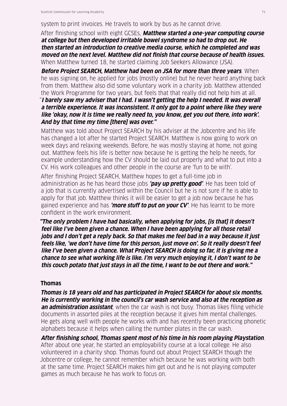system to print invoices. He travels to work by bus as he cannot drive.

After finishing school with eight GCSEs, **Matthew started a one-year computing course at college but then developed irritable bowel syndrome so had to drop out. He then started an introduction to creative media course, which he completed and was moved on the next level. Matthew did not finish that course because of health issues.** When Matthew turned 18, he started claiming Job Seekers Allowance (JSA).

**Before Project SEARCH, Matthew had been on JSA for more than three years**. When he was signing on, he applied for jobs (mostly online) but he never heard anything back from them. Matthew also did some voluntary work in a charity job. Matthew attended the Work Programme for two years, but feels that that really did not help him at all.

"**I barely saw my adviser that I had. I wasn't getting the help I needed. It was overall a terrible experience. It was inconsistent. It only got to a point where like they were like 'okay, now it is time we really need to, you know, get you out there, into work'. And by that time my time [there] was over."**

Matthew was told about Project SEARCH by his adviser at the Jobcentre and his life has changed a lot after he started Project SEARCH. Matthew is now going to work on week days and relaxing weekends. Before, he was mostly staying at home, not going out. Matthew feels his life is better now because he is getting the help he needs, for example understanding how the CV should be laid out properly and what to put into a CV. His work colleagues and other people in the course are 'fun to be with'.

After finishing Project SEARCH, Matthew hopes to get a full-time job in administration as he has heard those jobs **'pay up pretty good'**. He has been told of a job that is currently advertised within the Council but he is not sure if he is able to apply for that job. Matthew thinks it will be easier to get a job now because he has gained experience and has **'more stuff to put on your CV'**. He has learnt to be more confident in the work environment.

**"The only problem I have had basically, when applying for jobs, [is that] it doesn't feel like I've been given a chance. When I have been applying for all those retail jobs and I don't get a reply back. So that makes me feel bad in a way because it just feels like, 'we don't have time for this person, just move on'. So it really doesn't feel like I've been given a chance. What Project SEARCH is doing so far, it is giving me a chance to see what working life is like. I'm very much enjoying it, I don't want to be this couch potato that just stays in all the time, I want to be out there and work."**

#### **Thomas**

**Thomas is 18 years old and has participated in Project SEARCH for about six months. He is currently working in the council's car wash service and also at the reception as an administration assistant**, when the car wash is not busy. Thomas likes filing vehicle documents in assorted piles at the reception because it gives him mental challenges. He gets along well with people he works with and has recently been practicing phonetic alphabets because it helps when calling the number plates in the car wash.

**After finishing school, Thomas spent most of his time in his room playing Playstation**. After about one year, he started an employability course at a local college. He also volunteered in a charity shop. Thomas found out about Project SEARCH though the Jobcentre or college, he cannot remember which because he was working with both at the same time. Project SEARCH makes him get out and he is not playing computer games as much because he has work to focus on.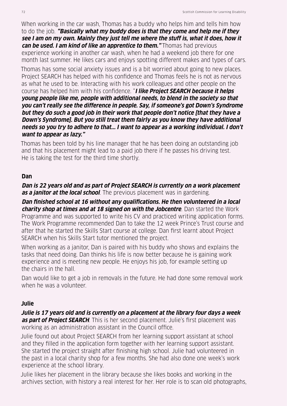When working in the car wash, Thomas has a buddy who helps him and tells him how to do the job. **"Basically what my buddy does is that they come and help me if they see I am on my own. Mainly they just tell me where the stuff is, what it does, how it can be used. I am kind of like an apprentice to them."** Thomas had previous

experience working in another car wash, when he had a weekend job there for one month last summer. He likes cars and enjoys spotting different makes and types of cars.

Thomas has some social anxiety issues and is a bit worried about going to new places. Project SEARCH has helped with his confidence and Thomas feels he is not as nervous as what he used to be. Interacting with his work colleagues and other people on the course has helped him with his confidence. "**I like Project SEARCH because it helps young people like me, people with additional needs, to blend in the society so that you can't really see the difference in people. Say, if someone's got Down's Syndrome but they do such a good job in their work that people don't notice [that they have a Down's Syndrome]. But you still treat them fairly as you know they have additional needs so you try to adhere to that... I want to appear as a working individual. I don't want to appear as lazy."**

Thomas has been told by his line manager that he has been doing an outstanding job and that his placement might lead to a paid job there if he passes his driving test. He is taking the test for the third time shortly.

## **Dan**

**Dan is 22 years old and as part of Project SEARCH is currently on a work placement as a janitor at the local school**. The previous placement was in gardening.

**Dan finished school at 16 without any qualifications. He then volunteered in a local charity shop at times and at 18 signed on with the Jobcentre**. Dan started the Work Programme and was supported to write his CV and practiced writing application forms. The Work Programme recommended Dan to take the 12 week Prince's Trust course and after that he started the Skills Start course at college. Dan first learnt about Project SEARCH when his Skills Start tutor mentioned the project.

When working as a janitor, Dan is paired with his buddy who shows and explains the tasks that need doing. Dan thinks his life is now better because he is gaining work experience and is meeting new people. He enjoys his job, for example setting up the chairs in the hall.

Dan would like to get a job in removals in the future. He had done some removal work when he was a volunteer.

# **Julie**

**Julie is 17 years old and is currently on a placement at the library four days a week as part of Project SEARCH**. This is her second placement. Julie's first placement was working as an administration assistant in the Council office.

Julie found out about Project SEARCH from her learning support assistant at school and they filled in the application form together with her learning support assistant. She started the project straight after finishing high school. Julie had volunteered in the past in a local charity shop for a few months. She had also done one week's work experience at the school library.

Julie likes her placement in the library because she likes books and working in the archives section, with history a real interest for her. Her role is to scan old photographs,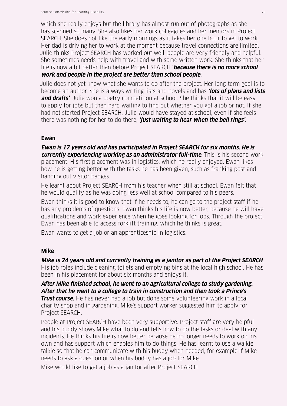which she really enjoys but the library has almost run out of photographs as she has scanned so many. She also likes her work colleagues and her mentors in Project SEARCH. She does not like the early mornings as it takes her one hour to get to work. Her dad is driving her to work at the moment because travel connections are limited. Julie thinks Project SEARCH has worked out well; people are very friendly and helpful. She sometimes needs help with travel and with some written work. She thinks that her life is now a bit better than before Project SEARCH '**because there is no more school work and people in the project are better than school people**'.

Julie does not yet know what she wants to do after the project. Her long-term goal is to become an author. She is always writing lists and novels and has **'lots of plans and lists and drafts'**. Julie won a poetry competition at school. She thinks that it will be easy to apply for jobs but then hard waiting to find out whether you got a job or not. If she had not started Project SEARCH, Julie would have stayed at school, even if she feels there was nothing for her to do there, **'just waiting to hear when the bell rings'**.

#### **Ewan**

**Ewan is 17 years old and has participated in Project SEARCH for six months. He is currently experiencing working as an administrator full-time**. This is his second work placement. His first placement was in logistics, which he really enjoyed. Ewan likes how he is getting better with the tasks he has been given, such as franking post and handing out visitor badges.

He learnt about Project SEARCH from his teacher when still at school. Ewan felt that he would qualify as he was doing less well at school compared to his peers.

Ewan thinks it is good to know that if he needs to, he can go to the project staff if he has any problems of questions. Ewan thinks his life is now better, because he will have qualifications and work experience when he goes looking for jobs. Through the project, Ewan has been able to access forklift training, which he thinks is great.

Ewan wants to get a job or an apprenticeship in logistics.

# **Mike**

# **Mike is 24 years old and currently training as a janitor as part of the Project SEARCH**.

His job roles include cleaning toilets and emptying bins at the local high school. He has been in his placement for about six months and enjoys it.

## **After Mike finished school, he went to an agricultural college to study gardening. After that he went to a college to train in construction and then took a Prince's**

**Trust course.** He has never had a job but done some volunteering work in a local charity shop and in gardening. Mike's support worker suggested him to apply for Project SEARCH.

People at Project SEARCH have been very supportive. Project staff are very helpful and his buddy shows Mike what to do and tells how to do the tasks or deal with any incidents. He thinks his life is now better because he no longer needs to work on his own and has support which enables him to do things. He has learnt to use a walkie talkie so that he can communicate with his buddy when needed, for example if Mike needs to ask a question or when his buddy has a job for Mike.

Mike would like to get a job as a janitor after Project SEARCH.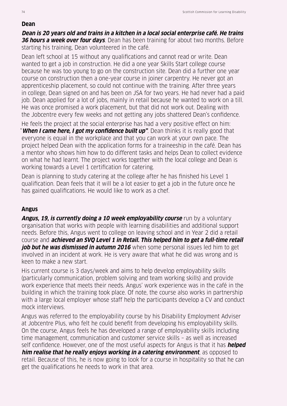#### **Dean**

**Dean is 20 years old and trains in a kitchen in a local social enterprise café. He trains 36 hours a week over four days**. Dean has been training for about two months. Before starting his training, Dean volunteered in the café.

Dean left school at 15 without any qualifications and cannot read or write. Dean wanted to get a job in construction. He did a one year Skills Start college course because he was too young to go on the construction site. Dean did a further one year course on construction then a one-year course in joiner carpentry. He never got an apprenticeship placement, so could not continue with the training. After three years in college, Dean signed on and has been on JSA for two years. He had never had a paid job. Dean applied for a lot of jobs, mainly in retail because he wanted to work on a till. He was once promised a work placement, but that did not work out. Dealing with the Jobcentre every few weeks and not getting any jobs shattered Dean's confidence.

He feels the project at the social enterprise has had a very positive effect on him: "**When I came here, I got my confidence built up"**. Dean thinks it is really good that everyone is equal in the workplace and that you can work at your own pace. The project helped Dean with the application forms for a traineeship in the café. Dean has a mentor who shows him how to do different tasks and helps Dean to collect evidence on what he had learnt. The project works together with the local college and Dean is working towards a Level 1 certification for catering.

Dean is planning to study catering at the college after he has finished his Level 1 qualification. Dean feels that it will be a lot easier to get a job in the future once he has gained qualifications. He would like to work as a chef.

# **Angus**

**Angus, 19, is currently doing a 10 week employability course** run by a voluntary organisation that works with people with learning disabilities and additional support needs. Before this, Angus went to college on leaving school and in Year 2 did a retail course and **achieved an SVQ Level 1 in Retail. This helped him to get a full-time retail job but he was dismissed in autumn 2016** when some personal issues led him to get involved in an incident at work. He is very aware that what he did was wrong and is keen to make a new start.

His current course is 3 days/week and aims to help develop employability skills (particularly communication, problem solving and team working skills) and provide work experience that meets their needs. Angus' work experience was in the café in the building in which the training took place. Of note, the course also works in partnership with a large local employer whose staff help the participants develop a CV and conduct mock interviews.

Angus was referred to the employability course by his Disability Employment Adviser at Jobcentre Plus, who felt he could benefit from developing his employability skills. On the course, Angus feels he has developed a range of employability skills including time management, communication and customer service skills – as well as increased self confidence. However, one of the most useful aspects for Angus is that it has **helped him realise that he really enjoys working in a catering environment**, as opposed to retail. Because of this, he is now going to look for a course in hospitality so that he can get the qualifications he needs to work in that area.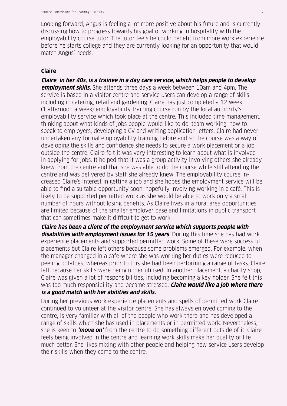Looking forward, Angus is feeling a lot more positive about his future and is currently discussing how to progress towards his goal of working in hospitality with the employability course tutor. The tutor feels he could benefit from more work experience before he starts college and they are currently looking for an opportunity that would match Angus' needs.

# **Claire**

**Claire**, **in her 40s, is a trainee in a day care service, which helps people to develop employment skills.** She attends three days a week between 10am and 4pm. The service is based in a visitor centre and service users can develop a range of skills including in catering, retail and gardening. Claire has just completed a 12 week (1 afternoon a week) employability training course run by the local authority's employability service which took place at the centre. This included time management, thinking about what kinds of jobs people would like to do, team working, how to speak to employers, developing a CV and writing application letters. Claire had never undertaken any formal employability training before and so the course was a way of developing the skills and confidence she needs to secure a work placement or a job outside the centre. Claire felt it was very interesting to learn about what is involved in applying for jobs. It helped that it was a group activity involving others she already knew from the centre and that she was able to do the course while still attending the centre and was delivered by staff she already knew. The employability course increased Claire's interest in getting a job and she hopes the employment service will be able to find a suitable opportunity soon, hopefully involving working in a café. This is likely to be supported permitted work as she would be able to work only a small number of hours without losing benefits. As Claire lives in a rural area opportunities are limited because of the smaller employer base and limitations in public transport that can sometimes make it difficult to get to work

**Claire has been a client of the employment service which supports people with disabilities with employment issues for 15 years**. During this time she has had work experience placements and supported permitted work. Some of these were successful placements but Claire left others because some problems emerged. For example, when the manager changed in a café where she was working her duties were reduced to peeling potatoes, whereas prior to this she had been performing a range of tasks. Claire left because her skills were being under utilised. In another placement, a charity shop, Claire was given a lot of responsibilities, including becoming a key holder. She felt this was too much responsibility and became stressed. **Claire would like a job where there is a good match with her abilities and skills.**

During her previous work experience placements and spells of permitted work Claire continued to volunteer at the visitor centre. She has always enjoyed coming to the centre, is very familiar with all of the people who work there and has developed a range of skills which she has used in placements or in permitted work. Nevertheless, she is keen to **'move on'** from the centre to do something different outside of it. Claire feels being involved in the centre and learning work skills make her quality of life much better. She likes mixing with other people and helping new service users develop their skills when they come to the centre.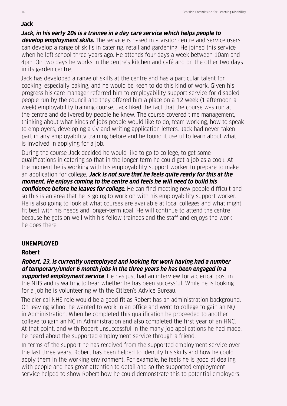# **Jack**

**Jack, in his early 20s is a trainee in a day care service which helps people to develop employment skills.** The service is based in a visitor centre and service users can develop a range of skills in catering, retail and gardening. He joined this service when he left school three years ago. He attends four days a week between 10am and 4pm. On two days he works in the centre's kitchen and café and on the other two days in its garden centre.

Jack has developed a range of skills at the centre and has a particular talent for cooking, especially baking, and he would be keen to do this kind of work. Given his progress his care manager referred him to employability support service for disabled people run by the council and they offered him a place on a 12 week (1 afternoon a week) employability training course. Jack liked the fact that the course was run at the centre and delivered by people he knew. The course covered time management, thinking about what kinds of jobs people would like to do, team working, how to speak to employers, developing a CV and writing application letters. Jack had never taken part in any employability training before and he found it useful to learn about what is involved in applying for a job.

During the course Jack decided he would like to go to college, to get some qualifications in catering so that in the longer term he could get a job as a cook. At the moment he is working with his employability support worker to prepare to make an application for college. **Jack is not sure that he feels quite ready for this at the moment. He enjoys coming to the centre and feels he will need to build his confidence before he leaves for college.** He can find meeting new people difficult and so this is an area that he is going to work on with his employability support worker. He is also going to look at what courses are available at local colleges and what might fit best with his needs and longer-term goal. He will continue to attend the centre because he gets on well with his fellow trainees and the staff and enjoys the work

he does there.

# **UNEMPLOYED**

# **Robert**

**Robert, 23, is currently unemployed and looking for work having had a number of temporary/under 6 month jobs in the three years he has been engaged in a supported employment service**. He has just had an interview for a clerical post in the NHS and is waiting to hear whether he has been successful. While he is looking for a job he is volunteering with the Citizen's Advice Bureau.

The clerical NHS role would be a good fit as Robert has an administration background. On leaving school he wanted to work in an office and went to college to gain an NQ in Administration. When he completed this qualification he proceeded to another college to gain an NC in Administration and also completed the first year of an HNC. At that point, and with Robert unsuccessful in the many job applications he had made, he heard about the supported employment service through a friend.

In terms of the support he has received from the supported employment service over the last three years, Robert has been helped to identify his skills and how he could apply them in the working environment. For example, he feels he is good at dealing with people and has great attention to detail and so the supported employment service helped to show Robert how he could demonstrate this to potential employers.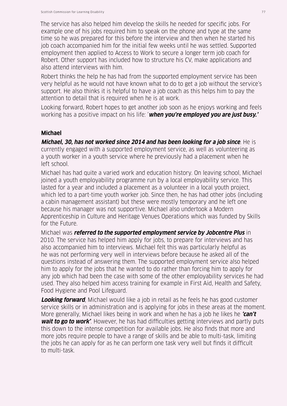The service has also helped him develop the skills he needed for specific jobs. For example one of his jobs required him to speak on the phone and type at the same time so he was prepared for this before the interview and then when he started his job coach accompanied him for the initial few weeks until he was settled. Supported employment then applied to Access to Work to secure a longer term job coach for Robert. Other support has included how to structure his CV, make applications and also attend interviews with him.

Robert thinks the help he has had from the supported employment service has been very helpful as he would not have known what to do to get a job without the service's support. He also thinks it is helpful to have a job coach as this helps him to pay the attention to detail that is required when he is at work.

Looking forward, Robert hopes to get another job soon as he enjoys working and feels working has a positive impact on his life: '**when you're employed you are just busy.'**

# **Michael**

**Michael, 30, has not worked since 2014 and has been looking for a job since**. He is currently engaged with a supported employment service, as well as volunteering as a youth worker in a youth service where he previously had a placement when he left school.

Michael has had quite a varied work and education history. On leaving school, Michael joined a youth employability programme run by a local employability service. This lasted for a year and included a placement as a volunteer in a local youth project, which led to a part-time youth worker job. Since then, he has had other jobs (including a cabin management assistant) but these were mostly temporary and he left one because his manager was not supportive. Michael also undertook a Modern Apprenticeship in Culture and Heritage Venues Operations which was funded by Skills for the Future.

Michael was **referred to the supported employment service by Jobcentre Plus** in 2010. The service has helped him apply for jobs, to prepare for interviews and has also accompanied him to interviews. Michael felt this was particularly helpful as he was not performing very well in interviews before because he asked all of the questions instead of answering them. The supported employment service also helped him to apply for the jobs that he wanted to do rather than forcing him to apply for any job which had been the case with some of the other employability services he had used. They also helped him access training for example in First Aid, Health and Safety, Food Hygiene and Pool Lifeguard.

**Looking forward**, Michael would like a job in retail as he feels he has good customer service skills or in administration and is applying for jobs in these areas at the moment. More generally, Michael likes being in work and when he has a job he likes he **'can't wait to go to work'**. However, he has had difficulties getting interviews and partly puts this down to the intense competition for available jobs. He also finds that more and more jobs require people to have a range of skills and be able to multi-task, limiting the jobs he can apply for as he can perform one task very well but finds it difficult to multi-task.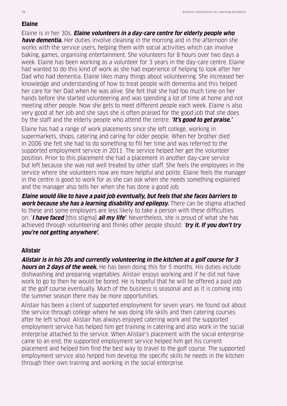#### **Elaine**

Elaine is in her 30s. **Elaine volunteers in a day-care centre for elderly people who have dementia.** Her duties involve cleaning in the morning and in the afternoon she works with the service users, helping them with social activities which can involve baking, games, organising entertainment. She volunteers for 8 hours over two days a week. Elaine has been working as a volunteer for 3 years in the day-care centre. Elaine had wanted to do this kind of work as she had experience of helping to look after her Dad who had dementia. Elaine likes many things about volunteering. She increased her knowledge and understanding of how to treat people with dementia and this helped her care for her Dad when he was alive. She felt that she had too much time on her hands before she started volunteering and was spending a lot of time at home and not meeting other people. Now she gets to meet different people each week. Elaine is also very good at her job and she says she is often praised for the good job that she does by the staff and the elderly people who attend the centre. **'It's good to get praise.'**

Elaine has had a range of work placements since she left college, working in supermarkets, shops, catering and caring for older people. When her brother died in 2006 she felt she had to do something to fill her time and was referred to the supported employment service in 2011. The service helped her get the volunteer position. Prior to this placement she had a placement in another day-care service but left because she was not well treated by other staff. She feels the employees in the service where she volunteers now are more helpful and polite. Elaine feels the manager in the centre is good to work for as she can ask when she needs something explained and the manager also tells her when she has done a good job.

**Elaine would like to have a paid job eventually, but feels that she faces barriers to work because she has a learning disability and epilepsy.** There can be stigma attached to these and some employers are less likely to take a person with these difficulties on: '**I have faced** [this stigma] **all my life'**. Nevertheless, she is proud of what she has achieved through volunteering and thinks other people should: '**try it. If you don't try you're not getting anywhere'.**

# **Alistair**

**Alistair is in his 20s and currently volunteering in the kitchen at a golf course for 3 hours on 2 days of the week.** He has been doing this for 5 months. His duties include dishwashing and preparing vegetables. Alistair enjoys working and if he did not have work to go to then he would be bored. He is hopeful that he will be offered a paid job at the golf course eventually. Much of the business is seasonal and as it is coming into the summer season there may be more opportunities.

Alistair has been a client of supported employment for seven years. He found out about the service through college where he was doing life skills and then catering courses after he left school. Alistair has always enjoyed catering work and the supported employment service has helped him get training in catering and also work in the social enterprise attached to the service. When Alistair's placement with the social enterprise came to an end, the supported employment service helped him get his current placement and helped him find the best way to travel to the golf course. The supported employment service also helped him develop the specific skills he needs in the kitchen through their own training and working in the social enterprise.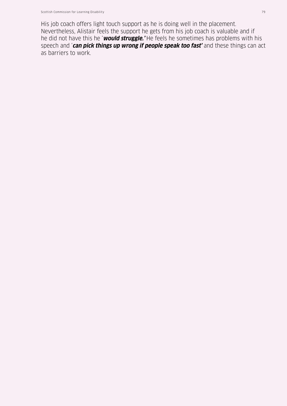His job coach offers light touch support as he is doing well in the placement. Nevertheless, Alistair feels the support he gets from his job coach is valuable and if he did not have this he '**would struggle.'** He feels he sometimes has problems with his speech and '**can pick things up wrong if people speak too fast'** and these things can act as barriers to work.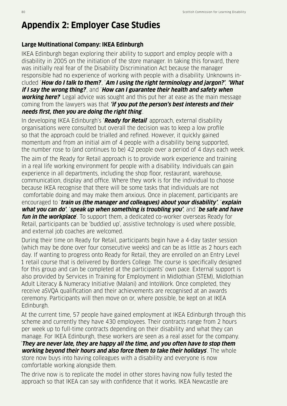# **Appendix 2: Employer Case Studies**

# **Large Multinational Company: IKEA Edinburgh**

IKEA Edinburgh began exploring their ability to support and employ people with a disability in 2005 on the initiation of the store manager. In taking this forward, there was initially real fear of the Disability Discrimination Act because the manager responsible had no experience of working with people with a disability. Unknowns included '**How do I talk to them?**', '**Am I using the right terminology and jargon?'**, **'What if I say the wrong thing?**', and '**How can I guarantee their health and safety when working here?**' Legal advice was sought and this put her at ease as the main message coming from the lawyers was that **'if you put the person's best interests and their needs first, then you are doing the right thing**'.

In developing IKEA Edinburgh's '**Ready for Retail**' approach, external disability organisations were consulted but overall the decision was to keep a low profile so that the approach could be trialled and refined. However, it quickly gained momentum and from an initial aim of 4 people with a disability being supported, the number rose to (and continues to be) 42 people over a period of 4 days each week.

The aim of the Ready for Retail approach is to provide work experience and training in a real life working environment for people with a disability. Individuals can gain experience in all departments, including the shop floor, restaurant, warehouse, communication, display and office. Where they work is for the individual to choose because IKEA recognise that there will be some tasks that individuals are not comfortable doing and may make them anxious. Once in placement, participants are encouraged to '**train us (the manager and colleagues) about your disability'**, '**explain what you can do'**, '**speak up when something is troubling you'**, and '**be safe and have fun in the workplace**'. To support them, a dedicated co-worker overseas Ready for Retail, participants can be 'buddied up', assistive technology is used where possible, and external job coaches are welcomed.

During their time on Ready for Retail, participants begin have a 4-day taster session (which may be done over four consecutive weeks) and can be as little as 2 hours each day. If wanting to progress onto Ready for Retail, they are enrolled on an Entry Level 1 retail course that is delivered by Borders College. The course is specifically designed for this group and can be completed at the participants' own pace. External support is also provided by Services in Training for Employment in Midlothian (STEM), Midlothian Adult Literacy & Numeracy Initiative (Malani) and IntoWork. Once completed, they receive aSVQA qualification and their achievements are recognised at an awards ceremony. Participants will then move on or, where possible, be kept on at IKEA Edinburgh.

At the current time, 57 people have gained employment at IKEA Edinburgh through this scheme and currently they have 430 employees. Their contracts range from 2 hours per week up to full-time contracts depending on their disability and what they can manage. For IKEA Edinburgh, these workers are seen as a real asset for the company. '**They are never late, they are happy all the time, and you often have to stop them working beyond their hours and also force them to take their holidays**'. The whole

store now buys into having colleagues with a disability and everyone is now comfortable working alongside them.

The drive now is to replicate the model in other stores having now fully tested the approach so that IKEA can say with confidence that it works. IKEA Newcastle are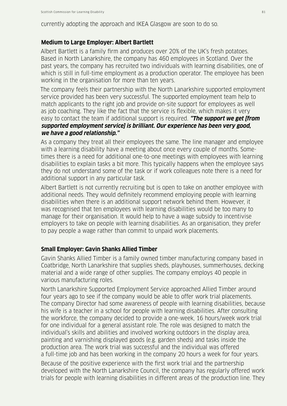currently adopting the approach and IKEA Glasgow are soon to do so.

#### **Medium to Large Employer: Albert Bartlett**

Albert Bartlett is a family firm and produces over 20% of the UK's fresh potatoes. Based in North Lanarkshire, the company has 460 employees in Scotland. Over the past years, the company has recruited two individuals with learning disabilities, one of which is still in full-time employment as a production operator. The employee has been working in the organisation for more than ten years.

The company feels their partnership with the North Lanarkshire supported employment service provided has been very successful. The supported employment team help to match applicants to the right job and provide on-site support for employees as well as job coaching. They like the fact that the service is flexible, which makes it very easy to contact the team if additional support is required. **"The support we get [from supported employment service] is brilliant. Our experience has been very good, we have a good relationship."**

As a company they treat all their employees the same. The line manager and employee with a learning disability have a meeting about once every couple of months. Sometimes there is a need for additional one-to-one meetings with employees with learning disabilities to explain tasks a bit more. This typically happens when the employee says they do not understand some of the task or if work colleagues note there is a need for additional support in any particular task.

Albert Bartlett is not currently recruiting but is open to take on another employee with additional needs. They would definitely recommend employing people with learning disabilities when there is an additional support network behind them. However, it was recognised that ten employees with learning disabilities would be too many to manage for their organisation. It would help to have a wage subsidy to incentivise employers to take on people with learning disabilities. As an organisation, they prefer to pay people a wage rather than commit to unpaid work placements.

### **Small Employer: Gavin Shanks Allied Timber**

Gavin Shanks Allied Timber is a family owned timber manufacturing company based in Coatbridge, North Lanarkshire that supplies sheds, playhouses, summerhouses, decking material and a wide range of other supplies. The company employs 40 people in various manufacturing roles.

North Lanarkshire Supported Employment Service approached Allied Timber around four years ago to see if the company would be able to offer work trial placements. The company Director had some awareness of people with learning disabilities, because his wife is a teacher in a school for people with learning disabilities. After consulting the workforce, the company decided to provide a one-week, 16 hours/week work trial for one individual for a general assistant role. The role was designed to match the individual's skills and abilities and involved working outdoors in the display area, painting and varnishing displayed goods (e.g. garden sheds) and tasks inside the production area. The work trial was successful and the individual was offered a full-time job and has been working in the company 20 hours a week for four years.

Because of the positive experience with the first work trial and the partnership developed with the North Lanarkshire Council, the company has regularly offered work trials for people with learning disabilities in different areas of the production line. They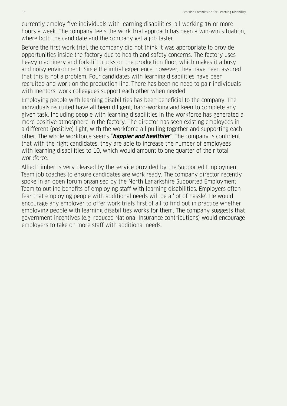currently employ five individuals with learning disabilities, all working 16 or more hours a week. The company feels the work trial approach has been a win-win situation, where both the candidate and the company get a job taster.

Before the first work trial, the company did not think it was appropriate to provide opportunities inside the factory due to health and safety concerns. The factory uses heavy machinery and fork-lift trucks on the production floor, which makes it a busy and noisy environment. Since the initial experience, however, they have been assured that this is not a problem. Four candidates with learning disabilities have been recruited and work on the production line. There has been no need to pair individuals with mentors; work colleagues support each other when needed.

Employing people with learning disabilities has been beneficial to the company. The individuals recruited have all been diligent, hard-working and keen to complete any given task. Including people with learning disabilities in the workforce has generated a more positive atmosphere in the factory. The director has seen existing employees in a different (positive) light, with the workforce all pulling together and supporting each other. The whole workforce seems "**happier and healthier**". The company is confident that with the right candidates, they are able to increase the number of employees with learning disabilities to 10, which would amount to one quarter of their total workforce.

Allied Timber is very pleased by the service provided by the Supported Employment Team job coaches to ensure candidates are work ready. The company director recently spoke in an open forum organised by the North Lanarkshire Supported Employment Team to outline benefits of employing staff with learning disabilities. Employers often fear that employing people with additional needs will be a 'lot of hassle'. He would encourage any employer to offer work trials first of all to find out in practice whether employing people with learning disabilities works for them. The company suggests that government incentives (e.g. reduced National Insurance contributions) would encourage employers to take on more staff with additional needs.